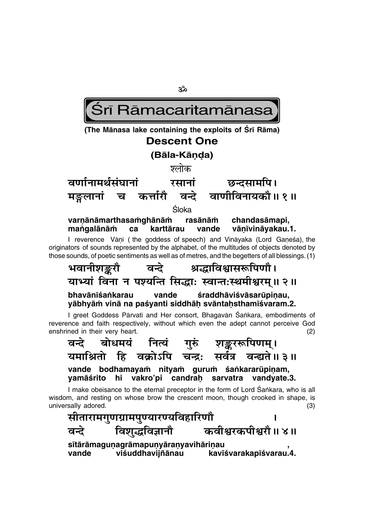ૐ



originators of sounds represented by the alphabet, of the multitudes of objects denoted by those sounds, of poetic sentiments as well as of metres, and the begetters of all blessings. (1)

वन्दे श्रद्धाविश्वासरूपिणौ। भवानीशङ्करौ याभ्यां विना न पश्यन्ति सिद्धाः स्वान्तःस्थमीश्वरम्॥ २॥ bhavānīśaṅkarau vande śraddhāviśvāsarūpinau, yābhyām vinā na paśyanti siddhāh svāntahsthamīśvaram.2.

I greet Goddess Pārvatī and Her consort, Bhagavān Śankara, embodiments of reverence and faith respectively, without which even the adept cannot perceive God enshrined in their very heart.  $(2)$ 

नित्यं गुरुं शङ्कररूपिणम्। बोधमयं वन्ते हि वक्रोऽपि चन्द्र: सर्वत्र वन्द्यते॥३॥ यमाश्रितो vande bodhamayam nityam gurum śankararūpinam, vamāśrito hi vakro'pi candrah sarvatra vandyate.3.

I make obeisance to the eternal preceptor in the form of Lord Sankara, who is all wisdom, and resting on whose brow the crescent moon, though crooked in shape, is universally adored.  $(3)$ 

सीतारामगुणग्रामपुण्यारण्यविहारिणौ विशुद्धविज्ञानौ कवीश्वरकपीश्वरौ ॥ ४॥ sītārāmagunagrāmapunyāranyavihārinau viśuddhavijñānau kavīśvarakapīśvarau.4. vande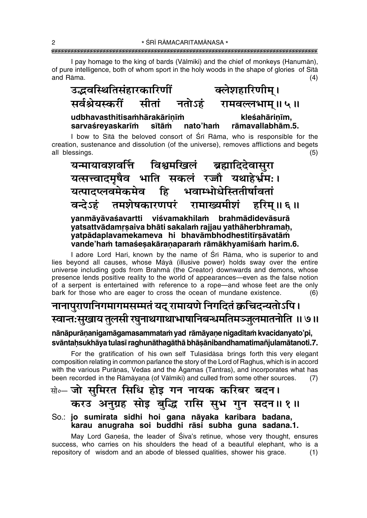I pay homage to the king of bards (Vālmīki) and the chief of monkeys (Hanumān), of pure intelligence, both of whom sport in the holy woods in the shape of glories of Sita and Rama  $(4)$ 

| उद्भवस्थितिसंहारकारिणीं                                        |                                   | क्लेशहारिणीम्।                                                        |  |  |  |
|----------------------------------------------------------------|-----------------------------------|-----------------------------------------------------------------------|--|--|--|
| सर्वश्रेयस्करीं सीतां नतोऽहं                                   |                                   | रामवल्लभाम् ॥ ५ ॥                                                     |  |  |  |
| udbhavasthitisamhārakārinīm<br>sarvaśreyaskarīm sītām nato'ham | kleśahāriņīm,<br>rāmavallabhām.5. |                                                                       |  |  |  |
|                                                                |                                   | I how to Sita the heloved consort of Sri Rama, who is responsible for |  |  |  |

to Sita the beloved consort of Sri Rama, who is responsible for the creation, sustenance and dissolution (of the universe), removes afflictions and begets all blessings.  $(5)$ 

## यन्मायावशवर्त्ति विश्वमखिलं ब्रह्मादिदेवासुरा यत्सत्त्वादमृषैव भाति सकलं रज्जौ यथाहेर्भ्रमः। यत्पादप्लवमेकमेव हि भवाम्भोधेस्तितीर्षावतां वन्देऽहं तमशेषकारणपरं रामाख्यमीशं हरिम्॥६॥ vanmāvāvaśavartti viśvamakhilam brahmādidevāsurā yatsattvādamrsaiva bhāti sakalam rajjau vathāherbhramah, vatpādaplavamekameva hi bhavāmbhodhestitīrsāvatām vande'ham tamaśesakāranaparam rāmākhyamīśam harim.6.

I adore Lord Hari, known by the name of Sri Rama, who is superior to and lies beyond all causes, whose Maya (illusive power) holds sway over the entire universe including gods from Brahma (the Creator) downwards and demons, whose presence lends positive reality to the world of appearances—even as the false notion of a serpent is entertained with reference to a rope—and whose feet are the only bark for those who are eager to cross the ocean of mundane existence.  $(6)$ 

## नानापुराणनिगमागमसम्मतं यद् रामायणे निगदितं क्रचिदन्यतोऽपि । स्वान्त:सुखाय तुलसी रघुनाथगाथाभाषानिबन्धमतिमञ्जुलमातनोति ॥ ७॥

#### nānāpurāṇanigamāgamasammatam yad rāmāyaṇe nigaditam kvacidanyato'pi, svāntahsukhāya tulasī raghunāthagāthā bhāsānibandhamatimañjulamātanoti.7.

For the gratification of his own self Tulasidasa brings forth this very elegant composition relating in common parlance the story of the Lord of Raghus, which is in accord with the various Purānas, Vedas and the Agamas (Tantras), and incorporates what has been recorded in the Rāmāyaṇa (of Vālmīki) and culled from some other sources.  $(7)$ 

## सो० जो समिरत सिधि होड़ गन नायक करिबर बदन। करउ अनुग्रह सोइ बुद्धि रासि सुभ गुन सदन॥१॥

### So.: jo sumirata sidhi hoi gana nāyaka karibara badana, karau anugraha soi buddhi rāsi subha guna sadana.1.

May Lord Ganesa, the leader of Siva's retinue, whose very thought, ensures success, who carries on his shoulders the head of a beautiful elephant, who is a repository of wisdom and an abode of blessed qualities, shower his grace.  $(1)$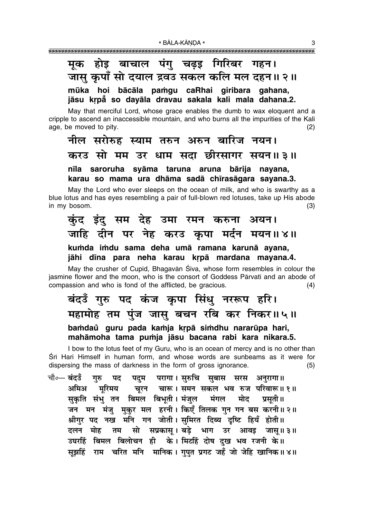## मूक होइ बाचाल पंगु चढ़इ गिरिबर गहन। जासु कुपाँ सो दयाल द्रवउ सकल कलि मल दहन॥२॥ mūka hoi bācāla pamqu caRhai giribara gahana, jāsu krpā so davāla dravau sakala kali mala dahana.2.

May that merciful Lord, whose grace enables the dumb to wax eloguent and a cripple to ascend an inaccessible mountain, and who burns all the impurities of the Kali age, be moved to pity.  $(2)$ 

# नील सरोरुह स्याम तरुन अरुन बारिज नयन।

## करउ सो मम उर धाम सदा छीरसागर सयन॥३॥

#### nīla saroruha syāma taruna aruna bārija nayana, karau so mama ura dhāma sadā chīrasāgara sayana.3.

May the Lord who ever sleeps on the ocean of milk, and who is swarthy as a blue lotus and has eyes resembling a pair of full-blown red lotuses, take up His abode in my bosom.  $(3)$ 

## कुंद इंदु सम देह उमा रमन करुना अयन। जाहि दीन पर नेह करउ कृपा मर्दन मयन॥४॥

## kumda imdu sama deha umā ramana karunā ayana, jāhi dīna para neha karau krpā mardana mayana.4.

May the crusher of Cupid, Bhagavan Śiva, whose form resembles in colour the jasmine flower and the moon, who is the consort of Goddess Pārvatī and an abode of compassion and who is fond of the afflicted, be gracious.  $(4)$ 

## बंदउँ गुरु पद कंज कृपा सिंधु नररूप हरि। महामोह तम पुंज जासु बचन रबि कर निकर॥५॥ bamdaŭ guru pada kamja krpā simdhu nararūpa hari, mahāmoha tama pumja jāsu bacana rabi kara nikara.5.

I bow to the lotus feet of my Guru, who is an ocean of mercy and is no other than Śrī Hari Himself in human form, and whose words are sunbeams as it were for dispersing the mass of darkness in the form of gross ignorance.  $(5)$ 

चौ०— बंदउँ पदुम परागा। सुरुचि सुबास सरस अनुरागा॥ गरु पद अमिअ मरिमय चुरन चारू । समन सकल भव रुज परिवारू॥१॥ सुकृति संभु तन बिमल बिभूती।—मंजुल - मंगल - मोद प्रसूती ॥ जन मन मंजु मुकुर मल हरनी। किएँ तिलक गुन गन बस करनी॥ २॥ श्रीगुर पद नख मनि गन जोती। सुमिरत दिब्य दृष्टि हियँ होती॥ दलन मोह तम सो सप्रकासू। बड़े भाग उर आवइ जासू॥३॥ उघरहिं बिमल बिलोचन ही के। मिटहिं दोष दुख भव रजनी के॥ सूझहिं राम चरित मनि मानिक। गुपुत प्रगट जहँ जो जेहि खानिक॥४॥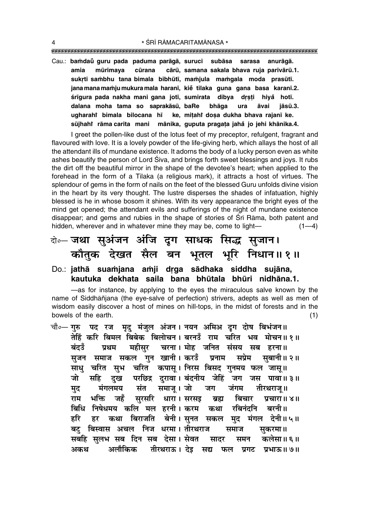Cau.: bamdaŭ guru pada paduma parāgā, suruci subāsa sarasa anurāgā. mūrimaya cārū, samana sakala bhava ruja parivārū.1. amia cūrana sukrti sambhu tana bimala bibhūtī, mamiula mamqala moda prasūtī. jana mana mamju mukura mala haranī, kie tilaka guna gana basa karanī.2. śrīgura pada nakha mani gana jotī, sumirata dibya drsti hiya hotī. dalana moha tama so saprakāsū, baRe bhāqa ura āvai jāsū.3. ke, mitahi dosa dukha bhava rajanī ke. ugharahi bimala bilocana hī sūjhaht rāma carita mani mānika, guputa pragata jahă jo jehi khānika.4.

I greet the pollen-like dust of the lotus feet of my preceptor, refulgent, fragrant and flavoured with love. It is a lovely powder of the life-giving herb, which allays the host of all the attendant ills of mundane existence. It adorns the body of a lucky person even as white ashes beautify the person of Lord Siva, and brings forth sweet blessings and joys. It rubs the dirt off the beautiful mirror in the shape of the devotee's heart; when applied to the forehead in the form of a Tilaka (a religious mark), it attracts a host of virtues. The splendour of gems in the form of nails on the feet of the blessed Guru unfolds divine vision in the heart by its very thought. The lustre disperses the shades of infatuation, highly blessed is he in whose bosom it shines. With its very appearance the bright eyes of the mind get opened; the attendant evils and sufferings of the night of mundane existence disappear; and gems and rubies in the shape of stories of Sri Rama, both patent and hidden, wherever and in whatever mine they may be, come to light- $(1-4)$ 

## बे॰ जथा सूअंजन अंजि दूग साधक सिद्ध सुजान। कौत़ूक देखत सैल बन भूतल भूरि निधान॥१॥

## Do.: jathā suamjana amji drga sādhaka siddha sujāna, kautuka dekhata saila bana bhūtala bhūri nidhāna.1.

-as for instance, by applying to the eyes the miraculous salve known by the name of Siddhāñjana (the eye-salve of perfection) strivers, adepts as well as men of wisdom easily discover a host of mines on hill-tops, in the midst of forests and in the bowels of the earth.  $(1)$ 

चौ०- गुरु पद रज मृदु मंजुल अंजन। नयन अमिअ दूग दोष बिभंजन॥ तेहिं करि बिमल बिबेक बिलोचन। बरनउँ राम चरित भव मोचन॥१॥ बंदउँ चरना। मोह जनित संसय सब हरना॥ प्रथम महीसुर सजन समाज सकल गन खानी।।करउँ प्रनाम सप्रेम सबानी॥ २॥ साधु चरित सुभ चरित कपासू। निरस बिसद गुनमय फल जासू॥ परछिद्र दरावा। बंदनीय जेहिं जग जस पावा॥३॥ जो दख सहि मंगलमय संत समाज् । जो जग जंगम तीरथराज् ॥ मुद् भक्ति जहँ सरसरि धारा। सरसड बिचार राम ब्रह्म प्रचारा॥ ४॥ बिधि निषेधमय कलि मल हरनी। करम कथा बरनी।। रबिनंदनि हरि हर कथा बिराजति बेनी।सनत सकल मद मंगल देनी॥५॥ बट् बिस्वास अचल निज धरमा। तीरथराज समाज सकरमा ॥ सबहि सलभ सब दिन सब देसा। सेवत सादर समन कलेसा॥ ६॥ अलौकिक तीरथराऊ । देइ सद्य फल प्रगट प्रभाऊ॥७॥ अकथ

 $\overline{4}$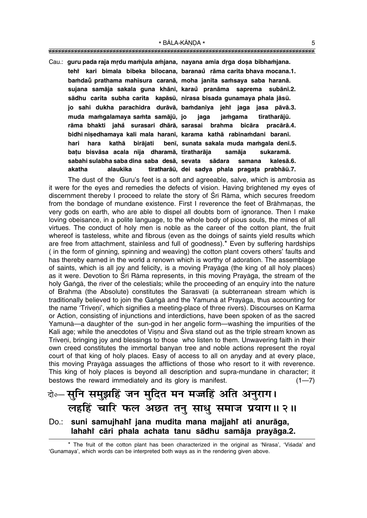- Cau.: **guru pada raja mrdu mamjula amjana, nayana amia drga dosa bibhamjana.** tehì kari bimala bibeka bilocana, barana<mark>ŭ rāma carita bhava mocana.1.</mark> **ba≈da~u. prathama mah∂sura caranå, moha janita sa≈saya saba haranå. sujana samåja sakala guna khån∂, karau pranåma saprema subån∂.2. ° sådhu carita subha carita kapåsµu, nirasa bisada gunamaya phala jåsµu. jo sahi dukha parachidra duråvå, ba≈dan∂ya jehiÚ jaga jasa påvå.3.** muda mamgalamaya samta samājū, jo jaga jamgama tīratharājū. **råma bhakti jaha° surasari dhårå, sarasai brahma bicåra pracårå.4.**
	- **bidhi ni¶edhamaya kali mala haran∂, karama kathå rabina≈dani baran∂.** hari hara kathā birājati benī, sunata sakala muda mamgala denī.5. **ba¢u bisvåsa acala nija dharamå, t∂ratharåja samåja sukaramå. sabahi sulabha saba dina saba deså, sevata sådara samana kaleså.6. akatha alaukika t∂ratharåµu, dei sadya phala praga¢a prabhåµu.7.**

The dust of the Guruís feet is a soft and agreeable, salve, which is ambrosia as it were for the eyes and remedies the defects of vision. Having brightened my eyes of discernment thereby I proceed to relate the story of Śrī Rāma, which secures freedom from the bondage of mundane existence. First I reverence the feet of Brāhmanas, the very gods on earth, who are able to dispel all doubts born of ignorance. Then I make loving obeisance, in a polite language, to the whole body of pious souls, the mines of all virtues. The conduct of holy men is noble as the career of the cotton plant, the fruit whereof is tasteless, white and fibrous (even as the doings of saints yield results which are free from attachment, stainless and full of goodness).\* Even by suffering hardships ( in the form of ginning, spinning and weaving) the cotton plant covers othersí faults and has thereby earned in the world a renown which is worthy of adoration. The assemblage of saints, which is all joy and felicity, is a moving Prayåga (the king of all holy places) as it were. Devotion to Śrī Rāma represents, in this moving Prayāga, the stream of the holy Gangã, the river of the celestials; while the proceeding of an enguiry into the nature of Brahma (the Absolute) constitutes the Sarasvatī (a subterranean stream which is traditionally believed to join the Gangā and the Yamunā at Prayāga, thus accounting for the name 'Trivenī', which signifies a meeting-place of three rivers). Discourses on Karma or Action, consisting of injunctions and interdictions, have been spoken of as the sacred Yamunā—a daughter of the sun-god in her angelic form—washing the impurities of the Kali age; while the anecdotes of Visnu and Siva stand out as the triple stream known as Triveni, bringing joy and blessings to those who listen to them. Unwavering faith in their own creed constitutes the immortal banyan tree and noble actions represent the royal court of that king of holy places. Easy of access to all on anyday and at every place, this moving Prayåga assuages the afflictions of those who resort to it with reverence. This king of holy places is beyond all description and supra-mundane in character; it bestows the reward immediately and its glory is manifest.  $(1-7)$ 

## दो० सुनि समुझहिं जन मुदित मन मज्जहिं अति अनुराग। **लहहिं चारि फल अछत तनु साधु समाज प्रयाग॥ २॥**

## Do.: **suni samujhahi jana mudita mana majjahi ati anurāga, lahahiÚ cåri phala achata tanu sådhu samåja prayåga.2.**

\* The fruit of the cotton plant has been characterized in the original as 'Nīrasa', 'Viśada' and ëGunamayaí, which words can be interpreted both ways as in the rendering given above.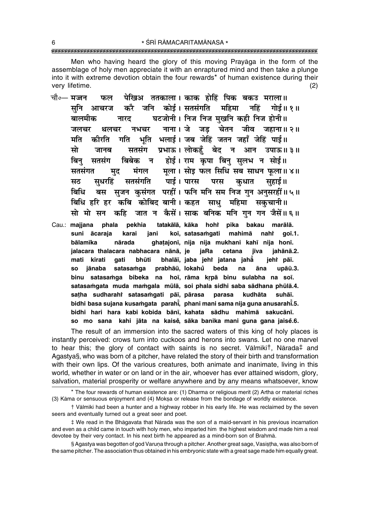Men who having heard the glory of this moving Prayaga in the form of the assemblage of holy men appreciate it with an enraptured mind and then take a plunge into it with extreme devotion obtain the four rewards<sup>\*</sup> of human existence during their very lifetime.  $(2)$ 

- पेखिअ ततकाला। काक होहिं पिक बकउ मराला॥ चौ∘— मज्जन फल कोई। सतसंगति करै जनि महिमा नहिं सनि आचरज गोर्ड ॥ १ ॥ घटजोनी। निज निज मखनि कही निज होनी॥ बालमीक नारट नाना । जे जड चेतन जीव जहाना॥२॥ जलचर थलचर नभचर भति भलाई। जब जेहिं जतन जहाँ जेहिं पाई॥ मति गति कोरति मो प्रभाऊ। लोकहँ बेद न आन उपाऊ॥३॥ सतसंग जानब बिबेक न होई। राम कृपा बिनु सुलभ न सोई॥ सतसंग बिन मला। सोड फल सिधि सब साधन फला॥४॥ सतसंगत मंगल मूद सतसंगति पाई । पारस कधात सहार्ड ॥ सधरहिं परस सठ बस सुजन कसंगत परहीं। फनि मनि सम निज गुन अनुसरहीं॥५॥ बिधि बिधि हरि हर कबि कोबिद बानी। कहत साधु महिमा सकुचानी॥ सो मो सन कहि जात न कैसें। साक बनिक मनि गन गन जैसें॥६॥
- Cau.: majjana phala pekhia tatakālā, kāka hohi pika bakau marālā. suni ācaraja karai iani koī, satasamgati mahimā nahř goī.1. bālamīka nārada ghatajonī, nija nija mukhani kahī nija honī. jalacara thalacara nabhacara nānā, je jaRa cetana iīva jahānā.2. mati kīrati bhūti bhalāī, jaba jehr jatana jahā jehř pāī. qati so jānaba satasamga prabhāū, lokahů beda na āna upāū.3. binu satasamga bibeka na hoi, rāma krpā binu sulabha na soi. satasamgata muda mamgala mūlā, soi phala sidhi saba sādhana phūlā.4. satha sudharahi satasamgati pāī, pārasa parasa kudhāta suhāī. bidhi basa sujana kusamgata parahi, phani mani sama nija guna anusarahi.5. bidhi hari hara kabi kobida bānī, kahata sādhu mahimā sakucānī. so mo sana kahi jāta na kaisė, sāka banika mani guna gana jaisė.6.

The result of an immersion into the sacred waters of this king of holy places is instantly perceived: crows turn into cuckoos and herons into swans. Let no one marvel to hear this; the glory of contact with saints is no secret. Valmikit, Narada‡ and Agastya§, who was born of a pitcher, have related the story of their birth and transformation with their own lips. Of the various creatures, both animate and inanimate, living in this world, whether in water or on land or in the air, whoever has ever attained wisdom, glory, salvation, material prosperity or welfare anywhere and by any means whatsoever, know

§ Agastya was begotten of god Varuna through a pitcher. Another great sage, Vasistha, was also born of the same pitcher. The association thus obtained in his embryonic state with a great sage made him equally great.

<sup>\*</sup> The four rewards of human existence are: (1) Dharma or religious merit (2) Artha or material riches (3) Kāma or sensuous enjoyment and (4) Moksa or release from the bondage of worldly existence.

<sup>†</sup> Vālmīki had been a hunter and a highway robber in his early life. He was reclaimed by the seven seers and eventually turned out a great seer and poet.

<sup>#</sup> We read in the Bhāgavata that Nārada was the son of a maid-servant in his previous incarnation and even as a child came in touch with holy men, who imparted him the highest wisdom and made him a real devotee by their very contact. In his next birth he appeared as a mind-born son of Brahmā.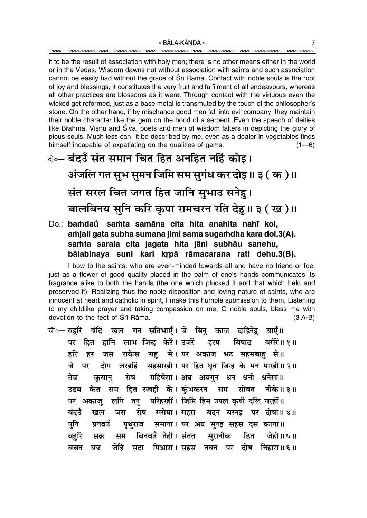it to be the result of association with holy men; there is no other means either in the world or in the Vedas. Wisdom dawns not without association with saints and such association cannot be easily had without the grace of Sri Rama. Contact with noble souls is the root of joy and blessings; it constitutes the very fruit and fulfilment of all endeavours, whereas all other practices are blossoms as it were. Through contact with the virtuous even the wicked get reformed, just as a base metal is transmuted by the touch of the philosopher's stone. On the other hand, if by mischance good men fall into evil company, they maintain their noble character like the gem on the hood of a serpent. Even the speech of deities like Brahmā, Visnu and Śiva, poets and men of wisdom falters in depicting the glory of pious souls. Much less can it be described by me, even as a dealer in vegetables finds himself incapable of expatiating on the qualities of gems.  $(1-6)$ 

# बे॰ बंदउँ संत समान चित हित अनहित नहिं कोड़। अंजलि गत सुभ सुमन जिमि सम सुगंध कर दोइ॥३( क )॥ संत सरल चित जगत हित जानि सुभाउ सनेहु। बालबिनय सुनि करि कुपा रामचरन रति देह।। ३ (ख)॥

Do.: bamdaŭ samta samāna cita hita anahita nahi koi, amjali gata subha sumana jimi sama sugamdha kara doi.3(A). samta sarala cita jagata hita jāni subhāu sanehu, bālabinaya suni kari krpā rāmacarana rati dehu.3(B).

I bow to the saints, who are even-minded towards all and have no friend or foe, just as a flower of good quality placed in the palm of one's hands communicates its fragrance alike to both the hands (the one which plucked it and that which held and preserved it). Realizing thus the noble disposition and loving nature of saints, who are innocent at heart and catholic in spirit, I make this humble submission to them. Listening to my childlike prayer and taking compassion on me, O noble souls, bless me with devotion to the feet of Srī Rāma.  $(3 A-B)$ 

चौ०— बहरि बंदि खल गन सतिभाएँ। जे बिन काज दाहिनेह बाएँ॥ पर हित हानि लाभ जिन्ह केरें। उजरें हरष बिषाट बसेरें॥ १॥ हरि जस राकेस राह से। पर अकाज भट सहसबाह से॥ हर दोष लखहिं सहसाखी। पर हित घृत जिन्ह के मन माखी॥२॥ जे पर महिषेसा। अघ अवगुन धन धनी धनेसा॥ रोष तेज कसान उदय केत सम हित सबही के।कंभकरन सम सोवत नीके ॥ ३ ॥ पर अकाजु लगि तनु परिहरहीं। जिमि हिम उपल कृषी दलि गरहीं॥ सेष सरोषा। सहस बंदउँ जस बदन बरनइ पर दोषा॥४॥ खल पनि प्रनवउँ समाना। पर अघ सुनइ सहस दस काना॥ पृथुराज बिनवउँ तेही । संतत सम सरानीक हित जेही॥५॥ बहरि सक्र जेहि सदा पिआरा।सहस नयन पर दोष निहारा॥६॥ बचन बज्र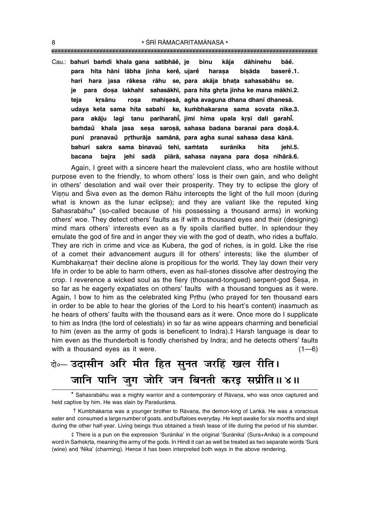""""""""""""""""""""""""""""""""""""""""""""""""""""""""""""""""""""""""""""""""""" 8 \* SRĪ RĀMACARITAMĀNASA \*

Cau.: **bahuri ba≈di khala gana satibhåe° , je binu kåja dåhinehu båe°. para hita håni låbha jinha kere°, ujare hara¶a bi¶åda basere ° ° .1. hari hara jasa råkesa råhu se, para akåja bha¢a sahasabåhu se. je para do¶a lakhahiÚ sahasåkh∂, para hita ghæta jinha ke mana måkh∂.2.** teja krsānu rosa mahisesā, agha avaguna dhana dhanī dhanesā. **udaya keta sama hita sabah∂ ke, ku≈bhakarana sama sovata n∂ke.3. para akåju lagi tanu pariharah∂° , jimi hima upala kæ¶∂ dali garah∂° .** bamdau khala jasa sesa sarosā, sahasa badana baranai para dosā.4. **puni pranavau pæthuråja ° samånå, para agha sunai sahasa dasa kånå. bahuri sakra sama binavau° teh∂, sa≈tata surån∂ka hita jeh∂.5.** bacana bajra jehi sadā piārā, sahasa nayana para dosa nihārā.6.

Again, I greet with a sincere heart the malevolent class, who are hostile without purpose even to the friendly, to whom others' loss is their own gain, and who delight in others' desolation and wail over their prosperity. They try to eclipse the glory of Visnu and Siva even as the demon Rāhu intercepts the light of the full moon (during what is known as the lunar eclipse); and they are valiant like the reputed king Sahasrabåhu\* (so-called because of his possessing a thousand arms) in working othersí woe. They detect othersí faults as if with a thousand eyes and their (designing) mind mars others' interests even as a fly spoils clarified butter. In splendour they emulate the god of fire and in anger they vie with the god of death, who rides a buffalo. They are rich in crime and vice as Kubera, the god of riches, is in gold. Like the rise of a comet their advancement augurs ill for others' interests; like the slumber of Kumbhakarna† their decline alone is propitious for the world. They lay down their very life in order to be able to harm others, even as hail-stones dissolve after destroying the crop. I reverence a wicked soul as the fiery (thousand-tongued) serpent-god Sesa, in so far as he eagerly expatiates on others' faults with a thousand tongues as it were. Again, I bow to him as the celebrated king Prthu (who prayed for ten thousand ears in order to be able to hear the glories of the Lord to his heartís content) inasmuch as he hears of others' faults with the thousand ears as it were. Once more do I supplicate to him as Indra (the lord of celestials) in so far as wine appears charming and beneficial to him (even as the army of gods is beneficent to Indra).‡ Harsh Ianguage is dear to him even as the thunderbolt is fondly cherished by Indra; and he detects others' faults with a thousand eyes as it were.  $(1-6)$ 

# दो**0 उदासीन अरि मीत हित सुनत जरहिं खल रीति।** जानि पानि जुग जोरि जन बिनती करइ सप्रीति ॥ ४ ॥

\* Sahasrabāhu was a mighty warrior and a contemporary of Rāvaņa, who was once captured and held captive by him. He was slain by Parasurāma.

† Kumbhakarna was a younger brother to Rāvana, the demon-king of Lankā. He was a voracious eater and consumed a large number of goats. and buffaloes everyday. He kept awake for six months and slept during the other half-year. Living beings thus obtained a fresh lease of life during the period of his slumber.

‡ There is a pun on the expression 'Surānīka' in the original 'Surānīka' (Sura+Anīka) is a compound word in Samskrta, meaning the army of the gods. In Hindi it can as well be treated as two separate words 'Surā (wine) and ëN∂kaí (charming). Hence it has been interpreted both ways in the above rendering.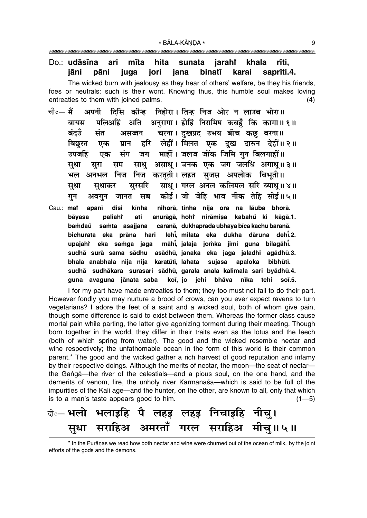| Do.: udāsīna ari mīta hita sunata jarahi khala rīti,                                                                       |     |
|----------------------------------------------------------------------------------------------------------------------------|-----|
| pāni juga jori jana binatī karai saprīti.4.<br>jāni                                                                        |     |
| The wicked burn with jealousy as they hear of others' welfare, be they his friends,                                        |     |
| foes or neutrals: such is their wont. Knowing thus, this humble soul makes loving<br>entreaties to them with joined palms. | (4) |
| चौ∘— मैं   अपनी   दिसि  कीन्ह   निहोरा । तिन्ह  निज ओर  न  लाउब  भोरा ॥                                                    |     |
| बायस पलिअहिं अति अनुरागा। होहिं निरामिष कबहुँ कि कागा॥१॥                                                                   |     |
| बंदउँ संत असज्जन चरना। दुखप्रद उभय बीच कछु बरना॥                                                                           |     |
| बिछुरत एक प्रान हरि लेहीं।।मिलत एक दुख दारुन देहीं॥२॥                                                                      |     |
| उपजहिं एक संग जग माहीं। जलज जोंक जिमि गुन बिलगाहीं॥                                                                        |     |
| सुरा सम साधु असाधू। जनक एक जग जलधि अगाधू॥३॥<br>सुधा                                                                        |     |
| भल अनभल निज निज करतूती। लहत सुजस अपलोक बिभूती॥                                                                             |     |
| सुधा सुधाकर सुरसरि साधू। गरल अनल कलिमल सरि ब्याध् ॥ ४॥                                                                     |     |
| गुन अवगुन जानत सब कोई। जो जेहि भाव नीक तेहि सोई॥५॥                                                                         |     |
| Cau.: mai apanī disi kīnha nihorā, tinha nija ora na lāuba bhorā.                                                          |     |
| paliaht ati anurāgā, hoht nirāmiṣa kabahů ki kāgā.1.<br>bāyasa                                                             |     |
| bamdaŭ samta asajjana caranā, dukhaprada ubhaya bīca kachu baranā.                                                         |     |
| bichurata eka prāna hari lehi, milata eka dukha dāruna dehi.2.                                                             |     |
| upajahi eka samga jaga māhi, jalaja jomka jimi guna bilagāhi.                                                              |     |
| sudhā surā sama sādhu asādhū, janaka eka jaga jaladhi agādhū.3.                                                            |     |
| bhala anabhala nija nija karatūtī, lahata sujasa apaloka bibhūtī.                                                          |     |
| sudhā sudhākara surasari sādhū, garala anala kalimala sari byādhū.4.                                                       |     |
| guna avaguna jānata saba koī, jo jehi bhāva nīka tehi soī.5.                                                               |     |

I for my part have made entreaties to them; they too must not fail to do their part. However fondly you may nurture a brood of crows, can you ever expect ravens to turn vegetarians? I adore the feet of a saint and a wicked soul, both of whom give pain, though some difference is said to exist between them. Whereas the former class cause mortal pain while parting, the latter give agonizing torment during their meeting. Though born together in the world, they differ in their traits even as the lotus and the leech (both of which spring from water). The good and the wicked resemble nectar and wine respectively; the unfathomable ocean in the form of this world is their common parent.\* The good and the wicked gather a rich harvest of good reputation and infamy by their respective doings. Although the merits of nectar, the moon—the seat of nectar the Ganga—the river of the celestials—and a pious soul, on the one hand, and the demerits of venom, fire, the unholy river Karmanasa—which is said to be full of the impurities of the Kali age—and the hunter, on the other, are known to all, only that which is to a man's taste appears good to him.  $(1 - 5)$ 

बे॰– भलो भलाइहि पै लहइ लहइ निचाइहि नीचु। सराहिअ अमरताँ गरल सराहिअ मीचु।।५॥

\* In the Purāņas we read how both nectar and wine were churned out of the ocean of milk, by the joint efforts of the gods and the demons.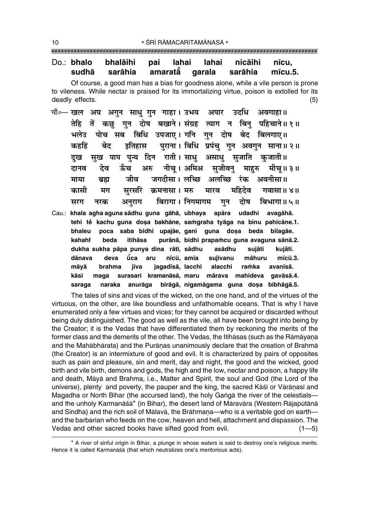#### Do.: bhalo **bhalaihi** pai lahai lahai nicāihi nīcu, sudhā sarāhia amarată sarāhia garala mīcu.5.

Of course, a good man has a bias for goodness alone, while a vile person is prone to vileness. While nectar is praised for its immortalizing virtue, poison is extolled for its deadly effects.  $(5)$ 

- चौ०— खल अघ अगुन साधु गुन गाहा। उभय अपार उदधि अवगाहा॥ तेहि तें कछ गुन दोष बखाने। संग्रह त्याग न बिन पहिचाने॥१॥ भलेउ पोच सब बिधि उपजाए।गनि गन दोष बेद बिलगाए॥ इतिहास पराना। बिधि प्रपंच गन अवगन साना॥ २॥ कहहिं बेट सख पाप पन्य दिन राती।साध असाध सजाति कजाती ॥ दख नीच् । अमिअ सुजीवन् माहरु ऊँच अरु दानव देव मीच्।। ३॥ जगदीसा। लच्छि अलच्छि रंक जीव अवनीसा॥ माया ब्रह्म मग सरसरि क्रमनासा । मरु मारव महिदेव कासी गवासा ॥ ४॥ बिरागा। निगमागम बिभागा॥ ५॥ सरग नरक अनराग गुन दोष
- Cau.: khala agha aguna sādhu guna gāhā, ubhaya apāra udadhi avagāhā. tehi tě kachu guna doșa bakhāne, samgraha tyāga na binu pahicāne.1. bhaleu poca saba bidhi upajāe, gani guna dosa beda bilagāe. kahaht beda itihāsa purānā, bidhi prapamcu guna avaguna sānā.2. dukha sukha pāpa punya dina rātī, sādhu asādhu sujāti kujātī. dānava deva ūّса aru nīcū, amia sujīvanu māhuru  $m\bar{c}\bar{u}$ .3. jagadīsā, lacchi alacchi ramka avanīsā. māyā brahma jīva surasari kramanāsā, maru mārava mahideva gavāsā.4. kāsī maga anurāga birāgā, nigamāgama guna dosa bibhāgā.5. saraga naraka

The tales of sins and vices of the wicked, on the one hand, and of the virtues of the virtuous, on the other, are like boundless and unfathomable oceans. That is why I have enumerated only a few virtues and vices; for they cannot be acquired or discarded without being duly distinguished. The good as well as the vile, all have been brought into being by the Creator; it is the Vedas that have differentiated them by reckoning the merits of the former class and the demerits of the other. The Vedas, the Itihasas (such as the Ramayana and the Mahābhārata) and the Purānas unanimously declare that the creation of Brahmā (the Creator) is an intermixture of good and evil. It is characterized by pairs of opposites such as pain and pleasure, sin and merit, day and night, the good and the wicked, good birth and vile birth, demons and gods, the high and the low, nectar and poison, a happy life and death, Māyā and Brahma, i.e., Matter and Spirit, the soul and God (the Lord of the universe), plenty and poverty, the pauper and the king, the sacred Kasti or Varanasi and Magadha or North Bihar (the accursed land), the holy Ganga the river of the celestialsand the unholy Karmanāśā\* (in Bihar), the desert land of Māravāra (Western Rājapūtānā and Sindha) and the rich soil of Mālavā, the Brāhmana-who is a veritable god on earthand the barbarian who feeds on the cow, heaven and hell, attachment and dispassion. The Vedas and other sacred books have sifted good from evil.  $(1 - 5)$ 

<sup>\*</sup> A river of sinful origin in Bihar, a plunge in whose waters is said to destroy one's religious merits. Hence it is called Karmanāśā (that which neutralizes one's meritorious acts).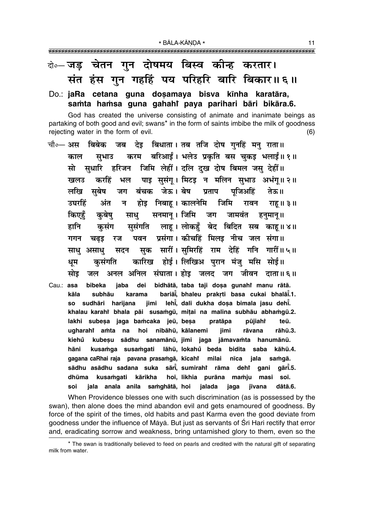# वे⊶जड चेतन गुन दोषमय बिस्व कीन्ह करतार। संत हंस गुन गहहिं पय परिहरि बारि बिकार॥६॥

#### Do.: jaRa cetana guna dosamaya bisva kinha karatāra, samta hamsa guna gahahi paya parihari bāri bikāra.6.

God has created the universe consisting of animate and inanimate beings as partaking of both good and evil; swans<sup>\*</sup> in the form of saints imbibe the milk of goodness rejecting water in the form of evil.  $(6)$ 

- चौ∘— अस बिबेक जब देइ बिधाता । तब तजि दोष गुनहिं मन् राता॥ करम बरिआईं। भलेउ प्रकृति बस चकड़ भलाईं॥ १॥ सभाउ काल सुधारि हरिजन जिमि लेहीं। दलि दुख दोष बिमल जसु देहीं।। सो पाइ सुसंगू। मिटइ न मलिन सुभाउ अभंगू॥ २॥ करहिं खलउ भल सबेष बंचक जेऊ। बेष पजिअहिं लरिव प्रताप तेऊ॥ जग उघरहिं होड़ निबाह। कालनेमि जिमि अंत न रावन राह ॥ ३ ॥ किएहँ कबेष साध् सनमान् । जिमि जग जामवंत हनुमान् ॥ सूसंगति हानि कसंग लाह । लोकहँ बेद बिदित सब काह॥४॥ प्रसंगा। कीचहिं मिलइ नीच जल संगा॥ पवन गगन चढड रज सक सारीं। समिरहिं राम देहिं गनि गारीं॥५॥ साध असाध सदन कारिख होई। लिखिअ पुरान मंजु मसि सोई॥ कसंगति धूम अनल अनिल संघाता। होइ जलद जग जीवन दाता॥६॥ सोड जल
- bidhātā, taba taji doșa gunahi manu rātā. Cau.: asa bibeka jaba dei bariāi, bhaleu prakrti basa cukai bhalāi.1. kāla subhāu karama jimi lehi, dali dukha dosa bimala jasu dehi. so sudhāri harijana khalau karahi bhala pāi susamgū, mitai na malina subhāu abhamgū.2. lakhi subesa jaga bamcaka jeū, besa teū. pratāpa pūjiaht hoi nibāhū, kālanemi ugharahi amta na rāhū.3. iimi rāvana kiehů kubesu sādhu sanamānū, jimi jaga jāmavamta hanumānū. hāni kusamga susamgati lāhū, lokahů beda bidita saba kāhū.4. gagana caRhai raja pavana prasamgā, kīcaht milai nīca jala samgā. sādhu asādhu sadana suka sārī, sumiraht rāma dehi qārī.5. qani dhūma kusamgati kārikha hoī, likhia purāna mamju masi soī. jala anala anila samghātā, hoi soi jalada jaga jīvana dātā.6.

When Providence blesses one with such discrimination (as is possessed by the swan), then alone does the mind abandon evil and gets enamoured of goodness. By force of the spirit of the times, old habits and past Karma even the good deviate from goodness under the influence of Māyā. But just as servants of Srī Hari rectify that error and, eradicating sorrow and weakness, bring untarnished glory to them, even so the

<sup>\*</sup> The swan is traditionally believed to feed on pearls and credited with the natural gift of separating milk from water.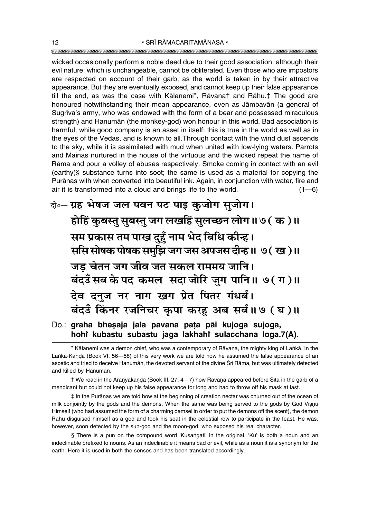wicked occasionally perform a noble deed due to their good association, although their evil nature, which is unchangeable, cannot be obliterated. Even those who are impostors are respected on account of their garb, as the world is taken in by their attractive appearance. But they are eventually exposed, and cannot keep up their false appearance till the end, as was the case with Kalanemi\*, Ravanat and Rahu.‡ The good are honoured notwithstanding their mean appearance, even as Jāmbavān (a general of Sugriva's army, who was endowed with the form of a bear and possessed miraculous strength) and Hanumān (the monkey-god) won honour in this world. Bad association is harmful, while good company is an asset in itself: this is true in the world as well as in the eyes of the Vedas, and is known to all. Through contact with the wind dust ascends to the sky, while it is assimilated with mud when united with low-lying waters. Parrots and Mainas nurtured in the house of the virtuous and the wicked repeat the name of Rāma and pour a volley of abuses respectively. Smoke coming in contact with an evil (earthy)§ substance turns into soot; the same is used as a material for copying the Purānas with when converted into beautiful ink. Again, in conjunction with water, fire and air it is transformed into a cloud and brings life to the world.  $(1 - 6)$ 

बे- ग्रह भेषज जल पवन पट पाइ कुजोग सुजोग। होहिं कुबस्तु सुबस्तु जग लखहिं सुलच्छन लोग॥७( क )॥ सम प्रकास तम पाख दुहुँ नाम भेद बिधि कीन्ह। ससि सोषक पोषक समुझि जग जस अपजस दीन्हा। ७( ख )॥ जड़ चेतन जग जीव जत सकल राममय जानि। बंदउँ सब के पद कमल सदा जोरि जुग पानि॥ ७( ग)॥ देव दनुज नर नाग खग प्रेत पितर गंधर्ब। बंदउँ किंनर रजनिचर कृपा करह अब सर्ब॥७ (ध)॥ Do.: graha bhesaja jala pavana pata pāi kujoga sujoga, hohi kubastu subastu jaga lakhahi sulacchana loga.7(A).

# In the Puranas we are told how at the beginning of creation nectar was churned out of the ocean of milk conjointly by the gods and the demons. When the same was being served to the gods by God Visnu Himself (who had assumed the form of a charming damsel in order to put the demons off the scent), the demon Rāhu disguised himself as a god and took his seat in the celestial row to participate in the feast. He was, however, soon detected by the sun-god and the moon-god, who exposed his real character.

§ There is a pun on the compound word 'Kusangati' in the original. 'Ku' is both a noun and an indeclinable prefixed to nouns. As an indeclinable it means bad or evil, while as a noun it is a synonym for the earth. Here it is used in both the senses and has been translated accordingly.

<sup>\*</sup> Kālanemi was a demon chief, who was a contemporary of Rāvaṇa, the mighty king of Lankā. In the Lankā-Kānda (Book VI. 56-58) of this very work we are told how he assumed the false appearance of an ascetic and tried to deceive Hanumān, the devoted servant of the divine Srī Rāma, but was ultimately detected and killed by Hanumān.

<sup>†</sup> We read in the Aranyakānda (Book III. 27. 4—7) how Rāvana appeared before Sītā in the garb of a mendicant but could not keep up his false appearance for long and had to throw off his mask at last.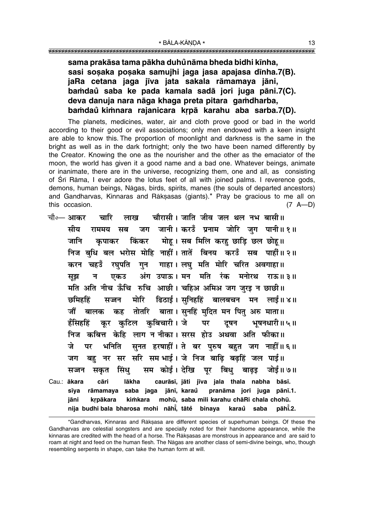## sama prakāsa tama pākha duhůnāma bheda bidhi kīnha, sasi sosaka posaka samujhi jaga jasa apajasa dīnha.7(B). jaRa cetana jaga jīva jata sakala rāmamaya jāni, bamdaŭ saba ke pada kamala sadā jori juga pāni.7(C). deva danuja nara nāga khaga preta pitara gamdharba, bamdaŭ kimnara rajanicara krpā karahu aba sarba.7(D).

The planets, medicines, water, air and cloth prove good or bad in the world according to their good or evil associations; only men endowed with a keen insight are able to know this. The proportion of moonlight and darkness is the same in the bright as well as in the dark fortnight; only the two have been named differently by the Creator. Knowing the one as the nourisher and the other as the emaciator of the moon, the world has given it a good name and a bad one. Whatever beings, animate or inanimate, there are in the universe, recognizing them, one and all, as consisting of Sri Rama, I ever adore the lotus feet of all with joined palms. I reverence gods, demons, human beings, Nāgas, birds, spirits, manes (the souls of departed ancestors) and Gandharvas, Kinnaras and Rāksasas (giants).\* Pray be gracious to me all on this occasion.  $(7 A-D)$ 

चौरासी। जाति जीव जल थल नभ बासी॥ चौ०— आकर चारि लाख जग जानी। करउँ प्रनाम जोरि जग पानी॥१॥ मीय राममय सब किंकर - मोहू । सब मिलि करहु छाड़ि छल छोहू ॥ जानि कुपाकर निज बुधि बल भरोस मोहि नाहीं। तातें बिनय करडँ सब पार्ही॥२॥ करन चहउँ रघुपति गुन गाहा।लघु मति मोरि चरित अवगाहा॥ अंग उपाऊ। मन मति रंक मनोरथ राऊ॥३॥ एकउ सुझ न मति अति नीच ऊँचि रुचि आछी। चहिअ अमिअ जग जरड न छाछी॥ मोरि ढिठाई। सुनिहहिं बालबचन मन लाई॥४॥ छमिहहिं सज्जन बालक कह तोतरि बाता। सुनहिं मुदित मन पित् अरु माता॥ जौं कर कटिल कबिचारी। जे दूषन भूषनधारी ॥ ५ ॥ पर हँसिहहिं निज कबित्त केहि लाग न नीका। सरस होउ अथवा अति फीका॥ सूनत हरषाहीं। ते बर पुरुष बहुत जग नाहीं॥६॥ जे पर भनिति बह नर सर सरि सम भाई। जे निज बाढि बढहिं जल पाई।। जग सम कोई। देखि पर बिध बाढइ जोई॥७॥ सकृत सिंध मजन caurāsī, jāti jīva jala thala nabha bāsī. Cau.: ākara cāri lākha rāmamaya saba jaga jānī, karaŭ pranāma jori juga pānī.1. sīva kimkara mohū, saba mili karahu chāRi chala chohū. jāni krpākara nija budhi bala bharosa mohi nāhi, tātě binaya karaů saba pāhī.2.

<sup>\*</sup>Gandharvas, Kinnaras and Rākṣasa are different species of superhuman beings. Of these the Gandharvas are celestial songsters and are specially noted for their handsome appearance, while the kinnaras are credited with the head of a horse. The Rākṣasas are monstrous in appearance and are said to roam at night and feed on the human flesh. The Nāgas are another class of semi-divine beings, who, though resembling serpents in shape, can take the human form at will.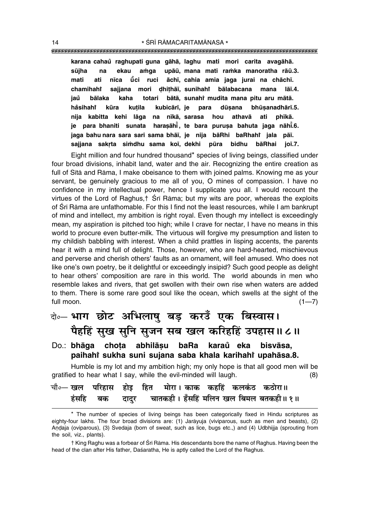#### """""""""""""""""""""""""""""""""""""""""""""""""""""""""""""""""""""""""""""""""""

**karana cahau raghupati guna ° gåhå, laghu mati mori carita avagåhå. sµujha na ekau a≈ga upåµu, mana mati ra≈ka manoratha råµu.3.** mati ati nīca ū̃ci ruci **ci ruci åch∂, cahia amia jaga jurai na chåch∂. chamihaht sajjana mori Œhi¢hå∂, sunihahiÚ bålabacana mana lå∂.4. jau bålaka °kaha totari båtå, sunahiÚ mudita mana pitu aru måtå. ha° sihahiÚ** kūra kutila kubicārī, je para dūsana bhūsanadhārī.5. **nija kabitta kehi låga na n∂kå, sarasa hou athavå ati ph∂kå. je para bhaniti sunata hara¶åh∂° , te bara puru¶a bahuta jaga nåh∂° .6. jaga bahu nara sara sari sama bhå∂, je nija båRhi baRhahiÚ jala på∂.** sajjana sakrta simdhu sama koī, dekhi pūra bidhu bāRhai joī.7.

Eight million and four hundred thousand\* species of living beings, classified under four broad divisions, inhabit land, water and the air. Recognizing the entire creation as full of Sītā and Rāma, I make obeisance to them with joined palms. Knowing me as your servant, be genuinely gracious to me all of you, O mines of compassion. I have no confidence in my intellectual power, hence I supplicate you all. I would recount the virtues of the Lord of Raghus,† Śrī Rāma; but my wits are poor, whereas the exploits of Śrī Rāma are unfathomable. For this I find not the least resources, while I am bankrupt of mind and intellect, my ambition is right royal. Even though my intellect is exceedingly mean, my aspiration is pitched too high; while I crave for nectar, I have no means in this world to procure even butter-milk. The virtuous will forgive my presumption and listen to my childish babbling with interest. When a child prattles in lisping accents, the parents hear it with a mind full of delight. Those, however, who are hard-hearted, mischievous and perverse and cherish othersí faults as an ornament, will feel amused. Who does not like one's own poetry, be it delightful or exceedingly insipid? Such good people as delight to hear others' composition are rare in this world. The world abounds in men who resemble lakes and rivers, that get swollen with their own rise when waters are added to them. There is some rare good soul like the ocean, which swells at the sight of the full moon.  $(1-7)$ 

# दो∘– भाग छोट अभिलाषु बड़ करउँ एक बिस्वास। पैहहिं सुख सुनि सुजन सब खल करिहहिं उपहास **॥ ८**॥

Do.: **bhāga chota abhilāsu baRa karaŭ eka bisvāsa, paihahiÚ sukha suni sujana saba khala karihahiÚ upahåsa.8.**

Humble is my lot and my ambition high; my only hope is that all good men will be gratified to hear what I say, while the evil-minded will laugh. (8)

चौ०— खल परिहास होड हित मोरा । काक कहहिं कलकंठ कठोरा ॥ हंसहि बक दादुर चातकही । हँसहिं मलिन खल बिमल बतकही ॥ १ ॥

† King Raghu was a forbear of Śrī Rāma. His descendants bore the name of Raghus. Having been the head of the clan after His father, Dasaratha, He is aptly called the Lord of the Raghus.

<sup>\*</sup> The number of species of living beings has been categorically fixed in Hindu scriptures as eighty-four lakhs. The four broad divisions are: (1) Jaråyuja (viviparous, such as men and beasts), (2) Andaja (oviparous), (3) Svedaja (born of sweat, such as lice, bugs etc.,) and (4) Udbhijja (sprouting from the soil, viz., plants).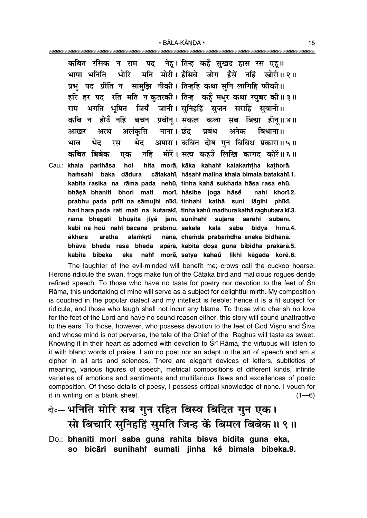\* BĀLA-KĀNDA \* 

कबित रसिक न राम पद नेह। तिन्ह कहँ सखद हास रस एह॥ भोरि मति मोरी। हँसिबे जोग हँसें नहिं खोरी॥२॥ भाषा भनिति प्रभु पद प्रीति न सामुझि नीकी। तिन्हहि कथा सुनि लागिहि फीकी॥ हरि हर पद रति मति न कृतरकी। तिन्ह कहँ मधुर कथा रघुबर की॥३॥ भगति भूषित जियँ जानी। सुनिहहिं सुजन सराहि सुबानी॥ गम कबि न होउँ नहिँ बचन प्रबीन् । सकल कला सब बिद्या हीन् ॥ ४॥ नाना । छंट प्रबंध अनेक बिधाना॥ अरथ अलंकति आखर अपारा। कबित दोष गन बिबिध प्रकारा॥५॥ भेद भाव भेद रस मोरें। सत्य कहउँ लिखि कागद कोरें॥६॥ कबित बिबेक एक नहिं

hita morā, kāka kahahi kalakamtha kathorā. Cau.: khala parihāsa hoi baka dādura cātakahī, håsahi malina khala bimala batakahī.1. haṁsahi kabita rasika na rāma pada nehū, tinha kahă sukhada hāsa rasa ehū. bhāṣā bhaniti bhori mati morī, håsibe joga håse nahi khorī.2. prabhu pada prīti na sāmujhi nīkī, tinhahi kathā suni lāgihi phīkī. hari hara pada rati mati na kutarakī, tinha kahů madhura kathā raghubara kī.3. rāma bhagati bhūsita jiyå jānī, sunihaht sujana sarāhi subānī. kabi na hoů nahř bacana prabīnū, sakala kalā saba bidyā hīnū.4. nānā, chamda prabamdha aneka bidhānā. ākhara aratha alamkrti apārā, kabita dosa guna bibidha prakārā.5. bhāva bheda rasa bheda kabita bibeka nahř morė, satya kahaů likhi kāgada korė.6. eka

The laughter of the evil-minded will benefit me; crows call the cuckoo hoarse. Herons ridicule the swan, frogs make fun of the Cātaka bird and malicious rogues deride refined speech. To those who have no taste for poetry nor devotion to the feet of Sri Rāma, this undertaking of mine will serve as a subject for delightful mirth. My composition is couched in the popular dialect and my intellect is feeble; hence it is a fit subject for ridicule, and those who laugh shall not incur any blame. To those who cherish no love for the feet of the Lord and have no sound reason either, this story will sound unattractive to the ears. To those, however, who possess devotion to the feet of God Visnu and Siva and whose mind is not perverse, the tale of the Chief of the Raghus will taste as sweet. Knowing it in their heart as adorned with devotion to Srī Rāma, the virtuous will listen to it with bland words of praise. I am no poet nor an adept in the art of speech and am a cipher in all arts and sciences. There are elegant devices of letters, subtleties of meaning, various figures of speech, metrical compositions of different kinds, infinite varieties of emotions and sentiments and multifarious flaws and excellences of poetic composition. Of these details of poesy, I possess critical knowledge of none. I vouch for it in writing on a blank sheet.  $(1-6)$ 

बे- भनिति मोरि सब गुन रहित बिस्व बिदित गुन एक। सो बिचारि सुनिहहिं सुमति जिन्ह कें बिमल बिबेक ॥ ९ ॥

Do.: bhaniti mori saba guna rahita bisva bidita guna eka, so bicāri sunihahi sumati jinha ke bimala bibeka.9.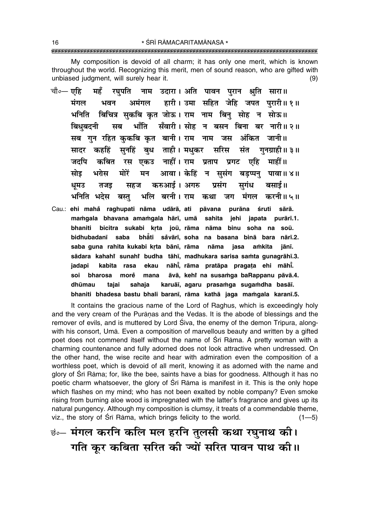My composition is devoid of all charm; it has only one merit, which is known throughout the world. Recognizing this merit, men of sound reason, who are gifted with unbiased judgment, will surely hear it.  $(9)$ 

- चौ०— एहि नाम उदारा। अति पावन परान श्रति सारा॥ महँ रघपति हारी। उमा सहित जेहि जपत परारी॥१॥ मंगल अमंगल भवन भनिति बिचित्र सकबि कृत जोऊ। राम नाम बिन सोह न सोऊ॥ बिधबदनी भाँति सँवारी। सोह न बसन बिना बर नारी॥ २॥ मब सब गुन रहित कुकबि कृत बानी। राम नाम जस अंकित जानी॥ सूनहिं बध ताही। मधकर सरिस सादर कहहिं गनग्राही॥ ३॥ संत जदपि एकउ नाहीं। राम प्रताप प्रगट कबित रस एहि माहीं ॥ आवा। केहिं न सुसंग बड़प्पनु पावा॥४॥ सोड भरोस मोरें मन करुआई। अगरु सुगंध धमउ सहज प्रसंग बसाई ॥ तजड भनिति भदेस बस्त भलि बरनी। राम कथा जग मंगल करनी॥५॥
- Cau.: ehi mahå raghupati nāma udārā, ati pāvana purāna śruti sārā. mamgala bhavana amamgala hārī, umā sahita jehi japata purārī.1. bhaniti bicitra sukabi krta joū, rāma nāma binu soha na soū. bidhubadanī saba bhåti såvārī, soha na basana binā bara nārī.2. saba guna rahita kukabi krta bānī, rāma nāma jasa amkita iānī. sādara kahahi sunahi budha tāhī, madhukara sarisa samta gunagrāhī.3. kabita rasa nāhi, rāma pratāpa pragata ehi māhi. jadapi ekau āvā, kehi na susamga baRappanu pāvā.4. soi bharosa morě mana dhūmau taiai sahaia karuāi, agaru prasamga sugamdha basāi. bhaniti bhadesa bastu bhali baranī, rāma kathā jaga mamgala karanī.5.

It contains the gracious name of the Lord of Raghus, which is exceedingly holy and the very cream of the Puranas and the Vedas. It is the abode of blessings and the remover of evils, and is muttered by Lord Śiva, the enemy of the demon Tripura, alongwith his consort, Uma. Even a composition of marvellous beauty and written by a gifted poet does not commend itself without the name of Sri Rama. A pretty woman with a charming countenance and fully adorned does not look attractive when undressed. On the other hand, the wise recite and hear with admiration even the composition of a worthless poet, which is devoid of all merit, knowing it as adorned with the name and glory of Śrī Rāma; for, like the bee, saints have a bias for goodness. Although it has no poetic charm whatsoever, the glory of Sri Rama is manifest in it. This is the only hope which flashes on my mind; who has not been exalted by noble company? Even smoke rising from burning aloe wood is impregnated with the latter's fragrance and gives up its natural pungency. Although my composition is clumsy, it treats of a commendable theme, viz., the story of Sri Rama, which brings felicity to the world.  $(1 - 5)$ 

छं… मंगल करनि कलि मल हरनि तुलसी कथा रघुनाथ की। गति कुर कबिता सरित की ज्यों सरित पावन पाथ की।।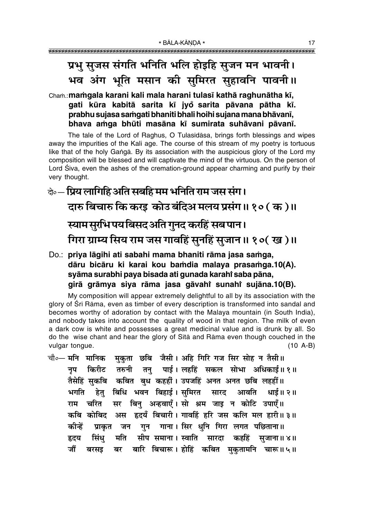# प्रभु सुजस संगति भनिति भलि होइहि सुजन मन भावनी। भव अंग भूति मसान की सुमिरत सुहावनि पावनी ।।

## Cham.: mamgala karani kali mala harani tulasī kathā raghunātha kī, gati kūra kabitā sarita kī jyo sarita pāvana pātha kī. prabhu sujasa samgati bhaniti bhali hoihi sujana mana bhāvanī, bhava amga bhūti masāna kī sumirata suhāvani pāvanī.

The tale of the Lord of Raghus, O Tulasidasa, brings forth blessings and wipes away the impurities of the Kali age. The course of this stream of my poetry is tortuous like that of the holy Ganga. By its association with the auspicious glory of the Lord my composition will be blessed and will captivate the mind of the virtuous. On the person of Lord Siva, even the ashes of the cremation-ground appear charming and purify by their very thought.

केल- प्रिय लागिहि अति सबहि मम भनिति राम जस संग । दारु बिचारु कि करड़ कोउ बंदिअ मलय प्रसंग॥ १० ( क )॥ स्याम सुरभि पय बिसद अति गुनद करहिं सब पान। गिरा ग्राम्य सिय राम जस गावहिं सुनहिं सुजान॥ १०( ख )॥

Do.: priya lāgihi ati sabahi mama bhaniti rāma jasa samga, dāru bicāru ki karai kou bamdia malaya prasamga.10(A). syāma surabhi paya bisada ati gunada karahi saba pāna, girā grāmya siya rāma jasa gāvahi sunahi sujāna.10(B).

My composition will appear extremely delightful to all by its association with the glory of Śrī Rāma, even as timber of every description is transformed into sandal and becomes worthy of adoration by contact with the Malaya mountain (in South India), and nobody takes into account the quality of wood in that region. The milk of even a dark cow is white and possesses a great medicinal value and is drunk by all. So do the wise chant and hear the glory of Sita and Rama even though couched in the vulgar tonque.  $(10 A-B)$ 

चौ∘— मनि मानिक मकता छबि जैसी। अहि गिरि गज सिर सोह न तैसी॥ नृप किरीट तरुनी तन् पाई।लहहिं सकल सोभा अधिकाई॥१॥ तैसेहिं सुकबि कबित बुध कहहीं । उपजहिं अनत अनत छबि लहहीं ॥ भगति हेत् बिधि भवन बिहाई।सुमिरत सारद आवति धाई॥ २॥ राम चरित सर बिनु अन्हवाएँ।सो श्रम जाइ न कोटि उपाएँ॥ कबि कोबिद अस हृदयँ बिचारी। गावहिं हरि जस कलि मल हारी॥३॥ प्राकृत जन गुन गाना। सिर धुनि गिरा लगत पछिताना॥ कीन्हें मति सीप समाना। स्वाति सारदा कहहिं सिंध सजाना ॥ ४॥ हृदय बर बारि बिचारू। होहिं कबित मुकुतामनि चारू॥५॥ जौं बरसइ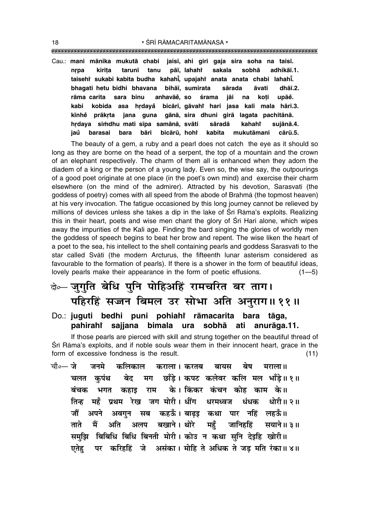Cau.: mani mānika mukutā chabi jaisī, ahi giri gaja sira soha na taisī. pāī, lahaht kirīta tarunī tanu sakala sobhā adhikāī.1. nrpa taisehi sukabi kabita budha kahahi, upaiahi anata anata chabi lahahi, bhagati hetu bidhi bhavana bihāī, sumirata dhāī.2. sārada āvati rāma carita sara binu anhavāĕ. so śrama iāi na koti upāe. kabi kobida asa hrdayå bicārī, gāvahi hari jasa kali mala hārī.3. kīnhe prākrta jana guna gānā, sira dhuni girā lagata pachitānā. hrdaya simdhu mati sīpa samānā, svāti sāradā kahahi suiānā.4. barasai bara bāri bicārū, hohî iaů kabita mukutāmani cārū.5.

The beauty of a gem, a ruby and a pearl does not catch the eye as it should so long as they are borne on the head of a serpent, the top of a mountain and the crown of an elephant respectively. The charm of them all is enhanced when they adorn the diadem of a king or the person of a young lady. Even so, the wise say, the outpourings of a good poet originate at one place (in the poet's own mind) and exercise their charm elsewhere (on the mind of the admirer). Attracted by his devotion, Sarasvati (the goddess of poetry) comes with all speed from the abode of Brahma (the topmost heaven) at his very invocation. The fatigue occasioned by this long journey cannot be relieved by millions of devices unless she takes a dip in the lake of Srī Rāma's exploits. Realizing this in their heart, poets and wise men chant the glory of Sri Hari alone, which wipes away the impurities of the Kali age. Finding the bard singing the glories of worldly men the goddess of speech begins to beat her brow and repent. The wise liken the heart of a poet to the sea, his intellect to the shell containing pearls and goddess Sarasvati to the star called Svātī (the modern Arcturus, the fifteenth lunar asterism considered as favourable to the formation of pearls). If there is a shower in the form of beautiful ideas, lovely pearls make their appearance in the form of poetic effusions.  $(1 - 5)$ 

## बेञ्च्ज़ुति बेधि पुनि पोहिअहिं रामचरित बर ताग। पहिरहिं सज्जन बिमल उर सोभा अति अनुराग॥११॥

Do.: juguti bedhi puni pohiahi rāmacarita bara tāga, pahirahi sajjana bimala ura sobhā ati anurāga.11.

If those pearls are pierced with skill and strung together on the beautiful thread of Śrī Rāma's exploits, and if noble souls wear them in their innocent heart, grace in the form of excessive fondness is the result.  $(11)$ 

चौ०— जे जनमे कलिकाल बेष कराला । करतब बायस मराला ॥ छाँडे। कपट कलेवर कलि मल भाँडे॥१॥ चलत कपंथ बेट मग बंचक के। किंकर कंचन कोह काम के॥ राम भगत कहाड़ तिन्ह महँ प्रथम रेख जग मोरी। धींग धरमध्वज धंधक धोरी॥ २॥ अवगन सब कहऊँ।बाढइ कथा पार नहिं लहऊँ॥ जौं अपने अलप बखाने। थोरे महँ ताते मैं अति जानिहहिं सयाने॥ ३॥ समुझि बिबिधि बिधि बिनती मोरी। कोउ न कथा सुनि देइहि खोरी॥ पर करिहहिं जे असंका। मोहि ते अधिक ते जड मति रंका॥४॥ एतेह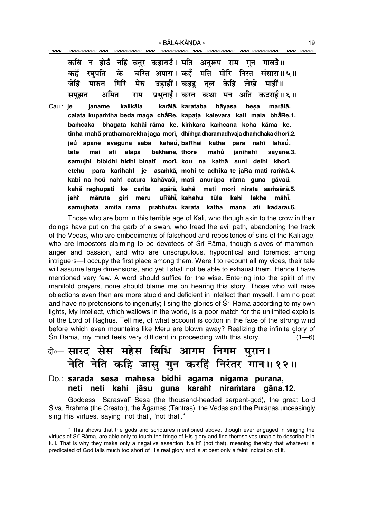|          | कबि न होउँ नहिं चतुर कहावउँ। मति अनुरूप राम गुन गावउँ॥                                                                                                                                                                                                                      |
|----------|-----------------------------------------------------------------------------------------------------------------------------------------------------------------------------------------------------------------------------------------------------------------------------|
|          | कहँ रघुपति के चरित अपारा।कहँ मति मोरि निरत संसारा॥५॥                                                                                                                                                                                                                        |
|          | जेहिं<br>मारुत गिरि मेरु उड़ाहीं। कहहु तूल केहि लेखे माहीं॥                                                                                                                                                                                                                 |
|          | समुझत अमित राम प्रभुताई। करत कथा मन अति कदराई॥६॥                                                                                                                                                                                                                            |
| Cau.: je | janame kalikāla karālā, karataba bāyasa besa marālā.<br>calata kupamtha beda maga chaRe, kapata kalevara kali mala bhaRe.1.<br>bamcaka bhagata kahāi rāma ke, kimkara kamcana koha kāma ke.<br>tinha mahå prathama rekha jaga morī, dhīmga dharamadhvaja dhamdhaka dhorī.2. |
|          | jaů apane avaguna saba kahaŭ, bāRhai kathā pāra nahi lahaŭ.<br>mai ati alapa bakhāne, thore mahů jānihahi sayāne.3.<br>tāte<br>samujhi bibidhi bidhi binatī morī, kou na kathā suni deihi khorī.<br>etehu para karihahî je asamkā, mohi te adhika te jaRa mati ramkā.4.     |
|          | kabi na hoů nahř catura kahāvaů, mati anurūpa rāma guna gāvaů.<br>kahå raghupati ke carita apārā, kahå mati mori nirata samsārā.5.                                                                                                                                          |
|          | māruta giri meru uRāhi, kahahu tūla kehi lekhe māhi.<br>jeht<br>samujhata amita rāma prabhutāi, karata kathā mana ati kadarāi.6.                                                                                                                                            |

Those who are born in this terrible age of Kali, who though akin to the crow in their doings have put on the garb of a swan, who tread the evil path, abandoning the track of the Vedas, who are embodiments of falsehood and repositories of sins of the Kali age, who are impostors claiming to be devotees of Śrī Rāma, though slaves of mammon, anger and passion, and who are unscrupulous, hypocritical and foremost among intriguers—I occupy the first place among them. Were I to recount all my vices, their tale will assume large dimensions, and yet I shall not be able to exhaust them. Hence I have mentioned very few. A word should suffice for the wise. Entering into the spirit of my manifold prayers, none should blame me on hearing this story. Those who will raise objections even then are more stupid and deficient in intellect than myself. I am no poet and have no pretensions to ingenuity; I sing the glories of Śrī Rāma according to my own lights, My intellect, which wallows in the world, is a poor match for the unlimited exploits of the Lord of Raghus. Tell me, of what account is cotton in the face of the strong wind before which even mountains like Meru are blown away? Realizing the infinite glory of  $\sin$  Rāma, my mind feels very diffident in proceeding with this story. (1—6)

## दो**०– सारद सेस महेस बिधि आगम निगम पुरान।** <u>नेति नेति कहि जासु गुन करहिं निरंतर गान॥१२॥</u>

## Do.: **sårada sesa mahesa bidhi ågama nigama puråna, neti neti kahi jåsu guna karahiÚ nira≈tara gåna.12.**

Goddess Sarasvatī Śesa (the thousand-headed serpent-god), the great Lord  $\sin a$ , Brahmā (the Creator), the  $\overline{A}$ gamas (Tantras), the Vedas and the Purānas unceasingly sing His virtues, saying 'not that', 'not that'.\*

<sup>\*</sup> This shows that the gods and scriptures mentioned above, though ever engaged in singing the virtues of Śrī Rāma, are able only to touch the fringe of His glory and find themselves unable to describe it in full. That is why they make only a negative assertion 'Na iti' (not that), meaning thereby that whatever is predicated of God falls much too short of His real glory and is at best only a faint indication of it.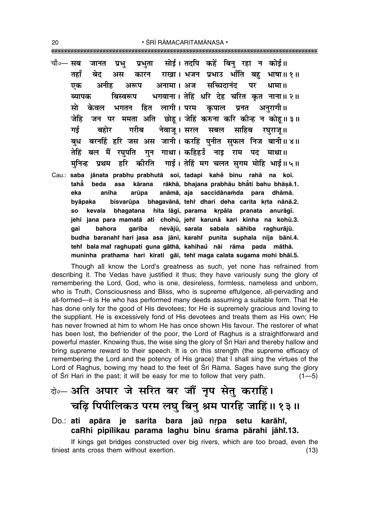| चौ∘— सब जानत प्रभु प्रभुता सोई। तदपि कहें बिनु रहा न कोई॥               |
|-------------------------------------------------------------------------|
| तहाँ बेद अस कारन राखा। भजन प्रभाउ भाँति बहु भाषा॥ १॥                    |
| एक अनीह अरूप अनामा।अज सच्चिदानंद पर धामा॥                               |
| बिस्वरूप भगवाना। तेहिं धरि देह चरित कृत नाना॥२॥<br>ब्यापक               |
| सो केवल भगतन हित लागी। परम कृपाल प्रनत अनुरागी॥                         |
| जेहि जन पर ममता अति छोहू। जेहिं करुना करि कीन्ह न कोहू॥३॥               |
| गई बहोर गरीब नेवाजू।सरल सबल साहिब रघुराजू॥                              |
| बुध बरनहिं हरि जस अस जानी। करहिं पुनीत सुफल निज बानी॥४॥                 |
| तेहिं बल मैं रघुपति गुन गाथा। कहिहउँ नाइ राम पद माथा॥                   |
| मुनिन्ह प्रथम हरि कीरति गाई। तेहिं मग चलत सुगम मोहि भाई॥५॥              |
| Cau.: saba jānata prabhu prabhutā soī, tadapi kahe binu rahā na koī.    |
| tahă beda asa kārana rākhā, bhajana-prabhāu-bhāti-bahu-bhāṣā.1.         |
| anīha arūpa anāmā, aja saccidānamda para dhāmā.<br>eka                  |
| byāpaka bisvarūpa bhagavānā, tehi dhari deha carita krta nānā.2.        |
| kevala bhagatana hita lāgī, parama krpāla pranata anurāgī.<br><b>SO</b> |
| jehi jana para mamatā ati chohū, jehr karunā kari kīnha na kohū.3.      |
| garība nevājū, sarala sabala sāhiba raghurājū.<br>gaī<br>bahora         |
| budha baranahi hari jasa asa jānī, karahi punīta suphala nija bānī.4.   |
| tehi bala mai raghupati guna gāthā, kahihau nāi rāma pada māthā.        |
| muninha prathama hari kīrati gāī, tehi maga calata sugama mohi bhāī.5.  |

Though all know the Lord's greatness as such, yet none has refrained from describing it. The Vedas have justified it thus; they have variously sung the glory of remembering the Lord, God, who is one, desireless, formless, nameless and unborn, who is Truth, Consciousness and Bliss, who is supreme effulgence, all-pervading and all-formed—it is He who has performed many deeds assuming a suitable form. That He has done only for the good of His devotees; for He is supremely gracious and loving to the suppliant. He is excessively fond of His devotees and treats them as His own; He has never frowned at him to whom He has once shown His favour. The restorer of what has been lost, the befriender of the poor, the Lord of Raghus is a straightforward and powerful master. Knowing thus, the wise sing the glory of Sri Hari and thereby hallow and bring supreme reward to their speech. It is on this strength (the supreme efficacy of remembering the Lord and the potency of His grace) that I shall sing the virtues of the Lord of Raghus, bowing my head to the feet of Sri Rama. Sages have sung the glory of Srī Hari in the past; it will be easy for me to follow that very path.  $(1 - 5)$ 

# बे- अति अपार जे सरित बर जौं नृप सेतु कराहिं। चढ़ि पिपीलिकउ परम लघु बिनु श्रम पारहि जाहिं॥ १३॥

## Do.: ati apāra je sarita bara jaŭ nrpa setu karāhi, caRhi pipīlikau parama laghu binu śrama pārahi jāhi.13.

If kings get bridges constructed over big rivers, which are too broad, even the tiniest ants cross them without exertion.  $(13)$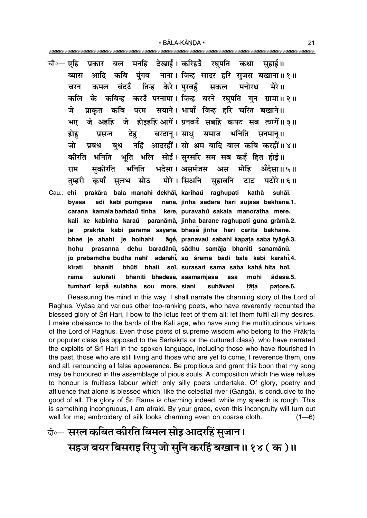\* BĀLA-KĀNDA \* 

चौ०— एहि मनहि देखाई। करिहउँ रघपति कथा सहाई॥ प्रकार बल आदि कबि पुंगव नाना। जिन्ह सादर हरि सुजस बखाना॥१॥ व्यास तिन्ह केरे। परवहँ कमल बंदउँ सकल मनोरथ मेरे ॥ चरन कबिन्ह करउँ परनामा। जिन्ह बरने रघपति गन ग्रामा॥२॥ कलि के सयाने। भाषाँ जिन्ह हरि चरित बखाने॥ कबि परम जे प्राकत जे अहहिं जे होइहहिं आगें। प्रनवउँ सबहि कपट सब त्यागें॥३॥ भए बरदान् । साधु समाज भनिति सनमान्॥ देह होह प्रसन्न नहिं आदरहीं। सो श्रम बादि बाल कबि करहीं॥४॥ जो पबंध बध भूति भलि सोई। सुरसरि सम सब कहँ हित होई॥ कीरति भनिति भदेसा । असमंजस राम सकोरति भनिति अस मोहि अँदेसा॥ ५॥ मोरे । सिअनि पटोरे॥ ६॥ तम्हरी कपाँ सलभ सोउ सहावनि टाट Cau.: ehi prakāra bala manahi dekhāī, karihaŭ raghupati kathā suhāī.

byāsa ādi kabi pumqava nānā, jinha sādara hari sujasa bakhānā.1. carana kamala bamdaŭ tinha kere, puravahŭ sakala manoratha mere. paranāmā, jinha barane raghupati guna grāmā.2. kali ke kabinha karaŭ prākrta kabi parama savāne, bhāsā jinha hari carita bakhāne. ie bhae je ahahî je hoihahî āgě, pranavaů sabahi kapata saba tyāgě.3. dehu baradānū, sādhu samāja bhaniti sanamānū. hohu prasanna jo prabamdha budha nahi ādarahi, so śrama bādi bāla kabi karahi.4. bhali kīrati bhaniti bhūti soī, surasari sama saba kahå hita hoī. bhaniti bhadesa, asamamiasa rāma sukīrati asa mohi ådesā.5. tumharī krpā sulabha sou more, siani suhāvani tāta patore.6.

Reassuring the mind in this way, I shall narrate the charming story of the Lord of Raghus. Vyāsa and various other top-ranking poets, who have reverently recounted the blessed glory of Srī Hari, I bow to the lotus feet of them all; let them fulfil all my desires. I make obeisance to the bards of the Kali age, who have sung the multitudinous virtues of the Lord of Raghus. Even those poets of supreme wisdom who belong to the Prākrta or popular class (as opposed to the Samskrta or the cultured class), who have narrated the exploits of Srī Hari in the spoken language, including those who have flourished in the past, those who are still living and those who are yet to come, I reverence them, one and all, renouncing all false appearance. Be propitious and grant this boon that my song may be honoured in the assemblage of pious souls. A composition which the wise refuse to honour is fruitless labour which only silly poets undertake. Of glory, poetry and affluence that alone is blessed which, like the celestial river (Ganga), is conducive to the good of all. The glory of Srī Rāma is charming indeed, while my speech is rough. This is something incongruous, I am afraid. By your grace, even this incongruity will turn out well for me; embroidery of silk looks charming even on coarse cloth.  $(1-6)$ 

# केन्- सरल कबित कीरति बिमल सोइ आदरहिं सुजान। सहज बयर बिसराइ रिपु जो सुनि करहिं बखान॥ १४ ( क )॥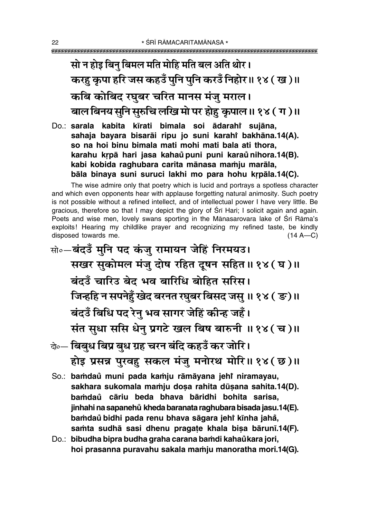सो न होइ बिन् बिमल मति मोहि मति बल अति थोर। करह कुपा हरि जस कहउँ पुनि पुनि करउँ निहोर॥ १४ ( ख )॥ कबि कोबिद रघबर चरित मानस मंज मराल। बाल बिनय सुनि सुरुचि लखि मो पर होहु कुपाल ॥ १४ ( ग )॥

Do.: sarala kabita kīrati bimala soi ādarahi sujāna, sahaja bayara bisarāi ripu jo suni karahi bakhāna.14(A). so na hoi binu bimala mati mohi mati bala ati thora, karahu krpā hari jasa kahaŭ puni puni karaŭ nihora.14(B). kabi kobida raghubara carita mānasa mamju marāla, bāla binaya suni suruci lakhi mo para hohu krpāla.14(C).

The wise admire only that poetry which is lucid and portrays a spotless character and which even opponents hear with applause forgetting natural animosity. Such poetry is not possible without a refined intellect, and of intellectual power I have very little. Be gracious, therefore so that I may depict the glory of Sri Hari; I solicit again and again. Poets and wise men, lovely swans sporting in the Manasarovara lake of Sri Rama's exploits! Hearing my childlike prayer and recognizing my refined taste, be kindly disposed towards me.  $(14A - C)$ 

- सो॰-बंदउँ मुनि पद कंजु रामायन जेहिं निरमयउ। सखर सुकोमल मंजु दोष रहित दूषन सहित ॥ १४ ( घ )॥ बंदउँ चारिउ बेद भव बारिधि बोहित सरिस। जिन्हहि न सपनेहुँ खेद बरनत रघुबर बिसद जसु ॥ १४ ( ङ)॥ बंदउँ बिधि पद रेन् भव सागर जेहिं कीन्ह जहँ। संत सुधा ससि धेनु प्रगटे खल बिष बारुनी ॥१४ ( च )॥
- केन्- बिबुध बिप्र बुध ग्रह चरन बंदि कहउँ कर जोरि। होड़ प्रसन्न पुरवह सकल मंजु मनोरथ मोरि॥१४(छ)॥
- So.: bamdaŭ muni pada kamju rāmāyana jehi niramayau, sakhara sukomala mamju dosa rahita dūsana sahita.14(D). bamdaŭ cāriu beda bhava bāridhi bohita sarisa, jinhahi na sapanehů kheda baranata raghubara bisada jasu.14(E). bamdaŭ bidhi pada renu bhava sāgara jehi kīnha jahå, samta sudhā sasi dhenu pragate khala bisa bārunī.14(F).
- Do.: bibudha bipra budha graha carana bamdi kahaŭkara jori, hoi prasanna puravahu sakala mamju manoratha mori.14(G).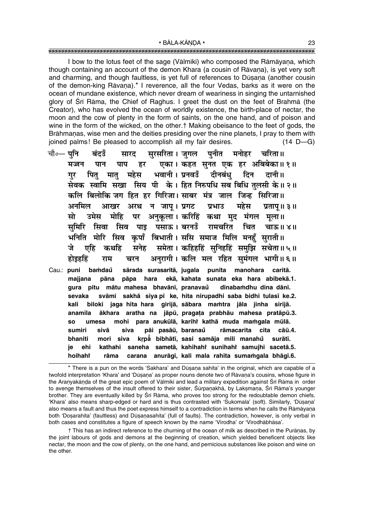I bow to the lotus feet of the sage (Vālmīki) who composed the Rāmāyana, which though containing an account of the demon Khara (a cousin of Rāvana), is yet very soft and charming, and though faultless, is yet full of references to Dūsana (another cousin of the demon-king Rāvana).\* I reverence, all the four Vedas, barks as it were on the ocean of mundane existence, which never dream of weariness in singing the untarnished glory of Śrī Rāma, the Chief of Raghus. I greet the dust on the feet of Brahmā (the Creator), who has evolved the ocean of worldly existence, the birth-place of nectar, the moon and the cow of plenty in the form of saints, on the one hand, and of poison and wine in the form of the wicked, on the other.† Making obeisance to the feet of gods, the Brāhmanas, wise men and the deities presiding over the nine planets, I pray to them with joined palms! Be pleased to accomplish all my fair desires. (14 D-G)

चौ०— पुनि बंदउँ सारद सुरसरिता। जुगल पुनीत मनोहर चरिता॥ मज्जन पान पाप हर एका। कहत सुनत एक हर अबिबेका॥१॥ <u>ग</u>र पित् मात् महेस भवानी।ऽप्रनवउँ दीनबंध् दिन दानी॥ सेवक स्वामि सखा सिय पी के। हित निरुपधि सब बिधि तलसी के॥ २॥ ॅकलि बिलोकि जग हित हर गिरिजा। साबर मंत्र जाल जिन्ह सिरिजा**॥** <u>अनमिल आखर अरथ न जाप्। प्रगट प्रभाउ महेस प्रताप्॥३॥</u> सो उमेस मोहि पर अनकला। करिहिं कथा मद मंगल मला॥ सुमिरि सिवा सिव पाइ पसाऊ।बरनउँ रामचरित चित चाऊ॥४॥ भनिति मोरि सिव कृपाँ बिभाती।**ससि समाज मिलि मनहँ सुराती**॥ **एहि कथहि सनेह समेता। कहिह**हिं सुनिहहिं समुझि सचेता॥५॥ होइहहिं राम चरन अनुरागी।**कलि मल रहित सुमंगल भागी॥६॥** Cau.: **puni ba≈dau sårada ° surasaritå, jugala pun∂ta manohara caritå. majjana påna påpa hara ekå, kahata sunata eka hara abibekå.1. gura pitu måtu mahesa bhavån∂, pranavau d∂naba≈dhu dina dån∂. ° sevaka svåmi sakhå siya p∂ ke, hita nirupadhi saba bidhi tulas∂ ke.2.** kali biloki jaga hita hara girijā, sābara mamtra jāla jinha sirijā. anamila ākhara aratha na jāpū, pragața prabhāu mahesa pratāpū.3. **so umesa mohi para anukµulå, karihiÚ kathå muda ma≈gala mµulå. sumiri sivå siva påi pasåµu, baranau råmacarita cita cåµu.4. ° bhaniti mori siva krpå bibhātī, sasi samāja mili manahů surātī. je ehi kathahi saneha sametå, kahihahiÚ sunihahiÚ samujhi sacetå.5. hoihaht råma carana anuråg∂, kali mala rahita suma≈gala bhåg∂.6.**

 $\dagger$  This has an indirect reference to the churning of the ocean of milk as described in the Purāṇas, by the joint labours of gods and demons at the beginning of creation, which yielded beneficent objects like nectar, the moon and the cow of plenty, on the one hand, and pernicious substances like poison and wine on the other.

<sup>\*</sup> There is a pun on the words 'Sakhara' and Dūṣaṇa sahita' in the original, which are capable of a twofold interpretation 'Khara' and 'Dūsana' as proper nouns denote two of Rāvana's cousins, whose figure in the Aranyakānda of the great epic poem of Vālmīki and lead a military expedition against Śrī Rāma in order to avenge themselves of the insult offered to their sister, Śūrpanakhā, by Laksmana, Śrī Rāma's younger brother. They are eventually killed by Śrī Rāma, who proves too strong for the redoubtable demon chiefs. 'Khara' also means sharp-edged or hard and is thus contrasted with 'Sukomala' (soft). Similarly, 'Dūṣaṇa' also means a fault and thus the poet express himself to a contradiction in terms when he calls the Rāmāyana both 'Dosarahita' (faultless) and Dūsanasahita' (full of faults). The contradiction, however, is only verbal in both cases and constitutes a figure of speech known by the name 'Virodha' or 'Virodhābhāsa'.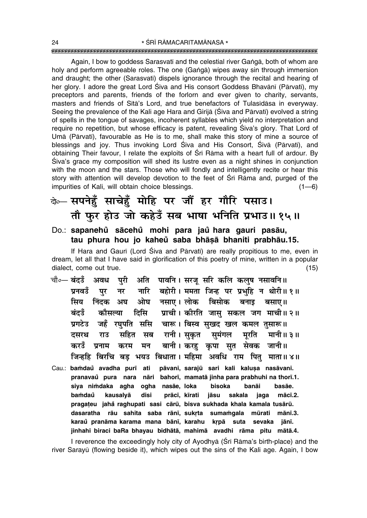Again, I bow to goddess Sarasvati and the celestial river Ganga, both of whom are holy and perform agreeable roles. The one (Ganga) wipes away sin through immersion and draught; the other (Sarasvati) dispels ignorance through the recital and hearing of her glory. I adore the great Lord Śiva and His consort Goddess Bhavānī (Pārvatī), my preceptors and parents, friends of the forlorn and ever given to charity, servants, masters and friends of Sītā's Lord, and true benefactors of Tulasīdāsa in everyway. Seeing the prevalence of the Kali age Hara and Girija (Siva and Pārvatī) evolved a string of spells in the tongue of savages, incoherent syllables which yield no interpretation and require no repetition, but whose efficacy is patent, revealing Siva's glory. That Lord of Umā (Pārvatī), favourable as He is to me, shall make this story of mine a source of blessings and joy. Thus invoking Lord Śiva and His Consort, Śivā (Pārvatī), and obtaining Their favour, I relate the exploits of Srī Rāma with a heart full of ardour. By Siva's grace my composition will shed its lustre even as a night shines in conjunction with the moon and the stars. Those who will fondly and intelligently recite or hear this story with attention will develop devotion to the feet of Sri Rama and, purged of the impurities of Kali, will obtain choice blessings.  $(1 - 6)$ 

## के-सपनेहुँ साचेहुँ मोहि पर जौँ हर गौरि पसाउ। तौ फुर होउ जो कहेउँ सब भाषा भनिति प्रभाउ॥१५॥

Do.: sapanehů sācehů mohi para jaů hara gauri pasāu, tau phura hou jo kaheů saba bhāsā bhaniti prabhāu.15.

If Hara and Gauri (Lord Śiva and Pārvati) are really propitious to me, even in dream, let all that I have said in glorification of this poetry of mine, written in a popular dialect, come out true.  $(15)$ 

- चौ०— बंदउँ अवध अति पावनि । सरज् सरि कलि कलुष नसावनि॥ परी नारि बहोरी। ममता जिन्ह पर प्रभुहि न थोरी॥१॥ प्रनवउँ पर नर सिय निंदक अघ ओघ नसाए।लोक बिसोक बनाइ बसाए॥ बंदउँ दिसि प्राची। कीरति जास् सकल जग माची॥२॥ कौसल्या प्रगटेउ जहँ रघुपति ससि चारू। बिस्व सुखद खल कमल तुसारू॥ सहित सब रानी। सकत सूमंगल मरति मानी॥३॥ दसरथ राउ बानी। करहु कृपा सुत सेवक जानी॥ करउँ प्रनाम मन करम जिन्हहि बिरचि बड भयउ बिधाता। महिमा अवधि राम पितु माता॥४॥
- Cau.: bamdaů avadha purī ati pāvani, sarajū sari kali kalusa nasāvani. pranavaŭ pura nara nāri bahorī, mamatā jinha para prabhuhi na thorī.1. siya nimdaka agha ogha nasāe, loka bisoka banāi basāe. bamdaů kausalyā disi prācī, kīrati jāsu sakala mācī.2. jaga pragateu jahă raghupati sasi cārū, bisva sukhada khala kamala tusārū. dasaratha rāu sahita saba rānī, sukrta sumamgala mūrati mānī.3. karaŭ pranāma karama mana bānī, karahu krpā suta sevaka jānī. jinhahi biraci baRa bhayau bidhātā, mahimā avadhi rāma pitu mātā.4.

I reverence the exceedingly holy city of Ayodhya (Sri Rama's birth-place) and the river Sarayū (flowing beside it), which wipes out the sins of the Kali age. Again, I bow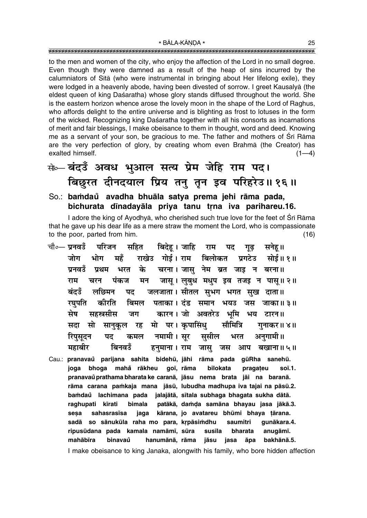to the men and women of the city, who enjoy the affection of the Lord in no small degree. Even though they were damned as a result of the heap of sins incurred by the calumniators of Sita (who were instrumental in bringing about Her lifelong exile), they were lodged in a heavenly abode, having been divested of sorrow. I greet Kausalya (the eldest queen of king Daśaratha) whose glory stands diffused throughout the world. She is the eastern horizon whence arose the lovely moon in the shape of the Lord of Raghus, who affords delight to the entire universe and is blighting as frost to lotuses in the form of the wicked. Recognizing king Daśaratha together with all his consorts as incarnations of merit and fair blessings, I make obeisance to them in thought, word and deed. Knowing me as a servant of your son, be gracious to me. The father and mothers of Srī Rāma are the very perfection of glory, by creating whom even Brahma (the Creator) has exalted himself.  $(1-4)$ 

# सो०-बंदउँ अवध भुआल सत्य प्रेम जेहि राम पद। बिछुरत दीनदयाल प्रिय तन् तून इव परिहरेउ॥१६॥

#### So.: bamdaŭ avadha bhuāla satya prema jehi rāma pada, bichurata dīnadayāla priya tanu trna iva parihareu.16.

I adore the king of Ayodhya, who cherished such true love for the feet of Sri Rama that he gave up his dear life as a mere straw the moment the Lord, who is compassionate to the poor, parted from him.  $(16)$ 

- बिदेह**। जाहि राम** चौ∘— प्रनवउँ परिजन सहित सनेह।। पद गूढ़ राखेउ गोई। राम बिलोकत जोग भोग महँ प्रगटेउ स्रोई॥ १॥ चरना। जासु नेम ब्रत जाइ न बरना॥ प्रनवउँ प्रथम के भरत जासू। लुबुध मधुप इव तजइ न पासू॥ २॥ राम चरन पंकज मन जलजाता। सीतल सुभग भगत सुख दाता॥ बंदउँ लछिमन पट पताका। दंड समान भयउ जस जाका॥३॥ रघपति कीरति बिमल सेष कारन। जो अवतरेउ भूमि भय टारन॥ सहस्रसीस जग सो रह मो पर। कपासिंध सौमित्रि सानुकूल सदा गनाकर॥४॥ नमामी । सुर रिपसदन सुसील पट कमल अनुगामी॥ भरत बिनवउँ हनुमाना। राम जासू महाबीर जस आप बखाना॥५॥
- Cau.: pranavaŭ parijana sahita bidehū, jāhi rāma pada qūRha sanehū. joga bhoga mahå rākheu goī, rāma bilokata pragațeu soī.1. pranavaŭ prathama bharata ke caranā, jāsu nema brata jāi na baranā. rāma carana pamkaja mana jāsū, lubudha madhupa iva tajai na pāsū.2. bamdaŭ lachimana pada jalajātā, sītala subhaga bhagata sukha dātā. raghupati kīrati bimala patākā, damda samāna bhayau jasa jākā.3. sesa sahasrasīsa jaga kārana, jo avatareu bhūmi bhaya tārana. sadā so sānukūla raha mo para, krpāsimdhu saumitri gunākara.4. ripusūdana pada kamala namāmī, sūra anugāmī. susīla bharata mahābīra binavaů hanumānā, rāma jāsu jasa āpa bakhānā.5. I make obeisance to king Janaka, alongwith his family, who bore hidden affection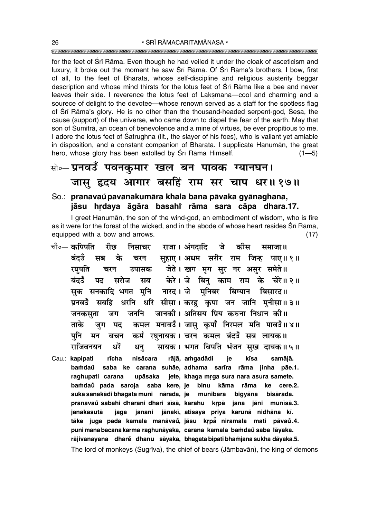for the feet of Sri Rama. Even though he had veiled it under the cloak of asceticism and luxury, it broke out the moment he saw Srī Rāma. Of Srī Rāma's brothers, I bow, first of all, to the feet of Bharata, whose self-discipline and religious austerity beggar description and whose mind thirsts for the lotus feet of Sri Rama like a bee and never leaves their side. I reverence the lotus feet of Laksmana—cool and charming and a sourece of delight to the devotee—whose renown served as a staff for the spotless flag of Sri Rama's glory. He is no other than the thousand-headed serpent-god, Sesa, the cause (support) of the universe, who came down to dispel the fear of the earth. May that son of Sumitrā, an ocean of benevolence and a mine of virtues, be ever propitious to me. I adore the lotus feet of Satrughna (Iit., the slayer of his foes), who is valiant yet amiable in disposition, and a constant companion of Bharata. I supplicate Hanuman, the great hero, whose glory has been extolled by Sri Rama Himself.  $(1 - 5)$ 

# सो०-प्रनवडँ पवनकुमार खल बन पावक ग्यानघन। जासु हृदय आगार बसहिं राम सर चाप धर॥१७॥

### So.: pranavaŭ pavanakumāra khala bana pāvaka gyānaghana, jāsu hrdaya āgāra basahi rāma sara cāpa dhara.17.

I greet Hanuman, the son of the wind-god, an embodiment of wisdom, who is fire as it were for the forest of the wicked, and in the abode of whose heart resides Srī Rāma, equipped with a bow and arrows.  $(17)$ 

- राजा। अंगदादि चौ∘— कपिपति रीछ जे कीस निसाचर समाजा ॥ बंदउँ सहाए। अधम सरीर राम जिन्ह पाए॥१॥ ਸਕ क्रे चरन जेते । खग मृग सुर नर असुर समेते॥ रघपति उपासक चरन केरे। जे बिन काम राम के चेरे॥२॥ बंदउँ मरोज मब पट सक सनकादि भगत मनि नारद। जे मनिबर बिग्यान बिसारद॥ प्रनवडँ सबहि धरनि धरि सीसा। करह कृपा जन जानि मनीसा॥३॥ जानकी। अतिसय प्रिय करुना निधान की॥ जननि जग जनकसता कमल मनावडँ । जासु कुपाँ निरमल मति पावडँ ॥ ४ ॥ ताके जग पद कर्म रघनायक। चरन कमल बंदउँ सब लायक॥ पनि मन बचन सायक। भगत बिपति भंजन सुख दायक॥५॥ राजिवनयन धरें धन्
- ie Cau.: kapipati nisācara rājā, amgadādi kīsa samājā. rīcha saba ke carana suhāe, adhama sarīra rāma jinha pāe.1. bamdaů raghupati carana upāsaka jete, khaga mrga sura nara asura samete. bamdaŭ pada saroja saba kere, je binu kāma rāma ke cere.2. suka sanakādi bhagata muni nārada, je munibara bigyāna bisārada. pranavaŭ sabahi dharani dhari sīsā, karahu krpā jana jāni munīsā.3. janakasutā jaga janani jānakī, atisaya priya karunā nidhāna kī. tāke juga pada kamala manāvaŭ, jāsu krpå niramala mati pāvaŭ.4. puni mana bacana karma raghunāyaka, carana kamala bamdaŭ saba lāyaka. rājivanayana dhare dhanu sāyaka, bhagata bipati bhamjana sukha dāyaka.5. The lord of monkeys (Sugriva), the chief of bears (Jāmbavān), the king of demons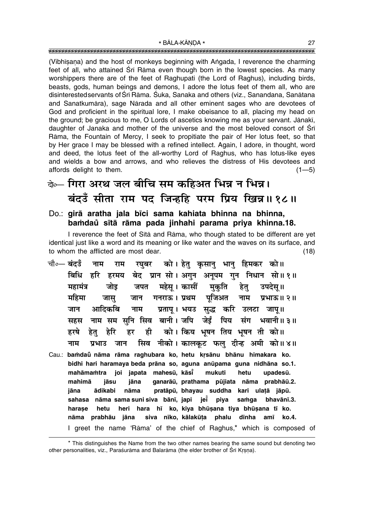(Vibhisana) and the host of monkeys beginning with Angada, I reverence the charming feet of all, who attained Śrī Rāma even though born in the lowest species. As many worshippers there are of the feet of Raghupati (the Lord of Raghus), including birds, beasts, gods, human beings and demons, I adore the lotus feet of them all, who are disinterestedservants of Śrī Rāma. Śuka, Sanaka and others (viz., Sanandana, Sanātana and Sanatkumāra), sage Nārada and all other eminent sages who are devotees of God and proficient in the spiritual lore, I make obeisance to all, placing my head on the ground; be gracious to me, O Lords of ascetics knowing me as your servant. Jānakī, daughter of Janaka and mother of the universe and the most beloved consort of Sri Rāma, the Fountain of Mercy, I seek to propitiate the pair of Her lotus feet, so that by Her grace I may be blessed with a refined intellect. Again, I adore, in thought, word and deed, the lotus feet of the all-worthy Lord of Raghus, who has lotus-like eyes and wields a bow and arrows, and who relieves the distress of His devotees and affords delight to them.  $(1 - 5)$ 

के— गिरा अरथ जल बीचि सम कहिअत भिन्न न भिन्न। बंदउँ सीता राम पद जिन्हहि परम प्रिय खिन्न॥ १८॥

#### Do.: girā aratha jala bīci sama kahiata bhinna na bhinna, bamdaŭ sītā rāma pada jinhahi parama priya khinna.18.

I reverence the feet of Sita and Rama, who though stated to be different are yet identical just like a word and its meaning or like water and the waves on its surface, and to whom the afflicted are most dear.  $(18)$ 

- रघुबर को। हेतु कुसानु भानु हिमकर को॥ चौ०— बंदउँ नाम राम बिधि हरि हरमय बेद प्रान सो। अगुन अनूपम गुन निधान सो॥१॥ महेसू। कासीं मुकुति महामंत्र जोड़ जपत हेतु उपदेस् ॥ महिमा गनराऊ । प्रथम पजिअत नाम प्रभाऊ॥ २॥ जास जान प्रताप् । भयउ सद्ध करि उलटा जाप् ॥ आदिकबि जान नाम नाम सम सनि सिव बानी। जपि जेईं पिय संग भवानी॥३॥ सहस को। किय भूषन तिय भूषन ती को॥ ही हरषे हेरि हर हेत् सिव नीको। कालकुट फल् दीन्ह अमी को॥४॥ नाम प्रभाउ जान
- Cau.: bamdaŭ nāma rāma raghubara ko, hetu krsānu bhānu himakara ko. bidhi hari haramaya beda prāna so, aguna anūpama guna nidhāna so.1. japata mahesū, kāsī mahāmamtra joi mukuti hetu upadesū. ganarāū, prathama pūjiata nāma prabhāū.2. mahimā jāsu jāna pratāpū, bhayau suddha kari ulatā jāpū. jāna ādikabi nāma sahasa nāma sama suni siva bānī, japi jeĭ piya samga bhavānī.3. heri hara hī ko, kiya bhūṣana tiya bhūṣana tī ko. harase hetu siva nīko, kālakūta phalu dīnha nāma prabhāu jāna amī ko.4. I greet the name 'Rama' of the chief of Raghus,\* which is composed of

\* This distinguishes the Name from the two other names bearing the same sound but denoting two other personalities, viz., Paraśurāma and Balarāma (the elder brother of Śrī Krsna).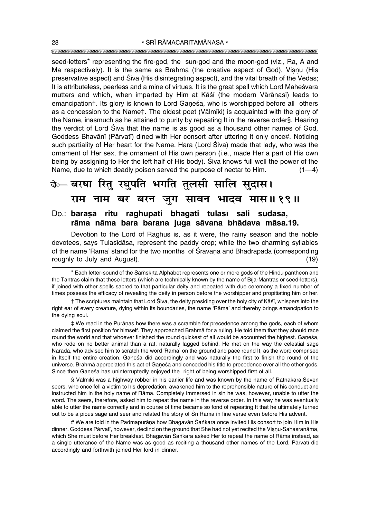seed-letters\* representing the fire-god, the sun-god and the moon-god (viz., Ra, A and Ma respectively). It is the same as Brahma (the creative aspect of God), Visnu (His preservative aspect) and Siva (His disintegrating aspect), and the vital breath of the Vedas; It is attributeless, peerless and a mine of virtues. It is the great spell which Lord Maheśvara mutters and which, when imparted by Him at Kasi (the modern Varanasi) leads to emancipation<sup>†</sup>. Its glory is known to Lord Ganesa, who is worshipped before all others as a concession to the Namet. The oldest poet (Valmiki) is acquainted with the glory of the Name, inasmuch as he attained to purity by repeating It in the reverse order§. Hearing the verdict of Lord Siva that the name is as good as a thousand other names of God, Goddess Bhavānī (Pārvatī) dined with Her consort after uttering It only once#. Noticing such partiality of Her heart for the Name, Hara (Lord Śiva) made that lady, who was the ornament of Her sex, the ornament of His own person (i.e., made Her a part of His own being by assigning to Her the left half of His body). Siva knows full well the power of the Name, due to which deadly poison served the purpose of nectar to Him.  $(1-4)$ 

## के— बरषा रितु रघुपति भगति तुलसी सालि सुदास। राम नाम बर बरन जुग सावन भादव मास॥१९॥

# Do.: barasā ritu raghupati bhagati tulasī sāli sudāsa,

# rāma nāma bara barana juga sāvana bhādava māsa.19.

Devotion to the Lord of Raghus is, as it were, the rainy season and the noble devotees, says Tulasīdāsa, represent the paddy crop; while the two charming syllables of the name 'Rama' stand for the two months of Sravana and Bhadrapada (corresponding roughly to July and August).  $(19)$ 

§ Vālmīki was a highway robber in his earlier life and was known by the name of Ratnākara. Seven seers, who once fell a victim to his depredation, awakened him to the reprehensible nature of his conduct and instructed him in the holy name of Rāma. Completely immersed in sin he was, however, unable to utter the word. The seers, therefore, asked him to repeat the name in the reverse order. In this way he was eventually able to utter the name correctly and in course of time became so fond of repeating It that he ultimately turned out to be a pious sage and seer and related the story of Sri Rama in fine verse even before His advent.

# We are told in the Padmapurāna how Bhagavān Śankara once invited His consort to join Him in His dinner. Goddess Pārvatī, however, declind on the ground that She had not yet recited the Visnu-Sahasranāma, which She must before Her breakfast. Bhagavān Śankara asked Her to repeat the name of Rāma instead, as a single utterance of the Name was as good as reciting a thousand other names of the Lord. Pārvatī did accordingly and forthwith joined Her lord in dinner.

<sup>\*</sup> Each letter-sound of the Samskrta Alphabet represents one or more gods of the Hindu pantheon and the Tantras claim that these letters (which are technically known by the name of Bija-Mantras or seed-letters), if joined with other spells sacred to that particular deity and repeated with due ceremony a fixed number of times possess the efficacy of revealing the deity in person before the worshipper and propitiating him or her.

<sup>†</sup> The scriptures maintain that Lord Śiva, the deity presiding over the holy city of Kāśī, whispers into the right ear of every creature, dying within its boundaries, the name 'Rāma' and thereby brings emancipation to the dying soul.

<sup>#</sup> We read in the Purānas how there was a scramble for precedence among the gods, each of whom claimed the first position for himself. They approached Brahma for a ruling. He told them that they should race round the world and that whoever finished the round quickest of all would be accounted the highest. Ganesa, who rode on no better animal than a rat, naturally lagged behind. He met on the way the celestial sage Narada, who advised him to scratch the word 'Rama' on the ground and pace round It, as the word comprised in Itself the entire creation. Ganeśa did accordingly and was naturally the first to finish the round of the universe. Brahmā appreciated this act of Ganeśa and conceded his title to precedence over all the other gods. Since then Ganeśa has uninterruptedly enjoyed the right of being worshipped first of all.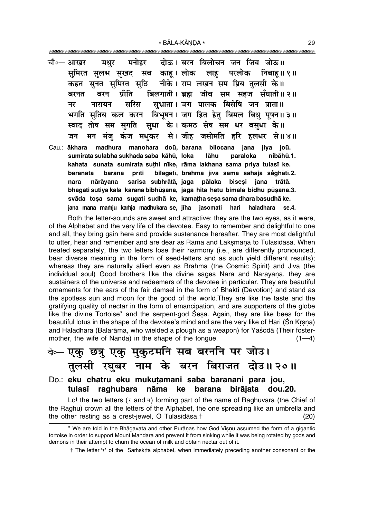\* BĀLA-KĀNDA \* 

- चौ०— आखर मधर मनोहर दोऊ। बरन बिलोचन जन जिय जोऊ॥ लाह परलोक निबाह॥१॥ समिरत सलभ सखद सब काह।लोक सनत समिरत सठि नीके। राम लखन सम प्रिय तलसी के॥ कहत बिलगाती। ब्रह्म जीव सम सहज सँघाती॥२॥ पीति बरनत बरन सभ्राता। जग पालक बिसेषि जन त्राता॥ नर नारायन सरिस भगति सुतिय कल करन बिभूषन। जग हित हेतु बिमल बिधु पूषन॥३॥ स्वाद तोष सम सगति सधा के। कमठ सेष सम धर बसधा के॥ से। जीह जसोमति हरि हलधर से॥४॥ मन मंजु कंज मधुकर जन
- Cau.: ākhara madhura manohara doū, barana bilocana jana jiya joū. lāhu sumirata sulabha sukhada saba kāhū, loka paraloka nibāhū.1. kahata sunata sumirata suthi nīke, rāma lakhana sama priya tulasī ke. baranata barana prīti bilagātī, brahma jīva sama sahaja såghātī.2. sarisa subhrātā, jaga pālaka nara nārāyana bisesi jana trātā. bhagati sutiya kala karana bibhūṣana, jaga hita hetu bimala bidhu pūṣana.3. svāda tosa sama sugati sudhā ke, kamatha sesa sama dhara basudhā ke. jana mana mamju kamja madhukara se, jīha jasomati hari haladhara se.4.

Both the letter-sounds are sweet and attractive; they are the two eyes, as it were, of the Alphabet and the very life of the devotee. Easy to remember and delightful to one and all, they bring gain here and provide sustenance hereafter. They are most delightful to utter, hear and remember and are dear as Rāma and Lakṣmaṇa to Tulasīdāsa. When treated separately, the two letters lose their harmony (i.e., are differently pronounced, bear diverse meaning in the form of seed-letters and as such yield different results); whereas they are naturally allied even as Brahma (the Cosmic Spirit) and Jiva (the individual soul) Good brothers like the divine sages Nara and Nārāyaṇa, they are sustainers of the universe and redeemers of the devotee in particular. They are beautiful ornaments for the ears of the fair damsel in the form of Bhakti (Devotion) and stand as the spotless sun and moon for the good of the world. They are like the taste and the gratifying quality of nectar in the form of emancipation, and are supporters of the globe like the divine Tortoise\* and the serpent-god Sesa. Again, they are like bees for the beautiful lotus in the shape of the devotee's mind and are the very like of Hari (Srī Krsna) and Haladhara (Balarāma, who wielded a plough as a weapon) for Yaśodā (Their fostermother, the wife of Nanda) in the shape of the tongue.  $(1-4)$ 

## के- एकु छत्रु एकु मुकुटमनि सब बरननि पर जोउ। तुलसी रघुबर नाम के बरन बिराजत दोउ॥२०॥

#### Do.: eku chatru eku mukutamani saba baranani para jou, raghubara nāma ke barana birāiata tulasī dou.20.

Lo! the two letters ( $\tau$  and  $\pi$ ) forming part of the name of Raghuvara (the Chief of the Raghu) crown all the letters of the Alphabet, the one spreading like an umbrella and the other resting as a crest-jewel, O Tulasidasa.†  $(20)$ 

† The letter 'v' of the Samskrta alphabet, when immediately preceding another consonant or the

<sup>\*</sup> We are told in the Bhāgavata and other Purānas how God Visnu assumed the form of a gigantic tortoise in order to support Mount Mandara and prevent it from sinking while it was being rotated by gods and demons in their attempt to churn the ocean of milk and obtain nectar out of it.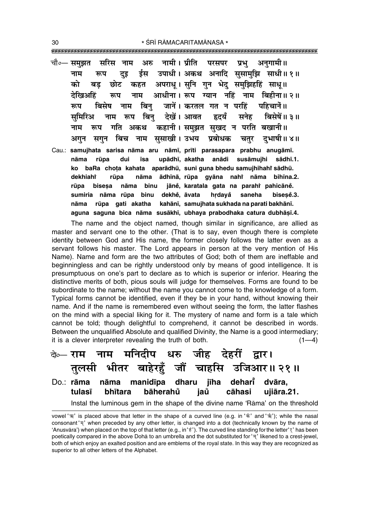| चौ∘— समुझत   सरिस  नाम  अरु    नामी । प्रीति    परसपर    प्रभु    अनुगामी ॥ |
|-----------------------------------------------------------------------------|
| नाम रूप दुइ ईस उपाधी।अकथ अनादि सुसामुझि साधी॥१॥                             |
| को बड़ छोट कहत अपराधू।सुनि गुन भेदु समुझिहहिं साधू॥                         |
| देखिअहिं रूप नाम आधीना।।रूप ग्यान नहिं नाम बिहीना॥२॥                        |
| रूप बिसेष नाम बिनु जानें। करतल गत न परहिं पहिचानें॥                         |
| सुमिरिअ नाम रूप बिनु देखें। आवत  हृदयँ  सनेह  बिसेषें॥ ३॥                   |
| नाम रूप गति अकथ कहानी। समुझत सुखद न परति बखानी॥                             |
| अगुन सगुन बिच नाम सुसाखी।उभय प्रबोधक चतुर दुभाषी॥४॥                         |
| Cau.: samujhata sarisa nāma aru nāmī, prīti parasapara prabhu anugāmī.      |
| rūpa dui īsa upādhī, akatha anādi susāmujhi sādhī.1.<br>nāma                |
| ko baRa choța kahata aparādhū, suni guna bhedu samujhihahî sādhū.           |
| rūpa nāma ādhīnā, rūpa gyāna nahi nāma bihīna.2.<br>dekhiahi                |
| biseșa nāma binu jāně, karatala gata na parahi pahicāně.<br>rūpa            |
| sumiria nāma rūpa binu dekhė, āvata hrdayå saneha bisesė.3.                 |
| rūpa gati akatha kahānī, samujhata sukhada na parati bakhānī.<br>nāma       |
| aguna saguna bica nāma susākhī, ubhaya prabodhaka catura dubhāsī.4.         |

The name and the object named, though similar in significance, are allied as master and servant one to the other. (That is to say, even though there is complete identity between God and His name, the former closely follows the latter even as a servant follows his master. The Lord appears in person at the very mention of His Name). Name and form are the two attributes of God; both of them are ineffable and beginningless and can be rightly understood only by means of good intelligence. It is presumptuous on one's part to declare as to which is superior or inferior. Hearing the distinctive merits of both, pious souls will judge for themselves. Forms are found to be subordinate to the name; without the name you cannot come to the knowledge of a form. Typical forms cannot be identified, even if they be in your hand, without knowing their name. And if the name is remembered even without seeing the form, the latter flashes on the mind with a special liking for it. The mystery of name and form is a tale which cannot be told; though delightful to comprehend, it cannot be described in words. Between the ungualified Absolute and qualified Divinity, the Name is a good intermediary; it is a clever interpreter revealing the truth of both.  $(1-4)$ 

|  | के⊶ राम नाम मनिदीप धरु जीह देहरीं द्वार।         |  |                                               |
|--|--------------------------------------------------|--|-----------------------------------------------|
|  |                                                  |  | तुलसी भीतर बाहेरहूँ जौं चाहसि उजिआर॥२१॥       |
|  | Do.: rāma nāma manidīpa dharu jīha dehari dvāra, |  |                                               |
|  |                                                  |  | tulasī bhītara bāherahů jaů cāhasi ujiāra.21. |

Instal the luminous gem in the shape of the divine name 'Rama' on the threshold

 $30^{\circ}$ 

vowel ' $\overline{x}$ ' is placed above that letter in the shape of a curved line (e.g. in ' $\overline{x}$ ' and ' $\overline{x}$ '); while the nasal consonant '<sub>H</sub>' when preceded by any other letter, is changed into a dot (technically known by the name of 'Anusvara') when placed on the top of that letter (e.g., in ' $\vec{\tau}$ '). The curved line standing for the letter' $\tau$ ' has been poetically compared in the above Dohā to an umbrella and the dot substituted for 'T' likened to a crest-jewel, both of which enjoy an exalted position and are emblems of the royal state. In this way they are recognized as superior to all other letters of the Alphabet.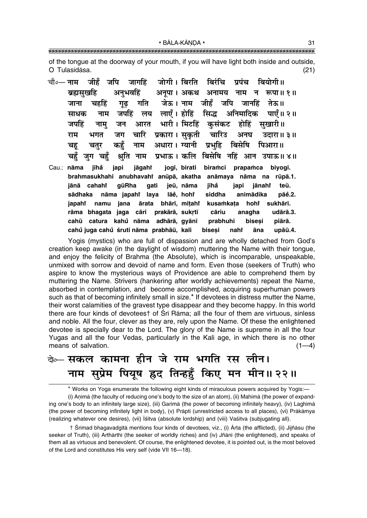of the tongue at the doorway of your mouth, if you will have light both inside and outside, O Tulasīdāsa.  $(21)$ 

|  |  |  | चौ∘— नाम  जीहँ  जपि  जागहिं   जोगी । बिरति  बिरंचि  प्रपंच  बियोगी॥ |  |  |
|--|--|--|---------------------------------------------------------------------|--|--|
|  |  |  | ब्रह्मसुखहि अनुभवहिं अनुपा। अकथ अनामय नाम न रूपा॥ १॥                |  |  |
|  |  |  | जाना चहहिं गृढ गति जेऊ।नाम जीहँ जपि जानहिं तेऊ॥                     |  |  |
|  |  |  | साधक नाम जपहिं लय लाएँ।होहिं सिद्ध अनिमादिक पाएँ॥२॥                 |  |  |
|  |  |  | जपहिं नामु जन आरत भारी।।मिटहिं कुसंकट होहिं सुखारी॥                 |  |  |
|  |  |  | राम भगत जग चारि प्रकारा।सुकृती चारिउ अनघ उदारा॥३॥                   |  |  |
|  |  |  | चहू चतुर कहुँ नाम अधारा। ग्यानी प्रभुहि बिसेषि पिआरा॥               |  |  |
|  |  |  | चहुँ जुग चहुँ श्रुति नाम प्रभाऊ। कलि बिसेषि नहिं आन उपाऊ॥४॥         |  |  |
|  |  |  | Cau.: nāma jīhå japi jāgahi jogī, birati biramci prapamca biyogī.   |  |  |

jīhă japi jāgahr jogī, birati biramci prapamca biyogi. brahmasukhahi anubhavahi anūpā, akatha rūpā.1. anāmaya nāma na teū. jānā cahahi qūRha jeū, nāma jīhắ gati japi jānahr sādhaka nāma japaht lāė, hohr siddha animādika pāĕ.2. laya namu jana bhārī, mitahī hohi sukhārī. japaht ārata kusamkata udārā.3. rāma bhagata jaga cāri prakārā, sukrtī cāriu anagha cahū catura kahů nāma adhārā, gyānī prabhuhi **bisesi** piārā. cahů juga cahů śruti nāma prabhāū, kali bisesi nahř āna upāū.4.

Yogis (mystics) who are full of dispassion and are wholly detached from God's creation keep awake (in the daylight of wisdom) muttering the Name with their tongue, and eniov the felicity of Brahma (the Absolute), which is incomparable, unspeakable, unmixed with sorrow and devoid of name and form. Even those (seekers of Truth) who aspire to know the mysterious ways of Providence are able to comprehend them by muttering the Name. Strivers (hankering after worldly achievements) repeat the Name. absorbed in contemplation, and become accomplished, acquiring superhuman powers such as that of becoming infinitely small in size.\* If devotees in distress mutter the Name, their worst calamities of the gravest type disappear and they become happy. In this world there are four kinds of devotees† of Srī Rāma; all the four of them are virtuous, sinless and noble. All the four, clever as they are, rely upon the Name. Of these the enlightened devotee is specially dear to the Lord. The glory of the Name is supreme in all the four Yugas and all the four Vedas, particularly in the Kali age, in which there is no other means of salvation.  $(1-4)$ 

# के-सकल कामना हीन जे राम भगति रस लीन। नाम सुप्रेम पियूष ह्रद तिन्हहुँ किए मन मीन॥ २२॥

\* Works on Yoga enumerate the following eight kinds of miraculous powers acquired by Yogis:-

(i) Animā (the faculty of reducing one's body to the size of an atom), (ii) Mahimā (the power of expanding one's body to an infinitely large size), (iii) Garimā (the power of becoming infinitely heavy), (iv) Laghimā (the power of becoming infinitely light in body), (v) Prāpti (unrestricted access to all places), (vi) Prākāmya (realizing whatever one desires), (vii) Istiva (absolute lordship) and (viii) Vastiva (subjugating all).

† Śrīmad bhagavadgītā mentions four kinds of devotees, viz., (i) Ārta (the afflicted), (ii) Jijñāsu (the seeker of Truth), (iii) Arthārthī (the seeker of worldly riches) and (iv) Jñānī (the enlightened), and speaks of them all as virtuous and benevolent. Of course, the enlightened devotee, it is pointed out, is the most beloved of the Lord and constitutes His very self (vide VII 16-18).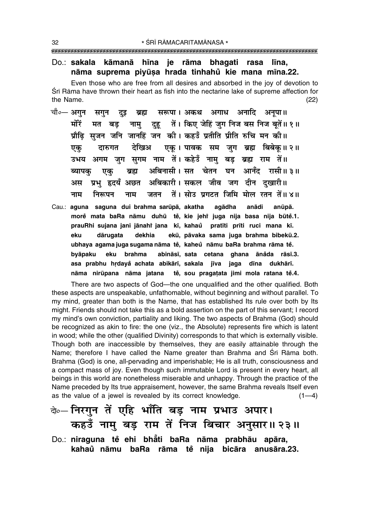## Do.: sakala kāmanā hīna je rāma bhagati rasa līna, nāma suprema piyūsa hrada tinhahů kie mana mīna.22.

Even those who are free from all desires and absorbed in the joy of devotion to Śrī Rāma have thrown their heart as fish into the nectarine lake of supreme affection for the Name.  $(22)$ 

- सरूपा। अकथ अगाध अनादि अनुपा॥ चौ०— अगुन सगुन दुइ ब्रह्म दुहू तें। किए जेहिं जुग निज बस निज बूतें॥ १॥ मोंरें मत बड नाम प्रौढि सजन जनि जानहिं जन की। कहउँ प्रतीति प्रीति रुचि मन की॥ देखिअ एक् । पावक सम जुग ब्रह्म बिबेकू॥२॥ एक दारुगत उभय अगम जुग सुगम नाम तें। कहेउँ नामु बड़ ब्रह्म राम तें॥ अबिनासी। सत चेतन घन आनँद रासी॥३॥ ब्यापकू एक ब्रह्म प्रभ हृदयँ अछत अबिकारी। सकल जीव जग दीन दखारी॥ अस निरूपन जतन तें। सोउ प्रगटत जिमि मोल रतन तें॥४॥ नाम नाम
- Cau.: aguna saguna dui brahma sarūpā, akatha agādha anādi anūpā. morë mata baRa nāmu duhū tě, kie jehř juga nija basa nija būtě.1. prauRhi sujana jani jānahi jana kī, kahau pratīti prīti ruci mana kī. dārugata dekhia eku ekū, pāvaka sama juga brahma bibekū.2. ubhaya agama juga sugama nāma tě, kaheů nāmu baRa brahma rāma tě. eku brahma abināsī, sata cetana ghana ānåda rāsī.3. byāpaku asa prabhu hrdayå achata abikārī, sakala jīva jaga dīna dukhārī. tě, sou pragațata jimi mola ratana tě.4. nāma nirūpana nāma jatana

There are two aspects of God—the one unqualified and the other qualified. Both these aspects are unspeakable, unfathomable, without beginning and without parallel. To my mind, greater than both is the Name, that has established Its rule over both by Its might. Friends should not take this as a bold assertion on the part of this servant; I record my mind's own conviction, partiality and liking. The two aspects of Brahma (God) should be recognized as akin to fire: the one (viz., the Absolute) represents fire which is latent in wood; while the other (qualified Divinity) corresponds to that which is externally visible. Though both are inaccessible by themselves, they are easily attainable through the Name; therefore I have called the Name greater than Brahma and Sri Rama both. Brahma (God) is one, all-pervading and imperishable; He is all truth, consciousness and a compact mass of joy. Even though such immutable Lord is present in every heart, all beings in this world are nonetheless miserable and unhappy. Through the practice of the Name preceded by Its true appraisement, however, the same Brahma reveals Itself even as the value of a jewel is revealed by its correct knowledge.  $(1-4)$ 

- के-सिरगुन तें एहि भाँति बड़ नाम प्रभाउ अपार। कहउँ नामु बड़ राम तें निज बिचार अनुसार॥ २३॥ Do.: niraguna tě ehi bhåti baRa nāma prabhāu apāra,
	- kahaů nāmu baRa rāma tě nija bicāra anusāra.23.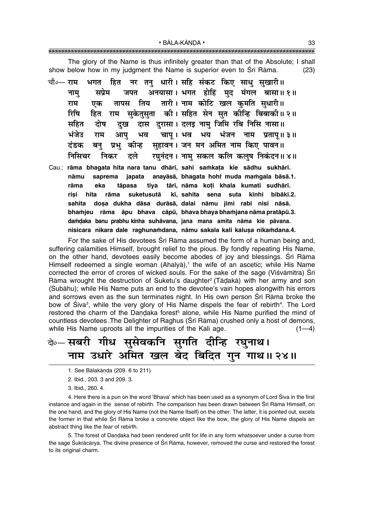\* BĀLA-KĀNDA \* 

The glory of the Name is thus infinitely greater than that of the Absolute; I shall show below how in my judgment the Name is superior even to Sri Rama.  $(23)$ 

- हित नर तन् धारी। सहि संकट किए साधु सुखारी॥ चौ०— राम भगत अनयासा। भगत होहिं मुद मंगल बासा॥१॥ सप्रेम नाम जपत तिय तारी। नाम कोटि खल कुमति सुधारी॥ तापस राम एक रिषि राम सुकेतुसुता की। सहित सेन सुत कीन्हि बिबाकी॥२॥ हित दुख दास दुरासा। दलइ नामु जिमि रबि निसि नासा॥ सहित टोष चापू। भव भय भंजन नाम प्रताप् ॥ ३॥ भंजेउ भव राम आप् सहावन। जन मन अमित नाम किए पावन॥ बन् प्रभ कौन्ह दंडक निसिचर रघनंदन । नाम सकल कलि कलष निकंदन॥४॥ निकर दले
- Cau.: rāma bhagata hita nara tanu dhārī, sahi samkata kie sādhu sukhārī. anavāsā, bhagata hohi muda mamgala bāsā.1. nāmu saprema japata rāma eka tārī, nāma koti khala kumati sudhārī. tāpasa tiva kī, sahita sena suta kīnhi risi hita rāma suketusutā bibākī.2. dosa dukha dāsa durāsā, daļai nāmu jimi rabi nisi nāsā. sahita bhamjeu rāma āpu bhava cāpū, bhava bhaya bhamjana nāma pratāpū.3. damdaka banu prabhu kinha suhāvana, jana mana amita nāma kie pāvana. nisicara nikara dale raghunamdana, nāmu sakala kali kalusa nikamdana.4.

For the sake of His devotees Sri Rama assumed the form of a human being and, suffering calamities Himself, brought relief to the pious. By fondly repeating His Name, on the other hand, devotees easily become abodes of joy and blessings. Srī Rāma Himself redeemed a single woman (Ahalya),<sup>1</sup> the wife of an ascetic; while His Name corrected the error of crores of wicked souls. For the sake of the sage (Viśvāmitra) Śrī Rāma wrought the destruction of Suketu's daughter<sup>2</sup> (Tādakā) with her army and son (Subāhu); while His Name puts an end to the devotee's vain hopes alongwith his errors and sorrows even as the sun terminates night. In His own person Srī Rāma broke the bow of Siva<sup>3</sup>, while the very glory of His Name dispels the fear of rebirth<sup>4</sup>. The Lord restored the charm of the Dandaka forest<sup>5</sup> alone, while His Name purified the mind of countless devotees. The Delighter of Raghus (Sri Rama) crushed only a host of demons, while His Name uproots all the impurities of the Kali age.  $(1-4)$ 

#### के⊶ सबरी गीध ्सूसेवकनि सुगति दीन्हि रघुनाथ। नाम उधारे अमित खल बेद बिदित गुन गाथ॥ २४॥

- 1. See Bālakānda (209. 6 to 211)
- 2. Ibid., 203. 3 and 209. 3.
- 3. Ibid., 260. 4.

4. Here there is a pun on the word 'Bhava' which has been used as a synonym of Lord Śiva in the first instance and again in the sense of rebirth. The comparison has been drawn between Śrī Rāma Himself, on the one hand, and the glory of His Name (not the Name Itself) on the other. The latter, it is pointed out, excels the former in that while Srī Rāma broke a concrete object like the bow, the glory of His Name dispels an abstract thing like the fear of rebirth.

5. The forest of Dandaka had been rendered unfit for life in any form whatsoever under a curse from the sage Sukrācārya. The divine presence of Srī Rāma, however, removed the curse and restored the forest to its original charm.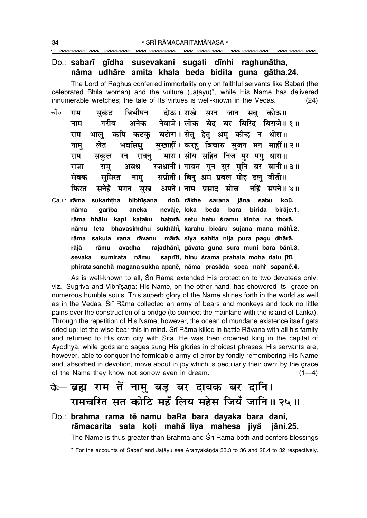#### Do.: sabarī gīdha susevakani sugati dīnhi raghunātha, nāma udhāre amita khala beda bidita guna gātha.24.

The Lord of Raghus conferred immortality only on faithful servants like Sabari (the celebrated Bhila woman) and the vulture (Jatayu)\*, while His Name has delivered innumerable wretches; the tale of Its virtues is well-known in the Vedas.  $(24)$ 

- बिभीषन दोऊ। राखे सरन जान सबु कोऊ॥ चौ०— राम सकंठ अनेक नेवाजे। लोक बेद बर बिरिद बिराजे॥१॥ गरीब नाम कपि कटक बटोरा। सेतु हेतु श्रमु कीन्ह न थोरा॥ राम भाल सुखाहीं। करह बिचारु सुजन मन माहीं॥ २॥ भवसिंध नाम लेत मारा। सीय सहित निज पुर पगु धारा॥ राम सकुल रन रावन् रजधानी । गावत गुन सुर मुनि बर बानी॥३॥ राम अवध राजा सप्रीती। बिन् श्रम प्रबल मोह दलु जीती॥ सेवक समिरत नाम अपनें। नाम प्रसाद सोच फिरत सनेहँ सख नहिं सपनें॥४॥ मगन
- Cau.: rāma sukamtha bibhīsana doū, rākhe sarana jāna sabu koū. nāma qarība aneka nevāje, loka beda bara birida birāje.1. rāma bhālu kapi kataku batorā, setu hetu śramu kīnha na thorā. leta bhavasimdhu sukhāhi, karahu bicāru sujana mana māhi.2. nāmu sakula rana rāvanu mārā, sīya sahita nija pura pagu dhārā. rāma rajadhānī, gāvata guna sura muni bara bānī.3. rājā rāmu avadha saprītī, binu śrama prabala moha dalu jītī. sumirata nāmu sevaka phirata sanehå magana sukha apaně, nāma prasāda soca nahř sapaně.4.

As is well-known to all, Sri Rama extended His protection to two devotees only. viz., Sugriva and Vibhisana; His Name, on the other hand, has showered Its grace on numerous humble souls. This superb glory of the Name shines forth in the world as well as in the Vedas. Srī Rāma collected an army of bears and monkeys and took no little pains over the construction of a bridge (to connect the mainland with the island of Lanka). Through the repetition of His Name, however, the ocean of mundane existence itself gets dried up: let the wise bear this in mind. Srī Rāma killed in battle Rāvana with all his family and returned to His own city with Sita. He was then crowned king in the capital of Ayodhya, while gods and sages sung His glories in choicest phrases. His servants are, however, able to conquer the formidable army of error by fondly remembering His Name and, absorbed in devotion, move about in joy which is peculiarly their own; by the grace of the Name they know not sorrow even in dream.  $(1-4)$ 

# के— ब्रह्म राम तें नामु बड़ बर दायक बर दानि। रामचरित सत कोटि महँ लिय महेस जियँ जानि॥ २५॥

## Do.: brahma rāma tě nāmu baRa bara dāvaka bara dāni, rāmacarita sata koți mahă liya mahesa jiyă jāni.25. The Name is thus greater than Brahma and Srī Rāma both and confers blessings

\* For the accounts of Sabari and Jatayu see Aranyakanda 33.3 to 36 and 28.4 to 32 respectively.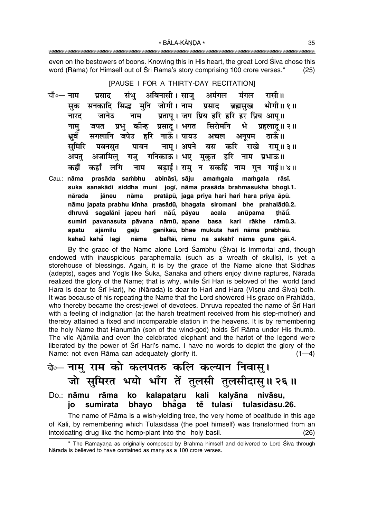even on the bestowers of boons. Knowing this in His heart, the great Lord Siva chose this word (Rāma) for Himself out of Śrī Rāma's story comprising 100 crore verses.\*  $(25)$ 

[PAUSE I FOR A THIRTY-DAY RECITATION]

- अबिनासी । साज चौ∘— नाम अमंगल मंगल रासी॥ प्रसाद संभ सनकादि सिद्ध मनि जोगी। नाम भोगी॥ १॥ प्रसाद सक ब्रह्मसख प्रताप। जग प्रिय हरि हरि हर प्रिय आपू॥ नारट जानेउ नाम कीन्ह सिरोमनि प्रसाद। भगत भे नाम जपत प्रभ प्रहलाद ॥ २ ॥ हरि नाऊँ । पायउ ठाऊँ॥ धर्वे सगलानि जपेउ अचल अनुपम करि समिरि पवनसत नाम् । अपने बस राखे पावन राम॥ ३॥ हरि अपत अजागि गज गनिकाऊ। भए मकत नाम प्रभाऊ॥ कहोँ बड़ाई। राम् न सकहिं नाम गुन गाई॥४॥ कहाँ लगि नाम
- abināsī, sāju amamgala mamgala Cau.: nāma prasāda sambhu rāsī. suka sanakādi siddha muni jogī, nāma prasāda brahmasukha bhogī.1. pratāpū, jaga priya hari hari hara priya āpū. nārada jāneu nāma nāmu japata prabhu kīnha prasādū, bhagata siromani bhe prahalādū.2. dhruvå sagalāni japeu hari nāū, pāyau acala anūpama thāū. sumiri pavanasuta pāvana nāmū, apane basa kari rākhe rāmū.3. ganikāū, bhae mukuta hari nāma prabhāū. apatu aiāmilu qaju kahaů kahẳ lagi baRāi, rāmu na sakahi nāma guna gāi.4. nāma

By the grace of the Name alone Lord Sambhu (Siva) is immortal and, though endowed with inauspicious paraphernalia (such as a wreath of skulls), is yet a storehouse of blessings. Again, it is by the grace of the Name alone that Siddhas (adepts), sages and Yogis like Śuka, Sanaka and others enjoy divine raptures, Nārada realized the glory of the Name; that is why, while Sri Hari is beloved of the world (and Hara is dear to Srī Hari), he (Nārada) is dear to Hari and Hara (Visnu and Siva) both. It was because of his repeating the Name that the Lord showered His grace on Prahlada, who thereby became the crest-jewel of devotees. Dhruva repeated the name of Sri Hari with a feeling of indignation (at the harsh treatment received from his step-mother) and thereby attained a fixed and incomparable station in the heavens. It is by remembering the holy Name that Hanumān (son of the wind-god) holds Śrī Rāma under His thumb. The vile Ajāmila and even the celebrated elephant and the harlot of the legend were liberated by the power of Sri Hari's name. I have no words to depict the glory of the Name: not even Rāma can adequately glorify it.  $(1-4)$ 

#### के— नामु राम को कलपतरु कलि कल्यान निवासु। जो सुमिरत भयो भाँग तें तुलसी तुलसीदासु॥ २६॥ Do.: nāmu rāma ko kalapataru kali kalyāna nivāsu, bhayo bhaqa tě tulasī sumirata tulasīdāsu.26. io

The name of Rāma is a wish-yielding tree, the very home of beatitude in this age of Kali, by remembering which Tulasidasa (the poet himself) was transformed from an intoxicating drug like the hemp-plant into the holy basil.  $(26)$ 

<sup>\*</sup> The Rāmāyana as originally composed by Brahmā himself and delivered to Lord Śiva through Nārada is believed to have contained as many as a 100 crore verses.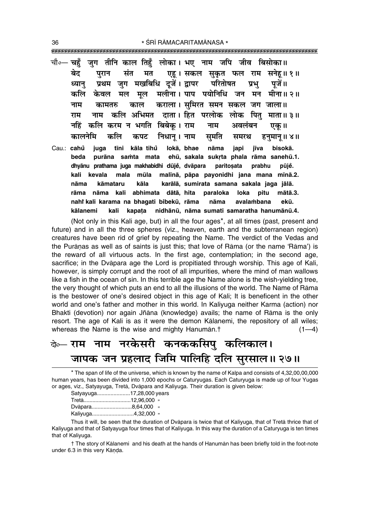चौ०— चहँ जग तीनि काल तिहूँ लोका। भए नाम जपि जीव बिसोका॥ बेद संत मत एहू । सकल सुकृत फल राम सनेहू ॥ १ ॥ पुरान ध्यान प्रथम जग मखबिधि दजें। द्रापर परितोषत प्रभ पर्जे ॥ कलि मलीना। पाप पयोनिधि मुल मन केवल मल जन मीना॥ २॥ कराला। समिरत समन सकल जग नाम कामतरु काल जाला ॥ कलि अभिमत दाता । हित परलोक लोक पित राम नाम माता ॥ ३ ॥ नहिं करम न भगति बिबेक। राम कलि नाम अवलंबन एक ॥ कालनेमि निधान् । नाम कलि कपट समति हनुमानू ॥ ४॥ समरथ Cau.: cahů tīni kāla tihů lokā, bhae nāma bisokā. juga japi jīva beda purāna samta mata ehū, sakala sukrta phala rāma sanehū.1. dhyānu prathama juga makhabidhi dūjě, dvāpara paritosata prabhu pūiě. mala mūla malīnā, pāpa payonidhi jana mana mīnā.2. kali kevala kāla kāmataru karālā, sumirata samana sakala jaga jālā. nāma rāma nāma kali abhimata dātā, hita paraloka loka pitu mātā.3. nahi kali karama na bhagati bibekū, rāma nāma avalambana ekū kālanemi kali kapata nidhānū, nāma sumati samaratha hanumānū.4.

(Not only in this Kali age, but) in all the four ages<sup>\*</sup>, at all times (past, present and future) and in all the three spheres (viz., heaven, earth and the subterranean region) creatures have been rid of grief by repeating the Name. The verdict of the Vedas and the Puranas as well as of saints is just this; that love of Rama (or the name 'Rama') is the reward of all virtuous acts. In the first age, contemplation; in the second age, sacrifice; in the Dvāpara age the Lord is propitiated through worship. This age of Kali, however, is simply corrupt and the root of all impurities, where the mind of man wallows like a fish in the ocean of sin. In this terrible age the Name alone is the wish-yielding tree, the very thought of which puts an end to all the illusions of the world. The Name of Rāma is the bestower of one's desired object in this age of Kali; It is beneficent in the other world and one's father and mother in this world. In Kaliyuga neither Karma (action) nor Bhakti (devotion) nor again Jñāna (knowledge) avails; the name of Rāma is the only resort. The age of Kali is as it were the demon Kalanemi, the repository of all wiles; whereas the Name is the wise and mighty Hanuman.<sup>†</sup>  $(1-4)$ 

### नरकेसरी कनककसिपु कलिकाल। नाम जापक जन प्रहलाद जिमि पालिहि दलि सुरसाल॥ २७॥

\* The span of life of the universe, which is known by the name of Kalpa and consists of 4,32,00,00,000 human years, has been divided into 1,000 epochs or Caturyugas. Each Caturyuga is made up of four Yugas or ages, viz., Satyayuga, Tretā, Dvāpara and Kaliyuga. Their duration is given below:

Satyayuga......................17,28,000 years Tretā...................................12,96,000 » Dvāpara...........................8,64,000 » Kaliyuga...........................4,32,000 »

Thus it will, be seen that the duration of Dvapara is twice that of Kaliyuga, that of Treta thrice that of Kaliyuga and that of Satyayuga four times that of Kaliyuga. In this way the duration of a Caturyuga is ten times that of Kaliyuga.

† The story of Kalanemi and his death at the hands of Hanuman has been briefly told in the foot-note under 6.3 in this very Kānda.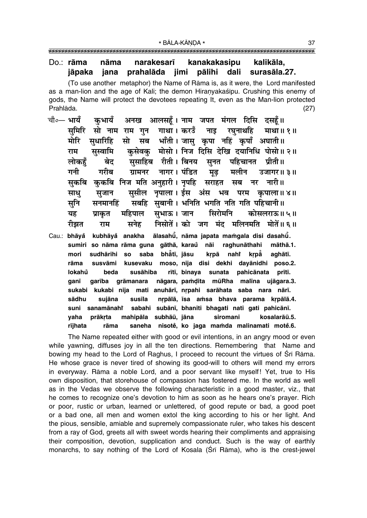#### Do.:  $rāma$ nāma narakesarī kanakakasipu kalikāla, pālihi jana prahalāda jimi dali surasāla.27. jāpaka

(To use another metaphor) the Name of Rama is, as it were, the Lord manifested as a man-lion and the age of Kali: the demon Hiranyakasipu. Crushing this enemy of gods, the Name will protect the devotees repeating It, even as the Man-lion protected Prahlāda.  $(27)$ 

- चौ०— भायँ कभायँ अनख आलसहँ। नाम जपत मंगल दिसि दसहँ ॥ गाथा। करउँ रघनार्थाह समिरि सो नाम राम गुन नाड माथा॥ १॥ मोरि भाँती। जास कपा नहिं कपाँ अघाती॥ सधारिहि सो सब मोसो। निज दिसि देखि दयानिधि पोसो॥२॥ राम सस्वामि कसेवक रीती । बिनय लोकहँ बेट ससाहिब सूनत पहिचानत प्रीती ॥ गनी गरीब नागर । पंडित ग्रामनर मलीन मूढ़ उजागर॥ ३॥ सकबि ककबि निज मति अनहारी। नपहि सराहत सब नर नारी॥ नुपाला। ईस अंस ससील भव परम कपाला॥४॥ साध् सुजान सूनि सबहि सुबानी । भनिति भगति नति गति पहिचानी॥ सनमानहिं सभाऊ। जान सिरोमनि प्राकृत महिपाल कोसलराऊ॥ ५॥ यह निसोतें। को जग मंद मलिनमति मोतें॥६॥ रीझत मनेह राम kubhāyå anakha ālasahū, nāma japata mamgala disi dasahū. Cau.: bhāyå
- sumiri so nāma rāma guna gāthā, karaŭ nāi raghunāthahi māthā.1. bhåtī, jāsu krpå mori sudhārihi **SO** saba krpā nahi aghātī. rāma susvāmi kusevaku moso, nija disi dekhi dayānidhi poso.2. lokahů beda susāhiba rītī, binava sunata pahicānata prītī. ganī garība grāmanara nāgara, pamdita mūRha malīna ujāgara.3. sukabi kukabi nija mati anuhārī, nrpahi sarāhata saba nara nārī. nrpālā, īsa amsa bhava parama krpālā.4. sādhu sujāna susīla suni sanamānahi sabahi subānī, bhaniti bhagati nati gati pahicānī. mahipāla subhāū, jāna siromani kosalarāū.5. vaha prākrta nisotě, ko jaga mamda malinamati motě.6. rījhata rāma saneha

The Name repeated either with good or evil intentions, in an angry mood or even while yawning, diffuses joy in all the ten directions. Remembering that Name and bowing my head to the Lord of Raghus, I proceed to recount the virtues of Srī Rāma. He whose grace is never tired of showing its good-will to others will mend my errors in everyway. Rama a noble Lord, and a poor servant like myself! Yet, true to His own disposition, that storehouse of compassion has fostered me. In the world as well as in the Vedas we observe the following characteristic in a good master, viz., that he comes to recognize one's devotion to him as soon as he hears one's prayer. Rich or poor, rustic or urban, learned or unlettered, of good repute or bad, a good poet or a bad one, all men and women extol the king according to his or her light. And the pious, sensible, amiable and supremely compassionate ruler, who takes his descent from a ray of God, greets all with sweet words hearing their compliments and appraising their composition, devotion, supplication and conduct. Such is the way of earthly monarchs, to say nothing of the Lord of Kosala (Srī Rāma), who is the crest-jewel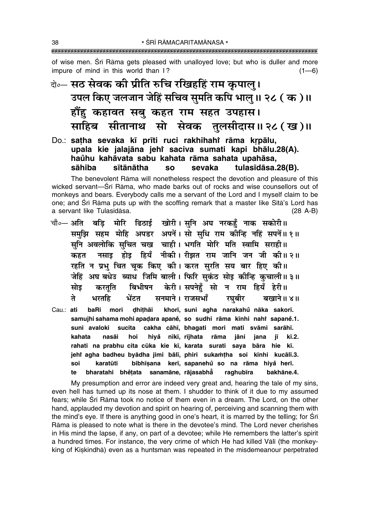of wise men. Srī Rāma gets pleased with unalloyed love; but who is duller and more impure of mind in this world than I?  $(1 - 6)$ 

### केन सठ सेवक की प्रीति रुचि रखिहहिं राम कृपालु। उपल किए जलजान जेहिं सचिव सुमति कपि भालु॥ २८ ( क )॥ हौंहु कहावत सबु कहत राम सहत उपहास। साहिब सीतानाथ सो सेवक तुलसीदास॥२८(ख)॥

#### Do.: satha sevaka kī prīti ruci rakhihahi rāma krpālu, upala kie jalajāna jehr saciva sumati kapi bhālu.28(A). haŭhu kahāvata sabu kahata rāma sahata upahāsa, sāhiba sītānātha sevaka tulasīdāsa.28(B). **SO**

The benevolent Rāma will nonetheless respect the devotion and pleasure of this wicked servant-Srī Rāma, who made barks out of rocks and wise counsellors out of monkeys and bears. Everybody calls me a servant of the Lord and I myself claim to be one; and Sri Rama puts up with the scoffing remark that a master like Sita's Lord has a servant like Tulasīdāsa.  $(28 A-B)$ 

- बड़ि मोरि ढिठाई खोरी।सुनि अघ नरकहूँ नाक सकोरी॥ चौ०— अति समुझि सहम मोहि अपडर अपनें। सो सुधि राम कीन्हि नहिं सपनें॥ १॥ सुनि अवलोकि सुचित चख चाही। भगति मोरि मति स्वामि सराही॥ नसाइ होइ हियँ नीकी। रीझत राम जानि जन जी की॥ २॥ कहत रहति न प्रभु चित चूक किए की। करत सुरति सय बार हिए की॥ जेहिं अघ बधेउ ब्याध जिमि बाली। फिरि सुकंठ सोइ कीन्हि कुचाली॥३॥ बिभीषन केरी। सपनेहुँ सो न राम हियँ हेरी॥ सोड करतति सनमाने । राजसभाँ रघबीर बखाने॥ ४॥ ते भरतहि भेंटत
- Cau.: ati baRi mori khorī, suni agha narakahů nāka sakorī. dhithāī samujhi sahama mohi apadara apaně, so sudhi rāma kīnhi nahř sapaně.1. suni avaloki sucita cakha cāhī, bhagati mori mati svāmi sarāhī. kahata nasāi hoi hiyå nīkī, rījhata rāma iāni iana iī.  $k\bar{1}$ .2. rahati na prabhu cita cūka kie kī, karata surati saya bāra hie kī. jehi agha badheu byādha jimi bālī, phiri sukamțha soi kīnhi kucālī.3. bibhīsana kerī, sapanehů so na rāma hiyå herī. soi karatūti bharatahi bhětata sanamāne, rājasabhå raghubīra te bakhāne.4.

My presumption and error are indeed very great and, hearing the tale of my sins, even hell has turned up its nose at them. I shudder to think of it due to my assumed fears; while Srī Rāma took no notice of them even in a dream. The Lord, on the other hand, applauded my devotion and spirit on hearing of, perceiving and scanning them with the mind's eye. If there is anything good in one's heart, it is marred by the telling; for Sri Rāma is pleased to note what is there in the devotee's mind. The Lord never cherishes in His mind the lapse, if any, on part of a devotee; while He remembers the latter's spirit a hundred times. For instance, the very crime of which He had killed Vali (the monkeyking of Kiskindha) even as a huntsman was repeated in the misdemeanour perpetrated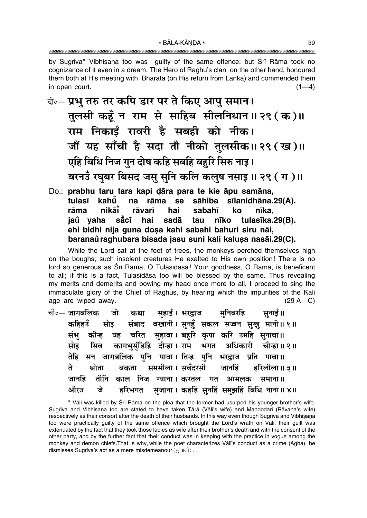by Sugrīva\* Vibhīsaņa too was guilty of the same offence; but Śrī Rāma took no cognizance of it even in a dream. The Hero of Raghu's clan, on the other hand, honoured them both at His meeting with Bharata (on His return from Lanka) and commended them in open court.  $(1-4)$ 

बे॰- प्रभु तरु तर कपि डार पर ते किए आपु समान। तुलसी कहँ न राम से साहिब सीलनिधान॥२९(क)॥ राम निकाईं रावरी है सबही को नीक। जौं यह साँची है सदा तौ नीको तुलसीक॥२९ (ख)॥ एहि बिधि निज गुन दोष कहि सबहि बहुरि सिरु नाइ। बरनउँ रघुबर बिसद जसु सुनि कलि कलुष नसाइ ॥ २९ ( ग )॥

Do.: prabhu taru tara kapi dāra para te kie āpu samāna, tulasī kahū̃ na rāma se sāhiba sīlanidhāna.29(A). nikāĭ rāma rāvarī hai sabahī ko nīka. săcī jaů vaha hai sadā nīko tulasīka.29(B). tau ehi bidhi nija quna dosa kahi sabahi bahuri siru nāi, baranaŭ raghubara bisada jasu suni kali kalusa nasāi.29(C).

While the Lord sat at the foot of trees, the monkeys perched themselves high on the boughs; such insolent creatures He exalted to His own position! There is no lord so generous as Śrī Rāma, O Tulasīdāsa! Your goodness, O Rāma, is beneficent to all; if this is a fact, Tulasidasa too will be blessed by the same. Thus revealing my merits and demerits and bowing my head once more to all, I proceed to sing the immaculate glory of the Chief of Raghus, by hearing which the impurities of the Kali age are wiped away.  $(29 A - C)$ 

|    |  | चौ०— जागबलिक जो कथा सुहाई । भरद्वाज  मुनिबरहि  सुनाई॥     |  |  |  |
|----|--|-----------------------------------------------------------|--|--|--|
|    |  | कहिहउँ सोइ संबाद बखानी। सुनहुँ सकल सज्जन सुखु मानी॥१॥     |  |  |  |
|    |  | संभु कीन्ह यह चरित सुहावा।बहुरि कृपा करि उमहि सुनावा॥     |  |  |  |
|    |  | सोइ सिव कागभुसुंडिहि दीन्हा। राम भगत अधिकारी चीन्हा॥२॥    |  |  |  |
|    |  | तेहि सन जागबलिक पुनि पावा। तिन्ह पुनि भरद्वाज प्रति गावा॥ |  |  |  |
| ते |  | श्रोता बकता समसीला।सवँदरसी जानहिं हरिलीला॥३॥              |  |  |  |
|    |  | जानहिं तीनि काल निज ग्याना। करतल गत आमलक समाना॥           |  |  |  |
|    |  | औरउ जे हरिभगत सुजाना। कहहिं सुनहिं समुझहिं बिधि नाना॥४॥   |  |  |  |

<sup>\*</sup> Vālī was killed by Śrī Rāma on the plea that the former had usurped his younger brother's wife. Sugrīva and Vibhīsana too are stated to have taken Tārā (Vālī's wife) and Mandodarī (Rāvana's wife) respectively as their consort after the death of their husbands. In this way even though Sugriya and Vibhisana too were practically quilty of the same offence which brought the Lord's wrath on Vali, their quilt was extenuated by the fact that they took those ladies as wife after their brother's death and with the consent of the other party, and by the further fact that their conduct was in keeping with the practice in vogue among the monkey and demon chiefs. That is why, while the poet characterizes Vali's conduct as a crime (Agha), he dismisses Sugriva's act as a mere misdemeanour (कुचाली).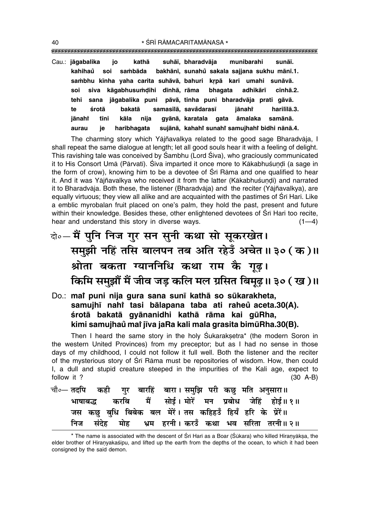Cau.: jāgabalika io kathā suhāī, bharadvāja munibarahi sunāī. kahihaů soi sambāda bakhānī, sunahů sakala sajjana sukhu mānī.1. sambhu kīnha yaha carita suhāvā, bahuri krpā kari umahi sunāvā. siva kāgabhusumdihi dīnhā, rāma bhaqata adhikārī cīnhā.2. soi jāgabalika puni pāvā, tinha puni bharadvāja prati gāvā. tehi sana śrotā bakatā samasīlā, savådarasī jānahr harilīlā.3. te iānaht tīni kāla nija gyānā, karatala gata āmalaka samānā. sujānā, kahahi sunahi samujhahi bidhi nānā.4. ie haribhagata aurau

The charming story which Yājñavalkya related to the good sage Bharadvāja, I shall repeat the same dialogue at length; let all good souls hear it with a feeling of delight. This ravishing tale was conceived by Sambhu (Lord Siva), who graciously communicated it to His Consort Umā (Pārvatī). Śiva imparted it once more to Kākabhuśundi (a sage in the form of crow), knowing him to be a devotee of Sri Rama and one qualified to hear it. And it was Yājñavalkya who received it from the latter (Kākabhuśundi) and narrated it to Bharadvāja. Both these, the listener (Bharadvāja) and the reciter (Yājñavalkya), are equally virtuous; they view all alike and are acquainted with the pastimes of Sri Hari. Like a emblic myrobalan fruit placed on one's palm, they hold the past, present and future within their knowledge. Besides these, other enlightened devotees of Srī Hari too recite, hear and understand this story in diverse ways.  $(1-4)$ 

- बे॰- मैं पुनि निज गुर सन सुनी कथा सो सूकरखेत। समुझी नहिं तसि बालपन तब अति रहेउँ अचेत ॥ ३० ( क )॥ श्रोता बकता ग्याननिधि कथा राम के गूढ़। किमि समुझौं मैं जीव जड़ कलि मल ग्रसित बिमूढ़॥ ३० ( ख )॥
- Do.: mai puni nija gura sana sunī kathā so sūkarakheta, samujhī nahi tasi bālapana taba ati raheŭ aceta.30(A). śrotā bakatā gyānanidhi kathā rāma kai gūRha, kimi samujhaŭ mart jīva jaRa kali mala grasita bimūRha.30(B).

Then I heard the same story in the holy Sukaraksetra<sup>\*</sup> (the modern Soron in the western United Provinces) from my preceptor; but as I had no sense in those days of my childhood, I could not follow it full well. Both the listener and the reciter of the mysterious story of Sri Rama must be repositories of wisdom. How, then could I, a dull and stupid creature steeped in the impurities of the Kali age, expect to follow it?  $(30 \text{ A-B})$ 

|  |  |  |  |                                                           |  | चौ∘— तदपि  कही  गुर  बारहिं  बारा । समुझि परी कछु मति अनुसारा॥ |
|--|--|--|--|-----------------------------------------------------------|--|----------------------------------------------------------------|
|  |  |  |  |                                                           |  | भाषाबद्ध करबि मैं सोई।मोरें मन प्रबोध जेहिं होई॥१॥             |
|  |  |  |  | जस कछ बुधि बिबेक बल मेरें। तस कहिहउँ हियँ हरि के प्रेरें॥ |  |                                                                |
|  |  |  |  |                                                           |  | निज संदेह मोह भ्रम हरनी।करउँ कथा भव सरिता तरनी॥२॥              |

<sup>\*</sup> The name is associated with the descent of Sri Hari as a Boar (Sukara) who killed Hiranyaksa, the elder brother of Hiranyakaśipu, and lifted up the earth from the depths of the ocean, to which it had been consigned by the said demon.

40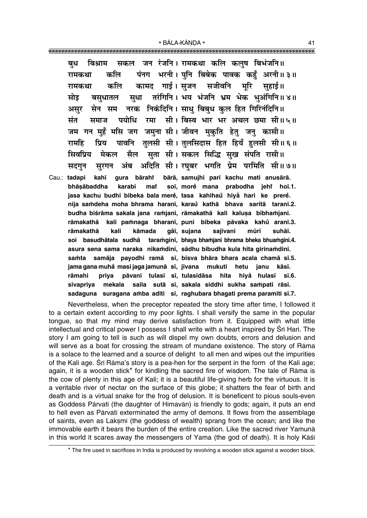\* BĀLA-KĀNDA \* 

बिश्राम जन रंजनि। रामकथा कलि कलष बिभंजनि॥ बध सकल पंनग भरनी। पनि बिबेक पावक कहँ अरनी॥३॥ कलि रामकथा कलि कामद गाई।ससजन सजीवनि मुरि सहाई॥ रामकथा सधा तरंगिनि । भय भंजनि भ्रम भेक भअंगिनि॥४॥ सोड बसधातल नरक निकंदिनि। साधु बिबुध कुल हित गिरिनंदिनि॥ सेन सम असर पयोधि रमा सी। बिस्व भार भर अचल छमा सी॥५॥ संत समाज जम गन महँ मसि जग जमना सी। जीवन मकति हेत जन कासी॥ प्रिय पावनि तलसी सी। तलसिदास हित हियँ हलसी सी॥६॥ रामहि सैल सुता सी। सकल सिद्धि सुख संपति रासी॥ सिवप्रिय मेकल सुरगन अंब अदिति सी। रघुबर भगति प्रेम परमिति सी॥७॥ सदगुन

kahī qura bāraht bārā, samujhi parī kachu mati anusārā. Cau.: tadapi bhāsābaddha karabi mat soī, more mana prabodha jehr hoī.1. jasa kachu budhi bibeka bala merė, tasa kahihau hiya hari ke prerė. nija samdeha moha bhrama haranī, karaŭ kathā bhava saritā taranī.2. budha biśrāma sakala jana ramjani, rāmakathā kali kaluṣa bibhamjani. rāmakathā kali pamnaga bharanī, puni bibeka pāvaka kahů aranī.3. rāmakathā kali kāmada gāī, sujana sajīvani mūri suhāī. soi basudhātala sudhā taramgini, bhaya bhamjani bhrama bheka bhuamgini.4. asura sena sama naraka nikamdini, sādhu bibudha kula hita girinamdini. samāja payodhi ramā sī, bisva bhāra bhara acala chamā sī.5. samta jama gana muhå masi jaga jamunā sī, jīvana mukuti hetu janu kāsī. pāvani tulasī sī, tulasidāsa hita hiyå hulasī sī.6. rāmahi priva saila sutā sī, sakala siddhi sukha sampati rāsī. sivapriva mekala sadaguna suragana amba aditi sī, raghubara bhagati prema paramiti sī.7.

Nevertheless, when the preceptor repeated the story time after time, I followed it to a certain extent according to my poor lights. I shall versify the same in the popular tongue, so that my mind may derive satisfaction from it. Equipped with what little intellectual and critical power I possess I shall write with a heart inspired by Srī Hari. The story I am going to tell is such as will dispel my own doubts, errors and delusion and will serve as a boat for crossing the stream of mundane existence. The story of Rāma is a solace to the learned and a source of delight to all men and wipes out the impurities of the Kali age. Srī Rāma's story is a pea-hen for the serpent in the form of the Kali age; again, it is a wooden stick<sup>\*</sup> for kindling the sacred fire of wisdom. The tale of Rāma is the cow of plenty in this age of Kali; it is a beautiful life-giving herb for the virtuous. It is a veritable river of nectar on the surface of this globe; it shatters the fear of birth and death and is a virtual snake for the frog of delusion. It is beneficent to pious souls-even as Goddess Pārvatī (the daughter of Himavān) is friendly to gods; again, it puts an end to hell even as Pārvatī exterminated the army of demons. It flows from the assemblage of saints, even as Laksmi (the goddess of wealth) sprang from the ocean; and like the immovable earth it bears the burden of the entire creation. Like the sacred river Yamuna in this world it scares away the messengers of Yama (the god of death). It is holy Kāśī

<sup>\*</sup> The fire used in sacrifices in India is produced by revolving a wooden stick against a wooden block.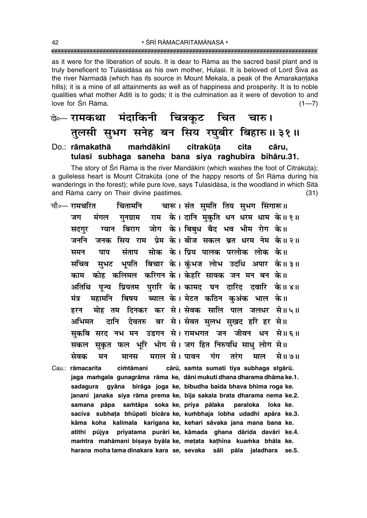\* ŚRĪ RĀMACARITAMĀNASA \* 

as it were for the liberation of souls. It is dear to Rama as the sacred basil plant and is truly beneficent to Tulasīdāsa as his own mother. Hulasī. It is beloved of Lord Śiva as the river Narmadā (which has its source in Mount Mekala, a peak of the Amarakantaka hills); it is a mine of all attainments as well as of happiness and prosperity. It is to noble qualities what mother Aditi is to gods; it is the culmination as it were of devotion to and love for Śrī Rāma.  $(1 - 7)$ 

के— रामकथा मंदाकिनी चित्रकूट चित चारु। तुलसी सुभग सनेह बन सिय रघुबीर बिहारु ॥ ३१ ॥

#### Do.: rāmakathā mamdākinī citrakūta cita cāru. tulasī subhaga saneha bana siya raghubīra bihāru.31.

The story of Śrī Rāma is the river Mandākinī (which washes the foot of Citrakūta); a guileless heart is Mount Citrakūta (one of the happy resorts of Srī Rāma during his wanderings in the forest); while pure love, says Tulasidasa, is the woodland in which Sita and Rāma carry on Their divine pastimes.  $(31)$ 

- चारू। संत सुमति तिय सुभग सिंगारू॥ चौ∘— रामचरित चिंतामनि गनग्राम राम के। दानि मकति धन धरम धाम के॥१॥ जग मंगल ग्यान बिराग जोग के। बिबध बैद भव भीम रोग के॥ सदगर जननि जनक सिय राम प्रेम के। बीज सकल ब्रत धरम नेम के॥२॥ संताप सोक के। प्रिय पालक परलोक लोक के॥ समन पाप सुभट भूपति बिचार के। कुंभज लोभ उदधि अपार के॥३॥ सचिव काम कोह कलिमल करिगन के। केहरि सावक जन मन बन के॥ अतिथि पुन्य प्रियतम पुरारि के।कामद घन दारिद दवारि के॥४॥ महामनि बिषय ब्याल के। मेटत कठिन कुअंक भाल के॥ मंत्र मोह तम दिनकर कर से।सेवक सालि पाल जलधर से॥५॥ हरन अभिमत दानि देवतरु बर से।सेवत सुलभ सुखद हरि हर से॥ सुकबि सरद नभ मन उडगन से। रामभगत जन जीवन धन से॥६॥ सकृत फल भूरि भोग से। जग हित निरुपधि साधु लोग से॥ सकल मेवक मन मानस मराल से। पावन गंग तरंग माल मे॥७॥
- Cau.: rāmacarita cimtāmani cārū, samta sumati tiya subhaga sigārū. jaga mamgala gunagrāma rāma ke, dāni mukuti dhana dharama dhāma ke.1. sadagura gyāna birāga joga ke, bibudha baida bhava bhīma roga ke. janani janaka siya rāma prema ke, bīja sakala brata dharama nema ke.2. samana pāpa samtāpa soka ke, priya pālaka paraloka loka ke. saciva subhața bhūpati bicāra ke, kumbhaja lobha udadhi apāra ke.3. kāma koha kalimala karigana ke, kehari sāvaka jana mana bana ke. atithi pūjya priyatama purāri ke, kāmada ghana dārida davāri ke.4. mamtra mahāmani bişaya byāla ke, metata kathina kuamka bhāla ke. harana moha tama dinakara kara se, sevaka sāli pāla jaladhara se.5.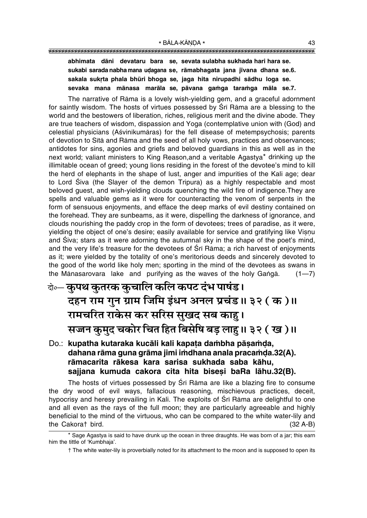**abhimata dåni devataru bara se, sevata sulabha sukhada hari hara se. sukabi sarada nabha mana uŒagana se, råmabhagata jana j∂vana dhana se.6.** sakala sukrta phala bhūri bhoga se, jaga hita nirupadhi sādhu loga se. sevaka mana mānasa marāla se, pāvana gamga taramga māla se.7.

The narrative of Råma is a lovely wish-yielding gem, and a graceful adornment for saintly wisdom. The hosts of virtues possessed by Śrī Rāma are a blessing to the world and the bestowers of liberation, riches, religious merit and the divine abode. They are true teachers of wisdom, dispassion and Yoga (contemplative union with (God) and celestial physicians (Aśvinīkumāras) for the fell disease of metempsychosis; parents of devotion to Sītā and Rāma and the seed of all holy vows, practices and observances; antidotes for sins, agonies and griefs and beloved guardians in this as well as in the next world; valiant ministers to King Reason,and a veritable Agastya\* drinking up the illimitable ocean of greed; young lions residing in the forest of the devotee's mind to kill the herd of elephants in the shape of lust, anger and impurities of the Kali age; dear to Lord Siva (the Slayer of the demon Tripura) as a highly respectable and most beloved guest, and wish-yielding clouds quenching the wild fire of indigence.They are spells and valuable gems as it were for counteracting the venom of serpents in the form of sensuous enjoyments, and efface the deep marks of evil destiny contained on the forehead. They are sunbeams, as it were, dispelling the darkness of ignorance, and clouds nourishing the paddy crop in the form of devotees; trees of paradise, as it were, yielding the object of one's desire; easily available for service and gratifying like Visnu and Siva; stars as it were adorning the autumnal sky in the shape of the poet's mind, and the very life's treasure for the devotees of Śrī Rāma; a rich harvest of enjoyments as it; were yielded by the totality of one's meritorious deeds and sincerely devoted to the good of the world like holy men; sporting in the mind of the devotees as swans in the Mānasarovara lake and purifying as the waves of the holy Gangā.  $(1-7)$ 

## दो**०— कुपथ कुतरक कुचालि कलि कपट दंभ पाषंड।** दहन राम गुन ग्राम जिमि इंधन अनल प्रचंड॥ ३२ ( क )॥  $\overline{\textbf{v}}$  रामचरित राकेस कर सरिस सुखद सब काहु। सज्जन कुमुद चकोर चित हित बिसेषि बड़ लाहु॥ ३२ (ख)॥

### Do.: **kupatha kutaraka kucāli kali kapata dambha pāsamda,** dahana rāma guna grāma jimi imdhana anala pracamda.32(A). **råmacarita råkesa kara sarisa sukhada saba kåhu,** sajjana kumuda cakora cita hita bisesi baRa lāhu.32(B).

The hosts of virtues possessed by Śrī Rāma are like a blazing fire to consume the dry wood of evil ways, fallacious reasoning, mischievous practices, deceit, hypocrisy and heresy prevailing in Kali. The exploits of Śrī Rāma are delightful to one and all even as the rays of the full moon; they are particularly agreeable and highly beneficial to the mind of the virtuous, who can be compared to the white water-lily and the Cakora† bird. (32 A-B)

<sup>\*</sup> Sage Agastya is said to have drunk up the ocean in three draughts. He was born of a jar; this earn him the tittle of 'Kumbhaja'.

<sup>†</sup> The white water-lily is proverbially noted for its attachment to the moon and is supposed to open its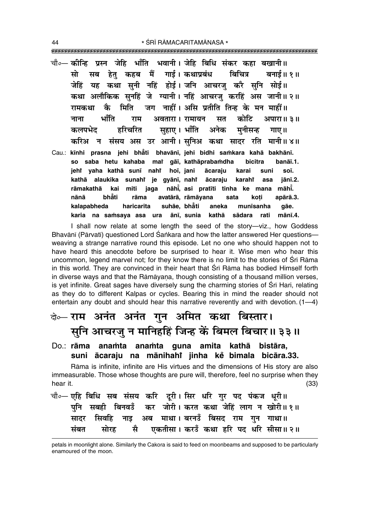\* ŚRĪ RĀMACARITAMĀNASA \*

| चौ∘— कीन्हि  प्रस्न  जेहि  भाँति  भवानी । जेहि  बिधि  संकर  कहा  बखानी॥                                                     |
|-----------------------------------------------------------------------------------------------------------------------------|
| सो सब हेतु कहब मैं गाई। कथाप्रबंध  बिचित्र  बनाई॥ १॥                                                                        |
| जेहिं यह कथा सुनी नहिं होई।जनि आचरजु करै सुनि सोई॥                                                                          |
| कथा अलौकिक सुनहिं जे ग्यानी। नहिं आचरजु करहिं अस जानी॥२॥                                                                    |
| रामकथा कै मिति जग नाहीं। असि प्रतीति तिन्ह के मन माहीं॥                                                                     |
| नाना भाँति राम अवतारा। रामायन सत कोटि अपारा॥ ३॥                                                                             |
| कलपभेद हरिचरित सुहाए। भाँति अनेक मुनीसन्ह गाए॥                                                                              |
| करिअ न संसय अस उर आनी। सुनिअ कथा सादर रति मानी॥४॥                                                                           |
| Cau.: kīnhi prasna jehi bhati bhavānī, jehi bidhi samkara kahā bakhānī.                                                     |
| so saba hetu kahaba mai gāī, kathāprabamdha bicitra banāī.1.<br>jehi yaha kathā sunī nahi hoī, jani ācaraju karai suni soī. |
| kathā alaukika sunahi je gyānī, nahi ācaraju karahi asa jānī.2.                                                             |
| rāmakathā kai miti jaga nāhī, asi pratīti tinha ke mana māhī.                                                               |
| nānā bhāti rāma avatārā, rāmāyana sata koți apārā.3.                                                                        |
| kalapabheda haricarita suhāe,-bhāti aneka munīsanha gāe.                                                                    |

I shall now relate at some length the seed of the story-viz., how Goddess Bhavānī (Pārvatī) questioned Lord Sankara and how the latter answered Her questions weaving a strange narrative round this episode. Let no one who should happen not to have heard this anecdote before be surprised to hear it. Wise men who hear this uncommon, legend marvel not; for they know there is no limit to the stories of Sri Rama in this world. They are convinced in their heart that Srī Rāma has bodied Himself forth in diverse ways and that the Rāmāyana, though consisting of a thousand million verses, is yet infinite. Great sages have diversely sung the charming stories of Srī Hari, relating as they do to different Kalpas or cycles. Bearing this in mind the reader should not entertain any doubt and should hear this narrative reverently and with devotion. (1-4)

ānī, sunia

kathā sādara rati

mānī.4.

karia na samsaya asa ura

# बेञ्चल राम अनंत अनंत गुन अमित कथा बिस्तार। सूनि आचरजु न मानिहहिं जिन्ह कें बिमल बिचार॥ ३३॥

anamta anamta guna amita Do.: rāma kathā bistāra. suni ācaraju na mānihahi jinha kẻ bimala bicāra.33.

Rāma is infinite, infinite are His virtues and the dimensions of His story are also immeasurable. Those whose thoughts are pure will, therefore, feel no surprise when they hear it.  $(33)$ 

|  |  |  |  |  |  | चौ∘— एहि बिधि सब संसय करि दूरी। सिर धरि गुर पद पंकज धूरी॥ |
|--|--|--|--|--|--|-----------------------------------------------------------|
|  |  |  |  |  |  | पनि सबही बिनवउँ कर जोरी।करत कथा जेहिं लाग न खोरी॥१॥       |
|  |  |  |  |  |  | सादर सिवहि नाइ अब माथा।बरनउँ बिसद राम गुन गाथा॥           |
|  |  |  |  |  |  | संबत सोरह सै एकतीसा। करउँ कथा हरि पद धरि सीसा॥२॥          |

petals in moonlight alone. Similarly the Cakora is said to feed on moonbeams and supposed to be particularly enamoured of the moon.

44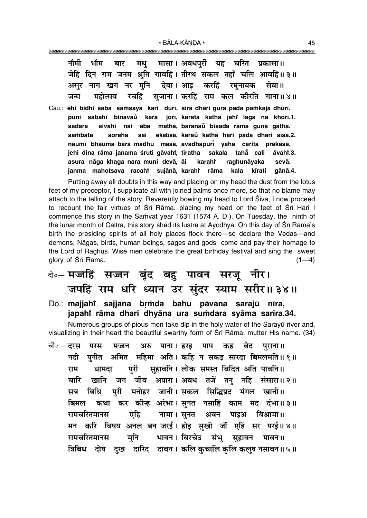| * BALA-KANDA *                                                              | 45 |
|-----------------------------------------------------------------------------|----|
|                                                                             |    |
| नौमी भौम बार मधु मासा।अवधपुरीं यह चरित प्रकासा॥                             |    |
| जेहि दिन राम जनम श्रुति गावहिं। तीरथ सकल तहाँ चलि आवहिं॥३॥                  |    |
| नाग खग नर मुनि  देवा। आइ  करहिं  रघुनायक  सेवा॥<br>असर                      |    |
| जन्म महोत्सव रचहिं सुजाना।।करहिं राम कल कीरति गाना॥४॥                       |    |
| Cau.: ehi bidhi saba samsaya kari dūrī, sira dhari gura pada pamkaja dhūrī. |    |
| puni sabahī binavaů kara jorī, karata kathā jehr lāga na khorī.1.           |    |
| sādara sivahi nāi aba māthā, baranaŭ bisada rāma guna gāthā.                |    |
| sambata soraha sai ekatīsā, karaŭ kathā hari pada dhari sīsā.2.             |    |
| naumī bhauma bāra madhu māsā, avadhapurī yaha carita prakāsā.               |    |
| jehi dina rāma janama śruti gāvahi, tīratha sakala tahā cali āvahi.3.       |    |
| asura nāga khaga nara muni devā, āi karahi raghunāyaka sevā.                |    |
| janma mahotsava racahi sujānā, karahi rāma kala kīrati gānā.4.              |    |

Putting away all doubts in this way and placing on my head the dust from the lotus feet of my preceptor, I supplicate all with joined palms once more, so that no blame may attach to the telling of the story. Reverently bowing my head to Lord Siva, I now proceed to recount the fair virtues of Śrī Rāma. placing my head on the feet of Śrī Hari I commence this story in the Samvat year 1631 (1574 A. D.). On Tuesday, the ninth of the lunar month of Caitra, this story shed its lustre at Ayodhyā. On this day of Śrī Rāma's birth the presiding spirits of all holy places flock there—so declare the Vedas—and demons, Någas, birds, human beings, sages and gods come and pay their homage to the Lord of Raghus. Wise men celebrate the great birthday festival and sing the sweet glory of Śrī Rāma. (1—4) (1о4)

- दो**०– मज्जहिं सज्जन बृंद बहु पावन सरजू नीर।** जपहिं राम धरि ध्यान उर सुंदर स्याम सरीर॥३४॥
- Do.: <mark>majjahi̇̀ sajjana bṛṁda bahu pāvana sarajū nīra,</mark> **japahiÚ råma dhari dhyåna ura su≈dara syåma sar∂ra.34.**

Numerous groups of pious men take dip in the holy water of the Sarayū river and, visualizing in their heart the beautiful swarthy form of Śrī Rāma, mutter His name. (34)

चौ०— दरस परस मज्जन अरु पाना।**हरड़ पाप कह बेद पराना**॥ नदी पुनीत अमित महिमा अति। कहि न सकइ सारदा बिमलमति॥१॥ **राम धामदा पुरी सुहावनि। लोक समस्त बिदित अति पावनि॥** <u>चारि खानि जग जीव अपारा। अवध तजें तन् नहिं संसारा॥२॥</u> सब बिधि परी मनोहर जानी।सकल सिद्धिप्रद मंगल खानी॥ **बिमल कथा कर कीन्ह अरंभा। सुनत नसाहिं काम मद दंभा॥३॥**  $\overline{v}$ रामचरितमानस एहि नामा । सुनत श्रवन पाइअ बिश्रामा ॥ **मन करि बिषय अनल बन जरई। होइ सुखी जौं एहिं सर परई॥४॥ रामचरितमानस मनि भावन। बिरचेउ संभु सहावन पावन॥** <u>त्रिबिध दोष दुख दारिद दावन । कलि कुचालि कुलि कलुष नसावन ॥ ५ ॥</u>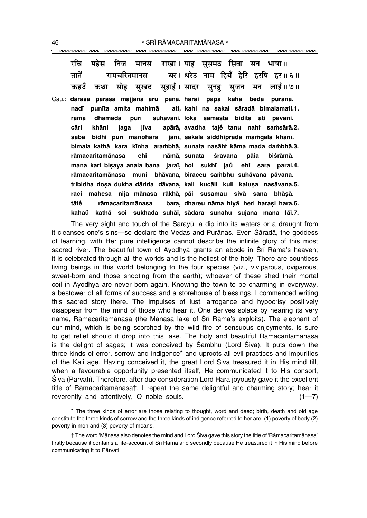**रचि महेस निज मानस राखा।** पाइ ससमउ सिवा सन भाषा॥ तातें रामचरितमानस बर । धरेउ नाम हियँ हेरि हरषि हर॥६॥ कहउँ कथा सोइ सुखद सुहाई। सादर सुनह सुजन मन लाई॥**७॥** Cau.: **darasa parasa majjana aru pånå, harai påpa kaha beda purånå. nad∂ pun∂ta amita mahimå ati, kahi na sakai såradå bimalamati.1. råma dhåmadå pur∂ suhåvani, loka samasta bidita ati påvani. cåri khåni jaga j∂va apårå, avadha taj~e. tanu nahiÚ sa≈sårå.2.** saba bidhi purī manohara jānī, sakala siddhiprada mamgala khānī. **bimala kathå kara k∂nha ara≈bhå, sunata nasåhiÚ kåma mada da≈bhå.3.** rāmacaritamānasa ehi nāmā, sunata śravana pāia biśrāmā. **mana kari bişaya anala bana jaraī, hoi sukhī jaŭ ehi sara parai.4. råmacaritamånasa muni bhåvana, biraceu sa≈bhu suhåvana påvana. tribidha do¶a dukha dårida dåvana, kali kucåli kuli kalu¶a nasåvana.5.** raci mahesa nija mānasa rākhā, pāi susamau sivā sana bhāṣā. **tåt~e. råmacaritamånasa bara, dhareu nåma hiya° heri hara¶i hara.6. kaha~u. kathå soi sukhada suhå∂, sådara sunahu sujana mana lå∂.7.**

The very sight and touch of the Sarayū, a dip into its waters or a draught from it cleanses one's sins–so declare the Vedas and Purānas. Even Śāradā, the goddess of learning, with Her pure intelligence cannot describe the infinite glory of this most sacred river. The beautiful town of Ayodhyā grants an abode in Śrī Rāma's heaven; it is celebrated through all the worlds and is the holiest of the holy. There are countless living beings in this world belonging to the four species (viz., viviparous, oviparous, sweat-born and those shooting from the earth); whoever of these shed their mortal coil in Ayodhyå are never born again. Knowing the town to be charming in everyway, a bestower of all forms of success and a storehouse of blessings, I commenced writing this sacred story there. The impulses of lust, arrogance and hypocrisy positively disappear from the mind of those who hear it. One derives solace by hearing its very name, Rāmacaritamānasa (the Mānasa lake of Śrī Rāma's exploits). The elephant of our mind, which is being scorched by the wild fire of sensuous enjoyments, is sure to get relief should it drop into this lake. The holy and beautiful Råmacaritamånasa is the delight of sages; it was conceived by Sambhu (Lord Siva). It puts down the three kinds of error, sorrow and indigence\* and uproots all evil practices and impurities of the Kali age. Having conceived it, the great Lord Siva treasured it in His mind till, when a favourable opportunity presented itself, He communicated it to His consort, Śivā (Pārvatī). Therefore, after due consideration Lord Hara joyously gave it the excellent title of Råmacaritamånasa†. I repeat the same delightful and charming story; hear it reverently and attentively, O noble souls.  $(1-7)$ 

<sup>\*</sup> The three kinds of error are those relating to thought, word and deed; birth, death and old age constitute the three kinds of sorrow and the three kinds of indigence referred to her are: (1) poverty of body (2) poverty in men and (3) poverty of means.

 $\dagger$  The word 'Mānasa also denotes the mind and Lord Śiva gave this story the title of 'Rāmacaritamānasa' firstly because it contains a life-account of Śrī Rāma and secondly because He treasured it in His mind before communicating it to Pārvatī.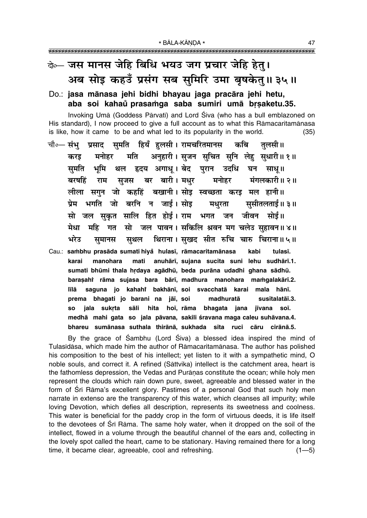### के— जस मानस जेहि बिधि भयउ जग प्रचार जेहि हेत्। अब सोइ कहउँ प्रसंग सब सुमिरि उमा बृषकेतु॥ ३५॥

#### Do.: jasa mānasa jehi bidhi bhayau jaga pracāra jehi hetu, aba soi kahaŭ prasamga saba sumiri umā brsaketu.35.

Invoking Umā (Goddess Pārvatī) and Lord Śiva (who has a bull emblazoned on His standard). I now proceed to give a full account as to what this Rāmacaritamānasa is like, how it came to be and what led to its popularity in the world.  $(35)$ 

- चौ०— संभ॒ प्रसाद समति हियँ हलसी । रामचरितमानस कबि तलसी॥ मति अनुहारी। सूजन सुचित सुनि लेहु सुधारी॥१॥ मनोहर करड सुमति भूमि थल हृदय अगाधू। बेद पुरान उदधि घन साधू॥ सजस बर बारी। मधर मनोहर मंगलकारी॥ २॥ बरषहिं राम लीला सगन जो कहहिं बखानी।सोड स्वच्छता करड मल हानी।। प्रेम भगति जो बरनि न जाई।सोड मधुरता ससीतलताई॥ ३॥ सो जल सकत सालि हित होई। राम भगत जन जीवन सोई॥ गत सो जल पावन। सकिलि श्रवन मग चलेउ सहावन॥४॥ मेधा महि थिराना। सुखद सीत रुचि चारु चिराना॥५॥ भरेउ सुथल समानस
- Cau.: sambhu prasāda sumati hiya hulasī, rāmacaritamānasa kabi tulasī. karai manohara mati anuhārī, sujana sucita suni lehu sudhārī.1. sumati bhūmi thala hrdaya agādhū, beda purāna udadhi ghana sādhū. baraşahi rāma sujasa bara bārī, madhura manohara mamgalakārī.2. līlā saguna jo kahahi bakhānī, soi svacchatā karai mala hānī. prema bhagati jo barani na jāī, soi madhuratā susītalatāī.3. so jala sukrta sāli hita hoi, rāma bhagata jana jīvana soī. medhā mahi gata so jala pāvana, sakili śravana maga caleu suhāvana.4. bhareu sumānasa suthala thirānā, sukhada sīta ruci cāru cirānā.5.

By the grace of Sambhu (Lord Siva) a blessed idea inspired the mind of Tulasīdāsa, which made him the author of Rāmacaritamānasa. The author has polished his composition to the best of his intellect; yet listen to it with a sympathetic mind, O noble souls, and correct it. A refined (Sattvika) intellect is the catchment area, heart is the fathomless depression, the Vedas and Purānas constitute the ocean; while holy men represent the clouds which rain down pure, sweet, agreeable and blessed water in the form of Srī Rāma's excellent glory. Pastimes of a personal God that such holy men narrate in extenso are the transparency of this water, which cleanses all impurity; while loving Devotion, which defies all description, represents its sweetness and coolness. This water is beneficial for the paddy crop in the form of virtuous deeds, it is life itself to the devotees of Sri Rama. The same holy water, when it dropped on the soil of the intellect, flowed in a volume through the beautiful channel of the ears and, collecting in the lovely spot called the heart, came to be stationary. Having remained there for a long time, it became clear, agreeable, cool and refreshing.  $(1 - 5)$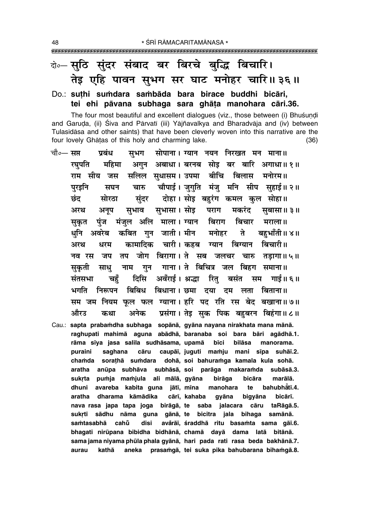# बे-सृठि सुंदर संबाद बर बिरचे बुद्धि बिचारि। तेइ एहि पावन सुभग सर घाट मनोहर चारि॥ ३६॥

#### Do.: suthi sumdara sambāda bara birace buddhi bicāri, tei ehi pāvana subhaga sara ghāta manohara cāri.36.

The four most beautiful and excellent dialogues (viz., those between (i) Bhusundi and Garuda, (ii) Śiva and Pārvatī (iii) Yāiñavalkva and Bharadvāja and (iv) between Tulasidasa and other saints) that have been cleverly woven into this narrative are the four lovely Ghatas of this holy and charming lake.  $(36)$ 

- चौ०— सप्त पबंध सभग सोपाना। ग्यान नयन निरखत मन माना॥ महिमा अगन अबाधा। बरनब सोड़ बर बारि अगाधा॥१॥ रघपति सलिल सुधासम। उपमा बीचि बिलास मनोरम॥ राम सीय जस चारु चौपाई। जुगुति मंजु मनि सीप सुहाई॥२॥ पुरइनि सघन संदर दोहा। सोड़ बहरंग कमल कल सोहा॥ छंट सोरठा सभाव सभासा। सोड अरथ पराग मकरंद अनप सबासा॥ ३॥ सुकृत पुंज मंजुल अलि माला।ग्यान बिराग बिचार मराला ॥ धनि अवरेब कबित गन जाती। मीन मनोहर ते बहभाँती॥ ४॥ कामादिक चारी। कहब ग्यान बिग्यान बिचारी॥ अरथ धरम जप तप जोग बिरागा। ते सब जलचर चारु तड़ागा॥५॥ नव रस नाम गुन गाना। ते बिचित्र जल बिहग समाना॥ सकृती साधु दिसि अवँराई। श्रद्धा रित् बसंत सम गाई॥६॥ संतसभा चहँ बिबिध बिधाना। छमा दया दम लता बिताना॥ भगति निरूपन सम जम नियम फुल फल ग्याना। हरि पद रति रस बेद बखाना॥७॥ प्रसंगा। तेइ सुक पिक बहुबरन बिहंगा॥८॥ औरउ अनेक कथा
- Cau.: sapta prabamdha subhaga sopānā, gyāna nayana nirakhata mana mānā. raghupati mahimā aguna abādhā, baranaba soi bara bāri agādhā.1. rāma sīva jasa salila sudhāsama, upamā bīci bilāsa manorama. cāru caupāi, juguti mamju mani sīpa suhāi.2. puraini saghana chamda sorathā sumdara dohā, soi bahuramga kamala kula sohā. aratha anūpa subhāva subhāsā, soi parāga makaramda subāsā.3. sukrta pumja mamjula ali mālā, gyāna birāga bicāra marālā. dhuni avareba kabita guna jātī, mīna manohara te bahubhătī.4. aratha dharama kāmādika cārī, kahaba qyāna biqvāna bicārī. nava rasa japa tapa joga birāgā, te saba jalacara cāru taRāgā.5. sukrtī sādhu nāma guna gānā, te bicitra jala bihaga samānā. avårāī, śraddhā ritu basamta sama gāī.6. samtasabhā cahů disi bhagati nirūpana bibidha bidhānā, chamā dayā dama latā bitānā. sama jama niyama phūla phala gyānā, hari pada rati rasa beda bakhānā.7. kathā aneka prasamgā, tei suka pika bahubarana bihamgā.8. aurau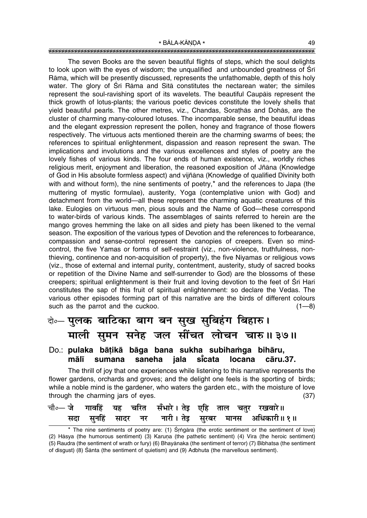"""""""""""""""""""""""""""""""""""""""""""""""""""""""""""""""""""""""""""""""""""

The seven Books are the seven beautiful flights of steps, which the soul delights to look upon with the eyes of wisdom; the unqualified and unbounded greatness of Śrī Råma, which will be presently discussed, represents the unfathomable, depth of this holy water. The glory of Śrī Rāma and Sītā constitutes the nectarean water; the similes represent the soul-ravishing sport of its wavelets. The beautiful Caupāīs represent the thick growth of lotus-plants; the various poetic devices constitute the lovely shells that yield beautiful pearls. The other metres, viz., Chandas, Sorathās and Dohās, are the cluster of charming many-coloured lotuses. The incomparable sense, the beautiful ideas and the elegant expression represent the pollen, honey and fragrance of those flowers respectively. The virtuous acts mentioned therein are the charming swarms of bees; the references to spiritual enlightenment, dispassion and reason represent the swan. The implications and involutions and the various excellences and styles of poetry are the lovely fishes of various kinds. The four ends of human existence, viz., worldly riches religious merit, enjoyment and liberation, the reasoned exposition of Jñāna (Knowledge of God in His absolute formless aspect) and vij¤åna (Knowledge of qualified Divinity both with and without form), the nine sentiments of poetry,<sup>\*</sup> and the references to Japa (the muttering of mystic formulae), austerity, Yoga (contemplative union with God) and detachment from the world—all these represent the charming aquatic creatures of this lake. Eulogies on virtuous men, pious souls and the Name of God-these correspond to water-birds of various kinds. The assemblages of saints referred to herein are the mango groves hemming the lake on all sides and piety has been likened to the vernal season. The exposition of the various types of Devotion and the references to forbearance, compassion and sense-control represent the canopies of creepers. Even so mindcontrol, the five Yamas or forms of self-restraint (viz., non-violence, truthfulness, nonthieving, continence and non-acquisition of property), the five Niyamas or religious vows (viz., those of external and internal purity, contentment, austerity, study of sacred books or repetition of the Divine Name and self-surrender to God) are the blossoms of these creepers; spiritual enlightenment is their fruit and loving devotion to the feet of Śrī Hari constitutes the sap of this fruit of spiritual enlightenment: so declare the Vedas. The various other episodes forming part of this narrative are the birds of different colours such as the parrot and the cuckoo.  $(1-8)$ 

## दो∘– **पुलक बाटिका बाग बन सुख सुबिहंग बिहारु। माली सुमन सनेह जल सींचत लोचन चारु॥३७॥**

#### Do.: pulaka bāṭikā bāga bana sukha subihamga bihāru, **mål∂ sumana saneha jala s∂°** locana cāru.37.

The thrill of joy that one experiences while listening to this narrative represents the flower gardens, orchards and groves; and the delight one feels is the sporting of birds; while a noble mind is the gardener, who waters the garden etc., with the moisture of love through the charming jars of eyes. (37)

|  |  | चौ∘— जे   गावहिं   यह   चरित   सँभारे । तेइ   एहि   ताल   चतुर   रखवारे ॥ |
|--|--|---------------------------------------------------------------------------|
|  |  | सदा सुनहिं सादर नर नारी।तेइ सुरबर मानस अधिकारी॥१॥                         |

<sup>\*</sup> The nine sentiments of poetry are: (1) Śrṅgāra (the erotic sentiment or the sentiment of love) (2) Hāsya (the humorous sentiment) (3) Karuna (the pathetic sentiment) (4) Vīra (the heroic sentiment) (5) Raudra (the sentiment of wrath or fury) (6) Bhayānaka (the sentiment of terror) (7) Bībhatsa (the sentiment of disgust) (8) Santa (the sentiment of quietism) and (9) Adbhuta (the marvellous sentiment).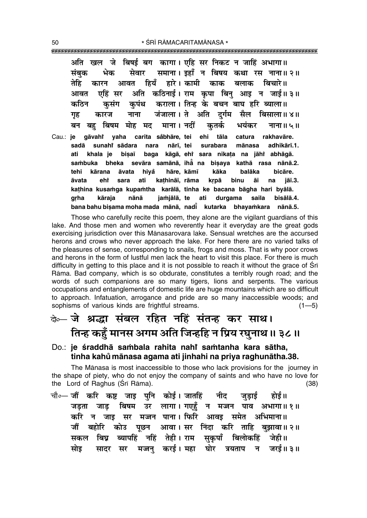अति खल जे बिषई बग कागा। एहि सर निकट न जाहिं अभागा॥ समाना। इहाँ न बिषय कथा रस नाना॥ २॥ भेक सेवार संबक हियँ हारे। कामी काक बलाक बिचारे॥ तेहि कारन आवत अति कठिनाई। राम कपा बिन आइ न जाई॥३॥ एहिं सर आवत कराला। तिन्ह के बचन बाघ हरि ब्याला॥ कठिन कसंग कपंथ जंजाला। ते अति दर्गम सैल बिसाला॥४॥ गृह कारज नाना बन बह बिषम मोह मद माना । नदीं कतर्क भयंकर नाना ॥ ५ ॥ Cau.: je gāvahi yaha carita såbhāre, tei ehi tāla catura rakhavāre.

sunahî sādara nara nārī, tei surabara mānasa sadā adhikārī.1. ati khala je bisaī baga kāgā, ehr sara nikata na jāhr abhāgā. sevāra samānā, ihā na bisaya kathā rasa nānā.2. sambuka bheka hiyå hāre, kāmī kāka balāka bicāre. tehi kārana āvata kathināī, rāma āvata ehi sara ati krpā binu āi na jāī.3. kathina kusamga kupamtha karālā, tinha ke bacana bāgha hari byālā. arha kāraja nānā jamiālā, te ati durgama saila bisālā.4. bana bahu bisama moha mada mānā, nadī kutarka bhayamkara nānā.5.

Those who carefully recite this poem, they alone are the vigilant quardians of this lake. And those men and women who reverently hear it everyday are the great gods exercising jurisdiction over this Mānasarovara lake. Sensual wretches are the accursed herons and crows who never approach the lake. For here there are no varied talks of the pleasures of sense, corresponding to snails, frogs and moss. That is why poor crows and herons in the form of lustful men lack the heart to visit this place. For there is much difficulty in getting to this place and it is not possible to reach it without the grace of Sri Rāma. Bad company, which is so obdurate, constitutes a terribly rough road; and the words of such companions are so many tigers, lions and serpents. The various occupations and entanglements of domestic life are huge mountains which are so difficult to approach. Infatuation, arrogance and pride are so many inaccessible woods; and sophisms of various kinds are frightful streams.  $(1 - 5)$ 

## के-जे श्रद्धा संबल रहित नहिं संतन्ह कर साथ। तिन्ह कहुँ मानस अगम अति जिन्हहि न प्रिय रघुनाथ॥ ३८॥

#### Do.: je śraddhā sambala rahita nahi samtanha kara sātha, tinha kahů mānasa agama ati jinhahi na priya raghunātha.38.

The Mānasa is most inaccessible to those who lack provisions for the journey in the shape of piety, who do not enjoy the company of saints and who have no love for the Lord of Raghus (Śrī Rāma).  $(38)$ 

पुनि कोई। जातहिं चौ०— **जौं करि कष्ट जाइ** नीद जुड़ाई होर्ड ॥ उर लागा। गएहँ न मज्जन पाव अभागा॥१॥ जडता जाड बिषम करि न जाड सर मज्जन पाना।। फिरि आवड समेत अभिमाना॥ जौं बहोरि पछन आवा । सर निंदा करि ताहि बझावा ॥ २ ॥ कोउ नहिं तेही । राम बिघ ब्यापहिं सकर्पा बिलोकहिं जेही ॥ सकल मज्जनु करई। महा घोर सोड त्रयताप न जरई॥ ३॥ सादर सर

50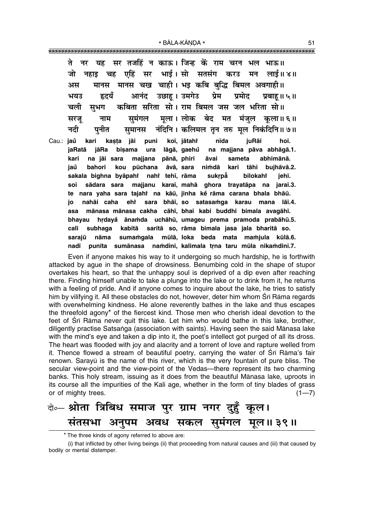\* BĀLA-KĀNDA \*

सर तजहिं न काऊ। जिन्ह कें राम चरन भल भाऊ॥ ते नर यह भाई। सो सतसंग जो एहिं सर करउ मन लाई॥ ४॥ नहाड चह मानस चख चाही। भड़ कबि बद्धि बिमल अवगाही॥ अस मानस उछाह। उमगेउ आनंद प्रेम प्रमोट प्रबाह।। ५॥ भयउ हृदयँ कबिता सरिता सो। राम बिमल जस जल भरिता सो॥ चली सभग मुला। लोक बेद मत मंजल सरज नाम समगल कुला॥ ६॥ नदी पूनीत नंदिनि । कलिमल तुन तरु मूल निकंदिनि॥७॥ समानस Cau.: jaů koī, jātahř kari kasta jāi puni nīda juRāī hoī. bişama jaRatā jāRa ura lāgā, gaehů na majiana pāva abhāgā.1. kari na jāi sara pānā, phiri sameta abhimānā. majjana āvai jaů bahori kou pūchana āvā, sara nimdā kari tāhi bujhāvā.2. sakala bighna byāpahr nahi tehī, rāma sukrpå bilokaht jehī. sādara sara majjanu karaī, mahā ghora trayatāpa na jaraī.3. soi te nara yaha sara tajahî na kāū, jinha kẻ rāma carana bhala bhāū. ehi sara bhāi, so satasamga karau mana lāi.4. nahāi caha jo mānasa mānasa cakha cāhī, bhai kabi buddhi bimala avagāhī. asa hrdayå ānamda uchāhū, umageu prema pramoda prabāhū.5. bhayau calī subhaga kabitā saritā so, rāma bimala jasa jala bharitā so. saraiū nāma sumamgala mūlā, loka beda mata mamjula kūlā.6. punīta sumānasa namdini, kalimala trna taru mūla nikamdini.7. nadī

Even if anyone makes his way to it undergoing so much hardship, he is forthwith attacked by ague in the shape of drowsiness. Benumbing cold in the shape of stupor overtakes his heart, so that the unhappy soul is deprived of a dip even after reaching there. Finding himself unable to take a plunge into the lake or to drink from it, he returns with a feeling of pride. And if anyone comes to inquire about the lake, he tries to satisfy him by vilifying it. All these obstacles do not, however, deter him whom Srī Rāma regards with overwhelming kindness. He alone reverently bathes in the lake and thus escapes the threefold agony\* of the fiercest kind. Those men who cherish ideal devotion to the feet of Srī Rāma never quit this lake. Let him who would bathe in this lake, brother, diligently practise Satsanga (association with saints). Having seen the said Mānasa lake with the mind's eye and taken a dip into it, the poet's intellect got purged of all its dross. The heart was flooded with joy and alacrity and a torrent of love and rapture welled from it. Thence flowed a stream of beautiful poetry, carrying the water of Srī Rāma's fair renown. Sarayū is the name of this river, which is the very fountain of pure bliss. The secular view-point and the view-point of the Vedas—there represent its two charming banks. This holy stream, issuing as it does from the beautiful Mānasa lake, uproots in its course all the impurities of the Kali age, whether in the form of tiny blades of grass or of mighty trees.  $(1 - 7)$ 

### बेञ्- श्रोता त्रिबिध समाज पुर ग्राम नगर दुहूँ कूल। संतसभा अनुपम अवध सकल सुमंगल मूल॥३९॥

51

<sup>\*</sup> The three kinds of agony referred to above are:

<sup>(</sup>i) that inflicted by other living beings (ii) that proceeding from natural causes and (iii) that caused by bodily or mental distemper.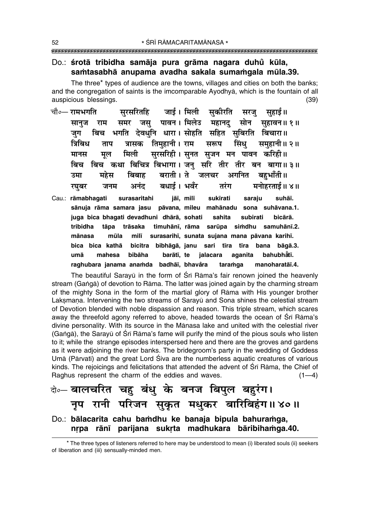### Do.: śrotā tribidha samāja pura grāma nagara duhů kūla, samtasabhā anupama avadha sakala sumamqala mūla.39.

The three\* types of audience are the towns, villages and cities on both the banks; and the congregation of saints is the imcomparable Avodhya, which is the fountain of all auspicious blessings.  $(39)$ 

- जाई। मिली सकीरति चौ∘— रामभगति सरसरितहि सरज सहार्ड ॥ जस् पावन । मिलेउ महानद सानुज समर सोन सहावन॥१॥ राम बिच भगति देवधनि धारा। सोहति सहित सबिरति बिचारा॥ जग त्रासक तिमहानी। राम सिंध समहानी॥ २॥ त्रिबिध सरूप ताप मिली सुरसरिही। सुनत सुजन मन पावन करिही॥ मानस मूल बिच बिच कथा बिचित्र बिभागा। जन सरि तीर तीर बन बागा॥३॥ बराती । ते जलचर अगनित बहुभाँती॥ उमा महेस बिबाह बधाई। भवँर मनोहरताई॥ ४॥ अनंद तरंग रघुबर जनम
- Cau.: rāmabhagati surasaritahi jāī, milī sukīrati saraju suhāī. sānuja rāma samara jasu pāvana, mileu mahānadu sona suhāvana.1. juga bica bhagati devadhuni dhārā, sohati sahita subirati bicārā. tāpa trāsaka timuhānī, rāma sarūpa simdhu samuhānī.2. tribidha surasarihī, sunata sujana mana pāvana karihī. mānasa mūla milī bica bica kathā bicitra bibhāgā, janu sari tīra tīra bana bāgā.3. barātī, te mahesa bibāha jalacara aganita bahubhătī. umā raghubara janama anamda badhāī, bhavåra taramga manoharatāī.4.

The beautiful Sarayū in the form of Srī Rāma's fair renown joined the heavenly stream (Ganga) of devotion to Rama. The latter was joined again by the charming stream of the mighty Sona in the form of the martial glory of Rama with His younger brother Laksmana. Intervening the two streams of Sarayū and Sona shines the celestial stream of Devotion blended with noble dispassion and reason. This triple stream, which scares away the threefold agony referred to above, headed towards the ocean of Sri Rāma's divine personality. With its source in the Mānasa lake and united with the celestial river (Ganga), the Sarayū of Śrī Rāma's fame will purify the mind of the pious souls who listen to it; while the strange episodes interspersed here and there are the groves and gardens as it were adjoining the river banks. The bridegroom's party in the wedding of Goddess Umā (Pārvatī) and the great Lord Śiva are the numberless aquatic creatures of various kinds. The rejoicings and felicitations that attended the advent of Srī Rāma, the Chief of Raghus represent the charm of the eddies and waves.  $(1-4)$ 

### बे-बालचरित चहु बंधु के बनज बिपुल बहुरंग। नृप रानी परिजन सुकृत मधुकर बारिबिहंग॥४०॥ Do.: bālacarita cahu bamdhu ke banaja bipula bahuramga, nrpa rānī parijana sukrta madhukara bāribihamga.40.

<sup>\*</sup> The three types of listeners referred to here may be understood to mean (i) liberated souls (ii) seekers of liberation and (iii) sensually-minded men.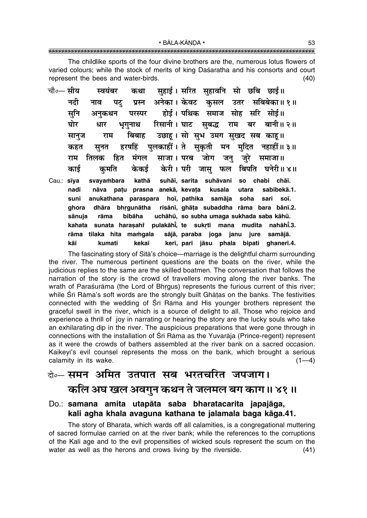\* BĀLA-KĀNDA \* 

The childlike sports of the four divine brothers are the, numerous lotus flowers of varied colours; while the stock of merits of king Daśaratha and his consorts and court represent the bees and water-birds.  $(40)$ 

चौ०— मीय सहाई। सरित सहावनि सो छबि छाई॥ कथा म्बरांबर अनेका। केवट कुसल नदी उतर सबिबेका॥१॥ नाव पट् प्रस्न होई। पथिक समाज सोह सरि सोई॥ सनि परस्पर अनकथन रिसानी। घाट सबद्ध राम बर बानी॥ २॥ घोर धार भगनाथ बिबाह उछाह। सो सुभ उमग सुखद सब काह॥ सानज राम पलकाहीं। ते सकती हरषहिं मन मदित नहाहीं॥३॥ कहत सूनत मंगल साजा। परब जोग समाजा॥ राम तिलक हित जन जरे कार्ड कर्मात केकर्ड केरी। परी जास फल बिपति घनेरी॥४॥ Cau.: sīva kathā suhāī, sarita suhāvani so chabi chāī. svavambara nadī nāva patu prasna anekā, kevata kusala utara sabibekā.1. suni anukathana paraspara hoi, pathika samāja soha sari soī. qhora dhāra bhrqunātha risānī, ghāta subaddha rāma bara bānī.2. uchāhū. so subha umaga sukhada saba kāhū. sānuja rāma bibāha sunata harasahi pulakāhi, te sukrtī mana mudita nahāhī.3. kahata rāma tilaka hita mamqala sājā, paraba joga janu jure samājā. kekaī kerī, parī jāsu phala bipati kāī kumati ghanerī.4.

The fascinating story of Sita's choice—marriage is the delightful charm surrounding the river. The numerous pertinent questions are the boats on the river, while the judicious replies to the same are the skilled boatmen. The conversation that follows the narration of the story is the crowd of travellers moving along the river banks. The wrath of Paraśurāma (the Lord of Bhrgus) represents the furious current of this river; while Srī Rāma's soft words are the strongly built Ghātas on the banks. The festivities connected with the wedding of Sri Rama and His younger brothers represent the graceful swell in the river, which is a source of delight to all. Those who rejoice and experience a thrill of joy in narrating or hearing the story are the lucky souls who take an exhilarating dip in the river. The auspicious preparations that were gone through in connections with the installation of Srī Rāma as the Yuvarāja (Prince-regent) represent as it were the crowds of bathers assembled at the river bank on a sacred occasion. Kaikeyi's evil counsel represents the moss on the bank, which brought a serious calamity in its wake.  $(1-4)$ 

# केन् समन अमित उतपात सब भरतचरित जपजाग।

### कलि अघ खल अवगुन कथन ते जलमल बग काग॥ ४१॥

#### Do.: samana amita utapāta saba bharatacarita japajāga, kali agha khala avaguna kathana te jalamala baga kāga.41.

The story of Bharata, which wards off all calamities, is a congregational muttering of sacred formulae carried on at the river bank; while the references to the corruptions of the Kali age and to the evil propensities of wicked souls represent the scum on the water as well as the herons and crows living by the riverside.  $(41)$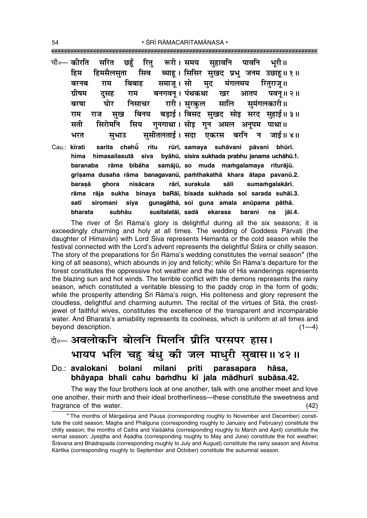\* ŚRĪ RĀMACARITAMĀNASA \* 

| चौ∘— कीरति सरित छहूँ रितु रूरी । समय सुहावनि पावनि भूरी॥ |                                                                   |
|----------------------------------------------------------|-------------------------------------------------------------------|
| हिम                                                      | हिमसैलसुता सिव ब्याहू। सिसिर सुखद प्रभु जनम उछाहू॥१॥              |
| राम<br>बरनब                                              | बिबाह समाजू।सो मुद मंगलमय रितुराजू॥                               |
| ग्रीषम                                                   | दुसह राम बनगवन् । पंथकथा खर आतप पवन् ॥ २ ॥                        |
| बरषा                                                     | घोर निसाचर रारी।सुरकुल सालि सुमंगलकारी॥                           |
| राम                                                      | राज सुख बिनय बड़ाई। बिसद सुखद सोइ सरद सुहाई॥३॥                    |
| सती                                                      | सिरोमनि सिय गुनगाथा।सोइ गुन अमल अनूपम पाथा॥                       |
| भरत                                                      | सुभाउ सुसीतलताई। सदा एकरस बरनि न जाई॥४॥                           |
| Cau.: kīrati                                             | sarita chahūّ ritu  rūrī, samaya suhāvani pāvani bhūrī.           |
| hima                                                     | himasailasutā siva byāhū, sisira sukhada prabhu janama uchāhū.1.  |
|                                                          | baranaba rāma bibāha samājū, so muda mamgalamaya riturājū.        |
|                                                          | grīṣama dusaha rāma banagavanū, pamthakathā khara ātapa pavanū.2. |
| ghora nisācara rārī, surakula sāli<br>barasā             | sumamgalakārī.                                                    |
| rāma                                                     | rāja sukha binaya baRāī, bisada sukhada soi sarada suhāī.3.       |
| satī                                                     | siromani siya gunagāthā, soi guna amala anūpama pāthā.            |
| subhāu susītalatāī, sadā ekarasa<br>bharata              | barani<br>jāī.4.<br>na                                            |

The river of Sri Rama's glory is delightful during all the six seasons; it is exceedingly charming and holy at all times. The wedding of Goddess Pārvatī (the daughter of Himavan) with Lord Siva represents Hemanta or the cold season while the festival connected with the Lord's advent represents the delightful Sistra or chilly season. The story of the preparations for Sri Rama's wedding constitutes the vernal season\* (the king of all seasons), which abounds in joy and felicity; while Srī Rāma's departure for the forest constitutes the oppressive hot weather and the tale of His wanderings represents the blazing sun and hot winds. The terrible conflict with the demons represents the rainy season, which constituted a veritable blessing to the paddy crop in the form of gods; while the prosperity attending Srī Rāma's reign, His politeness and glory represent the cloudless, delightful and charming autumn. The recital of the virtues of Sita, the crestjewel of faithful wives, constitutes the excellence of the transparent and incomparable water. And Bharata's amiability represents its coolness, which is uniform at all times and bevond description.  $(1-4)$ 

# बे- अवलोकनि बोलनि मिलनि प्रीति परसपर हास। भायप भलि चहु बंधु की जल माधुरी सुबास॥४२॥

#### Do.: avalokani bolani milani prīti parasapara hāsa, bhāyapa bhali cahu bamdhu kī jala mādhurī subāsa.42.

The way the four brothers look at one another, talk with one another meet and love one another, their mirth and their ideal brotherliness—these constitute the sweetness and fragrance of the water.  $(42)$ 

54

<sup>\*</sup> The months of Mārgaśīrsa and Pausa (corresponding roughly to November and December) constitute the cold season; Māgha and Phālguna (corresponding roughly to January and February) constitute the chilly season; the months of Caitra and Vaiśākha (corresponding roughly to March and April) constitute the vernal season; Jyestha and Asadha (corresponding roughly to May and June) constitute the hot weather; Śrāvana and Bhādrapada (corresponding roughly to July and August) constitute the rainy season and Āśvina Kārtika (corresponding roughly to September and October) constitute the autumnal season.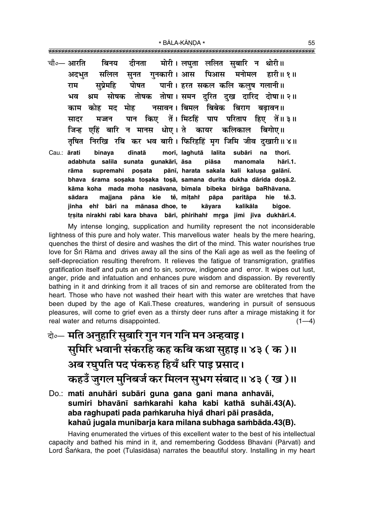\* BĀLA-KĀNDA \*

| titletti tiidi tiidi tiidi tiidi tiidi tiidi tiidi tiidi tiidi tiidi tiidi tiidi tiidi tiidi tiidi tiidi tiidi tiid |
|---------------------------------------------------------------------------------------------------------------------|
| चौ∘— आरति     बिनय    दीनता     मोरी । लघुता  ललित  सुबारि  न  थोरी ॥                                               |
| अदभुत सलिल सुनत गुनकारी।अास पिआस मनोमल हारी॥१॥                                                                      |
| सुप्रेमहि पोषत  पानी। हरत सकल कलि कलुष गलानी॥<br>राम                                                                |
| भव श्रम सोषक तोषक तोषा।समन दुरित दुख दारिद दोषा॥२॥                                                                  |
| काम कोह मद मोह   नसावन। बिमल बिबेक बिराग बढावन॥                                                                     |
| सादर मज्जन पान किए तें।।मिटहिं पाप परिताप हिए तें॥३॥                                                                |
| जिन्ह एहिं बारि न मानस धोए। ते कायर कलिकाल बिगोए॥                                                                   |
| तृषित निरखि रबि कर भव बारी। फिरिहहिं मृग जिमि जीव दुखारी॥४॥                                                         |
| Cau.: ārati binaya dīnatā morī, laghutā lalita subāri na thorī.                                                     |
| adabhuta salila sunata gunakārī, āsa   piāsa  manomala<br>hārī.1.                                                   |
| rāma supremahi posata pānī, harata sakala kali kalusa galānī.                                                       |
| bhava śrama sosaka tosaka tosā, samana durita dukha dārida dosā.2.                                                  |
| kāma koha mada moha nasāvana, bimala bibeka birāga baRhāvana.                                                       |
| sādara majjana pāna kie tě, miṭahŕ pāpa paritāpa hie tě.3.                                                          |
| jinha ehi bāri na mānasa dhoe, te kāyara kalikāla bigoe.                                                            |

My intense longing, supplication and humility represent the not inconsiderable lightness of this pure and holy water. This marvellous water heals by the mere hearing, quenches the thirst of desire and washes the dirt of the mind. This water nourishes true love for Srī Rāma and drives away all the sins of the Kali age as well as the feeling of self-depreciation resulting therefrom. It relieves the fatigue of transmigration, gratifies gratification itself and puts an end to sin, sorrow, indigence and error. It wipes out lust, anger, pride and infatuation and enhances pure wisdom and dispassion. By reverently bathing in it and drinking from it all traces of sin and remorse are obliterated from the heart. Those who have not washed their heart with this water are wretches that have been duped by the age of Kali. These creatures, wandering in pursuit of sensuous pleasures, will come to grief even as a thirsty deer runs after a mirage mistaking it for real water and returns disappointed.  $(1-4)$ 

trsita nirakhi rabi kara bhava bārī, phirihahi mrga jimi jīva dukhārī.4.

- केन्- मति अनुहारि सुबारि गुन गन गनि मन अन्हवाइ। सुमिरि भवानी संकरहि कह कबि कथा सुहाइ॥ ४३ ( क )॥ अब रघुपति पद पंकरुह हियँ धरि पाइ प्रसाद। कहउँ जुगल मुनिबर्ज कर मिलन सुभग संबाद ॥ ४३ ( ख )॥
- Do.: mati anuhāri subāri guna gana gani mana anhavāi, sumiri bhavānī samkarahi kaha kabi kathā suhāi.43(A). aba raghupati pada pamkaruha hiyå dhari pāi prasāda, kahaŭ jugala munibarja kara milana subhaga sambāda.43(B).

Having enumerated the virtues of this excellent water to the best of his intellectual capacity and bathed his mind in it, and remembering Goddess Bhavani (Parvati) and Lord Sankara, the poet (Tulasidasa) narrates the beautiful story. Installing in my heart

55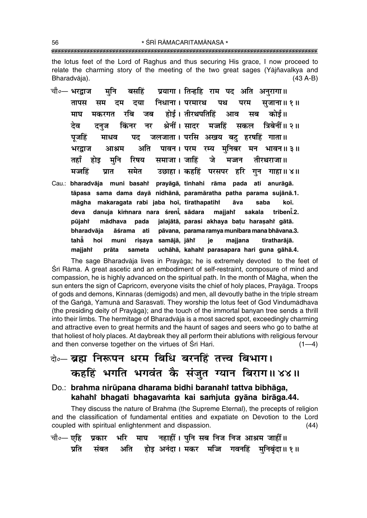the lotus feet of the Lord of Raghus and thus securing His grace, I now proceed to relate the charming story of the meeting of the two great sages (Yajñavalkya and Bharadvāja).  $(43 A-B)$ 

- प्रयागा। तिन्हहि राम पद अति अनरागा॥ चौ∘— भरद्वाज मनि बर्माहं निधाना । परमारथ सजाना ॥ १ ॥ सम दम दया तापस पथ परम होई। तीरथपतिहिं रबि कोई॥ माघ मकरगत जब आव मब देव नर श्रेनीं । सादर मज्जहिं त्रिबेनीं॥ २॥ किंनर सकल दनज पजहिं जलजाता। परसि अखय बट हरषहिं गाता॥ माधव पद अति पावन । परम रम्य मनिबर भरद्राज आश्रम मन भावन॥ ३॥ रिषय समाजा। जाहिं जे तहाँ होड मनि तीरथराजा॥ मजन मज्जहिं समेत उछाहा। कहहिं परसपर हरि प्रात गुन गाहा ॥ ४ ॥
- Cau.: bharadvāja muni basahi prayāgā, tinhahi rāma pada ati anurāgā. tāpasa sama dama dayā nidhānā, paramāratha patha parama sujānā.1. māgha makaragata rabi jaba hoī, tīrathapatihì āva saba koī. danuja kimnara nara śreni̇̃, sādara majjahř tribeni.2. deva sakala pūjaht mādhava pada jalajātā, parasi akhaya batu harasahi gātā. bharadvāja pāvana, parama ramya munibara mana bhāvana.3. āśrama ati tahằ hoi risaya samājā, jāhř maiiana tīratharājā. muni ie uchāhā, kahahi parasapara hari guna gāhā.4. majjaht prāta sameta

The sage Bharadvāja lives in Prayāga; he is extremely devoted to the feet of Śrī Rāma. A great ascetic and an embodiment of self-restraint, composure of mind and compassion, he is highly advanced on the spiritual path. In the month of Māgha, when the sun enters the sign of Capricorn, everyone visits the chief of holy places, Prayaga. Troops of gods and demons, Kinnaras (demigods) and men, all devoutly bathe in the triple stream of the Ganga, Yamuna and Sarasvati. They worship the lotus feet of God Vindumadhava (the presiding deity of Prayaga); and the touch of the immortal banyan tree sends a thrill into their limbs. The hermitage of Bharadvāja is a most sacred spot, exceedingly charming and attractive even to great hermits and the haunt of sages and seers who go to bathe at that holiest of holy places. At daybreak they all perform their ablutions with religious fervour and then converse together on the virtues of Sri Hari.  $(1-4)$ 

### वे— ब्रह्म निरूपन धरम बिधि बरनहिं तत्त्व बिभाग। कहहिं भगति भगवंत के संजुत ग्यान बिराग॥४४॥

Do.: brahma nirūpana dharama bidhi baranahi tattva bibhāga, kahahi bhagati bhagavamta kai samjuta gyāna birāga.44.

They discuss the nature of Brahma (the Supreme Eternal), the precepts of religion and the classification of fundamental entities and expatiate on Devotion to the Lord coupled with spiritual enlightenment and dispassion.  $(44)$ 

|  |  |  |  | प्रति संबत अति होइनअनंदा।मकर मज्जि गवनहिं मुनिबृंदा॥१॥ |  |
|--|--|--|--|--------------------------------------------------------|--|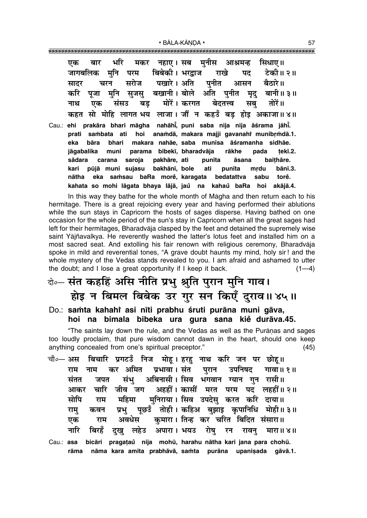| एक बार भरि मकर नहाए। सब मुनीस आश्रमन्ह सिधाए॥         |  |
|-------------------------------------------------------|--|
| जागबलिक मुनि परम बिबेकी। भरद्वाज राखे पद टेकी॥ २॥     |  |
| सादर चरन सरोज पखारे।अति पुनीत आसन बैठारे॥             |  |
| करि पूजा मुनि सुजसु बखानी।बोले अति पुनीत मृदु बानी॥३॥ |  |
| नाथ एक संसउ बड़ मोरें। करगत बेदतत्त्व सबु तोरें॥      |  |
| कहत सो मोहि लागत भय लाजा। जौं न कहउँ बड़ होइ अकाजा॥४॥ |  |

Cau.: ehi prakāra bhari māgha nahāhī, puni saba nija nija āśrama jāhī. hoi anamdā, makara majji gavanahi munibrmdā.1. prati sambata ati makara nahāe, saba munīsa āśramanha sidhāe. eka bāra bhari parama bibekī, bharadvāja rākhe iāgabalika muni pada tekī.2. sādara carana saroja pakhāre, ati punīta āsana baithāre. kari pūjā muni sujasu bakhānī, bole ati punīta bānī.3. mrdu eka samsau baRa more, karagata nātha bedatattva sabu torě. kahata so mohi lāgata bhaya lājā, jaŭ na kahaŭ baRa hoi akājā.4.

In this way they bathe for the whole month of Magha and then return each to his hermitage. There is a great rejoicing every year and having performed their ablutions while the sun stays in Capricorn the hosts of sages disperse. Having bathed on one occasion for the whole period of the sun's stay in Capricorn when all the great sages had left for their hermitages, Bharadvāja clasped by the feet and detained the supremely wise saint Yājñavalkya. He reverently washed the latter's lotus feet and installed him on a most sacred seat. And extolling his fair renown with religious ceremony, Bharadvāja spoke in mild and reverential tones, "A grave doubt haunts my mind, holy sir! and the whole mystery of the Vedas stands revealed to you. I am afraid and ashamed to utter the doubt; and I lose a great opportunity if I keep it back.  $(1-4)$ 

### बे॰ संत कहहिं असि नीति प्रभु श्रुति पुरान मुनि गाव। होइ न बिमल बिबेक उर गुर सन किएँ दुराव॥४५॥

#### Do.: samta kahahi asi nīti prabhu śruti purāna muni gāva, hoi na bimala bibeka ura gura sana kie durāva.45.

"The saints lay down the rule, and the Vedas as well as the Purānas and sages too loudly proclaim, that pure wisdom cannot dawn in the heart, should one keep anything concealed from one's spiritual preceptor."  $(45)$ 

चौ०— अस बिचारि प्रगटउँ निज मोहू ।हरहु नाथ करि जन पर छोहू॥ कर अमित प्रभावा । संत परान उपनिषद राम नाम गावा॥ १॥ अबिनासी। सिव भगवान ग्यान गुन रासी॥ संभ संतत जपत अहहीं। कासीं मरत परम पद लहहीं॥२॥ चारि जीव जग आकर मुनिराया। सिव उपदेसु करत करि दाया॥ सोपि राम महिमा पछउँ तोही। कहिअ बझाइ कपानिधि मोही॥३॥ प्रभ राम कवन कुमारा। तिन्ह कर चरित बिदित संसारा॥ अवधेस एक राम नारि बिरहे दुख् लहेउ अपारा । भयउ रोष् रावन् रन मारा॥४॥

pragataŭ nija mohū, harahu nātha kari jana para chohū. Cau.: asa bicāri nāma kara amita prabhāvā, samta purāna upanisada gāvā.1. rāma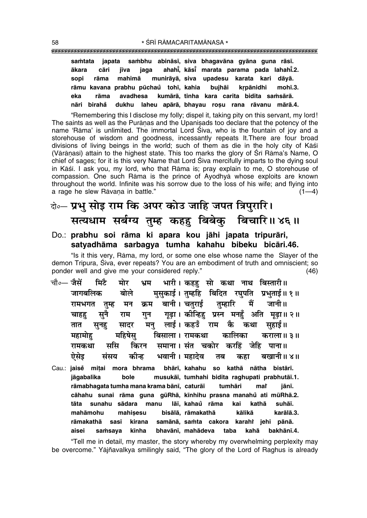samtata japata sambhu abināsī, siva bhagavāna gyāna guna rāsī. **åkara cåri j∂va jaga ahah∂° , kås∂° marata parama pada lahah∂° .2. sopi råma mahimå muniråyå, siva upadesu karata kari dåyå. råmu kavana prabhu pµuchau° toh∂, kahia bujhåi kæpånidhi moh∂.3. eka rāma avadhesa kumārā, tinha kara carita bidita samsārā. nåri biraha° dukhu laheu apårå, bhayau ro¶u rana råvanu mårå.4.**

"Remembering this I disclose my folly; dispel it, taking pity on this servant, my lord! The saints as well as the Purānas and the Upanisads too declare that the potency of the name 'Rāma' is unlimited. The immortal Lord Śiva, who is the fountain of joy and a storehouse of wisdom and goodness, incessantly repeats It.There are four broad divisions of living beings in the world; such of them as die in the holy city of Kāśī (Vārānasī) attain to the highest state. This too marks the glory of Śrī Rāma's Name, O chief of sages; for it is this very Name that Lord Siva mercifully imparts to the dying soul in Kāśī. I ask you, my lord, who that Rāma is; pray explain to me, O storehouse of compassion. One such Råma is the prince of Ayodhyå whose exploits are known throughout the world. Infinite was his sorrow due to the loss of his wife; and flying into a rage he slew Råvana in battle."  $(1-4)$ 

### दो∘– **प्रभु सोइ राम कि अपर कोउ जाहि जपत त्रिप्**रारि। रात्यधाम सर्बग्य तुम्ह कहह बिबेकु बिचारि॥४६॥

#### Do.: **prabhu soi råma ki apara kou jåhi japata tripuråri, satyadhåma sarbagya tumha kahahu bibeku bicåri.46.**

"Is it this very, Rāma, my lord, or some one else whose name the Slayer of the demon Tripura, Siva, ever repeats? You are an embodiment of truth and omniscient; so ponder well and give me your considered reply." (46)

- चौ०— जैसें मिटै मोर भ्रम भारी । कहह सो कथा नाथ बिस्तारी ॥ जागबलिक बोले मुसुकाई। तुम्हहि बिदित रघुपति प्रभुताई॥१॥ ⁄<del>रा</del>मभगत तुम्ह मन क्रम बानी।चतुराई तुम्हारि मैं जानी॥ **चाहहु सुनै राम गुन गूढ़ा।**कीन्हिहु प्रस्न मनहुँ अति मूढ़ा॥२॥ तात सुनहु सादर मनु लाई। कहउँ राम कै कथा सुहाई॥ **◊"UÊ◊Ù"ÈU ◊Á"U·'È Á''Ê‹Ê – ⁄UÊ◊∑§ÕÊ ∑§ÊÁ‹∑§Ê ∑§⁄UÊ‹ÊH 3H**  $\overline{\textbf{v}}$ एमकथा ससि किरन समाना।संत चकोर करहिं जेहि पाना॥ ऐसेड संसय कीन्ह भवानी।**महादेव तब कहा बखानी॥४**॥
- Cau.: **jaise mi¢ai mora bhrama bhår∂, kahahu so kathå nåtha bistår∂. ° jågabalika bole musukå∂, tumhahi bidita raghupati prabhutå∂.1. råmabhagata tumha mana krama bån∂, caturå∂ tumhåri maiÚ jån∂. cåhahu sunai råma guna gµuRhå, k∂nhihu prasna manahu° ati mµuRhå.2. tåta sunahu sådara manu lå∂, kahau° råma kai kathå suhå∂. mahåmohu mahi¶esu bisålå, råmakathå kålikå karålå.3. råmakathå sasi kirana samånå, sa≈ta cakora karahiÚ jehi pånå. aisei sa≈saya k∂nha bhavån∂, mahådeva taba kahå bakhån∂.4.**

ìTell me in detail, my master, the story whereby my overwhelming perplexity may be overcome." Yājñavalkya smilingly said, "The glory of the Lord of Raghus is already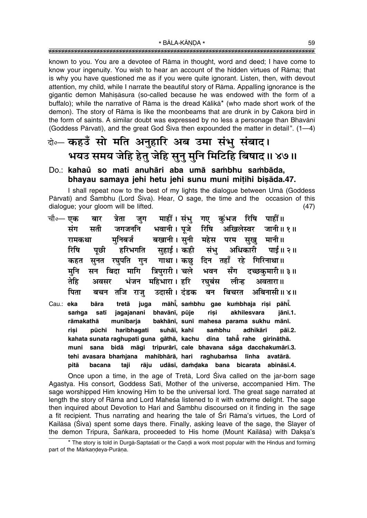known to you. You are a devotee of Rāma in thought, word and deed; I have come to know your ingenuity. You wish to hear an account of the hidden virtues of Rāma; that is why you have questioned me as if you were quite ignorant. Listen, then, with devout attention, my child, while I narrate the beautiful story of Rāma. Appalling ignorance is the gigantic demon Mahisāsura (so-called because he was endowed with the form of a buffalo); while the narrative of Rāma is the dread Kālikā\* (who made short work of the demon). The story of Rāma is like the moonbeams that are drunk in by Cakora bird in the form of saints. A similar doubt was expressed by no less a personage than Bhavānī (Goddess Pārvatī), and the great God Śiva then expounded the matter in detail". (1—4)

### वे॰ कहउँ सो मति अनुहारि अब उमा संभु संबाद। भयउ समय जेहि हेतु जेहि सुनु मुनि मिटिहि बिषाद॥४७॥

#### Do.: kahaŭ so mati anuhāri aba umā sambhu sambāda, bhayau samaya jehi hetu jehi sunu muni mitihi bisāda.47.

I shall repeat now to the best of my lights the dialogue between Uma (Goddess Pārvatī) and Śambhu (Lord Śiva). Hear, O sage, the time and the occasion of this dialoque; your gloom will be lifted.  $(47)$ 

रिषि चौ०— **एक** माहीं। संभु गए कंभज पार्ही ॥ बार त्रेता जग भवानी। पजे सती जगजननि रिषि अखिलेस्वर जानी॥ १॥ संग मानी ॥ रामकथा मनिबर्ज बखानी। सनी महेस परम सख रिषि पछी हरिभगति सहाई। कही संभ अधिकारी पाई॥ २॥ गाथा। कछु दिन तहाँ रहे गिरिनाथा॥ गुन कहत सूनत रघपति मनि त्रिपरारी। चले भवन सँग सन बिदा मागि दच्छकमारी॥ ३॥ महिभारा। हरि तेहि अवसर भंजन रघुबंस लीन्ह अवतारा॥ उदासी । दंडक पिता बन बिचरत अबिनासी॥ ४॥ तजि राज बचन māhi, sambhu gae kumbhaja risi Cau.: eka bāra tretā juga pāhī. bhavānī, pūje risi samga satī jagajanani akhilesvara jānī.1. rāmakathā munibarja bakhānī, sunī mahesa parama sukhu mānī. pūchī haribhagati suhāī, kahī sambhu adhikārī risi  $p\bar{a}$ ī.2. kahata sunata raghupati guna gāthā, kachu dina tahằ rahe girināthā. sana bidā māgi tripurārī, cale bhavana såga dacchakumārī.3. muni tehi avasara bhamjana mahibhārā, hari raghubamsa līnha avatārā. udāsī, damdaka bana bicarata abināsī.4. bacana taji pitā rāju

Once upon a time, in the age of Treta, Lord Siva called on the jar-born sage Agastya. His consort, Goddess Sati, Mother of the universe, accompanied Him. The sage worshipped Him knowing Him to be the universal lord. The great sage narrated at length the story of Rāma and Lord Mahesa listened to it with extreme delight. The sage then inquired about Devotion to Hari and Sambhu discoursed on it finding in the sage a fit recipient. Thus narrating and hearing the tale of Srī Rāma's virtues, the Lord of Kailasa (Siva) spent some days there. Finally, asking leave of the sage, the Slayer of the demon Tripura, Sankara, proceeded to His home (Mount Kailāsa) with Daksa's

The story is told in Durgā-Saptaśatī or the Candī a work most popular with the Hindus and forming part of the Mārkaṇḍeya-Purāna.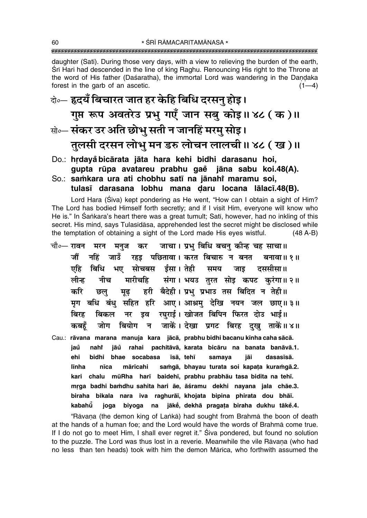daughter (Satī). During those very days, with a view to relieving the burden of the earth, Śrī Hari had descended in the line of king Raghu. Renouncing His right to the Throne at the word of His father (Daśaratha), the immortal Lord was wandering in the Dandaka forest in the garb of an ascetic.  $(1-4)$ 

केन्ट हृदयँ बिचारत जात हर केहि बिधि दरसन् होड़। गुप्त रूप अवतरेउ प्रभु गएँ जान सबु कोइ॥४८ (क)॥ को०-संकर उर अति छोभु सती न जानहिं मरमु सोइ। तुलसी दरसन लोभु मन डरु लोचन लालची॥४८ ( ख )॥

- Do.: hrdayå bicārata jāta hara kehi bidhi darasanu hoi, gupta rūpa avatareu prabhu gaĕ jāna sabu koi.48(A).
- So.: samkara ura ati chobhu satī na jānahi maramu soi, tulasī darasana lobhu mana daru locana lālacī.48(B).

Lord Hara (Siva) kept pondering as He went, "How can I obtain a sight of Him? The Lord has bodied Himself forth secretly; and if I visit Him, everyone will know who He is." In Sankara's heart there was a great tumult; Sati, however, had no inkling of this secret. His mind, says Tulasīdāsa, apprehended lest the secret might be disclosed while the temptation of obtaining a sight of the Lord made His eyes wistful.  $(48 A-B)$ 

|  |  |  | चौ∘— रावन मरन मनुज कर जाचा। प्रभु बिधि बचनु कोन्ह चह साचा॥ |                                                                            |
|--|--|--|------------------------------------------------------------|----------------------------------------------------------------------------|
|  |  |  |                                                            | जौं नहिं जाउँ रहइ पछितावा। करत बिचारु न बनत बनावा॥१॥                       |
|  |  |  | एहि बिधि भए सोचबस ईसा।तेही समय जाइ दससीसा॥                 |                                                                            |
|  |  |  |                                                            | लीन्ह नीच मारीचहि संगा। भयउ तुरत सोइ कपट कुरंगा॥ २॥                        |
|  |  |  | करि छलु मूढ़ हरी बैदेही।प्रभुप्रभाउ तस बिदित न तेही॥       |                                                                            |
|  |  |  |                                                            | मृग बधि बंधु सहित हरि आए। आश्रमु देखि नयन जल छाए॥३॥                        |
|  |  |  | बिरह बिकल नर इव रघुराई। खोजत बिपिन फिरत दोउ भाई॥           |                                                                            |
|  |  |  |                                                            | कबहूँ जोग बियोग न जाकें।देखा प्रगट बिरह दुखु ताकें॥४॥                      |
|  |  |  |                                                            | Cau.: rāvana marana manuja kara jācā, prabhu bidhi bacanu kīnha caha sācā. |

jaů pachitāvā, karata bicāru na banata banāvā.1. nahi jāů rahai ehi bidhi bhae socabasa īsā, tehī samaya jāi dasasīsā. līnha mārīcahi samgā, bhayau turata soi kapata kuramgā.2. nīca chalu mūRha harī baidehī, prabhu prabhāu tasa bidita na tehī. kari mrga badhi bamdhu sahita hari āe, āśramu dekhi nayana jala chāe.3. biraha bikala nara iva raghurāī, khojata bipina phirata dou bhāī. kabahū jāké, dekhā pragata biraha dukhu tākė.4. joga biyoga na

"Rāvana (the demon king of Lanka) had sought from Brahma the boon of death at the hands of a human foe; and the Lord would have the words of Brahma come true. If I do not go to meet Him, I shall ever regret it." Siva pondered, but found no solution to the puzzle. The Lord was thus lost in a reverie. Meanwhile the vile Rāvana (who had no less than ten heads) took with him the demon Mārīca, who forthwith assumed the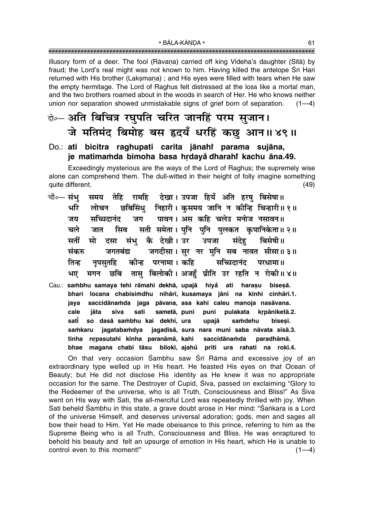\* BĀLA-KĀNDA \* 

illusory form of a deer. The fool (Rāvana) carried off king Videha's daughter (Sītā) by fraud; the Lord's real might was not known to him. Having killed the antelope Srī Hari returned with His brother (Laksmana) ; and His eyes were filled with tears when He saw the empty hermitage. The Lord of Raghus felt distressed at the loss like a mortal man, and the two brothers roamed about in the woods in search of Her. He who knows neither union nor separation showed unmistakable signs of grief born of separation.  $(1-4)$ 

### बे⊶ अति बिचित्र रघुपति चरित जानहिं परम सुजान। जे मतिमंद बिमोह बस हृदयँ धरहिं कछ आन॥४९॥

#### Do.: ati bicitra raghupati carita jānahi parama sujāna, je matimamda bimoha basa hrdayå dharahi kachu āna.49.

Exceedingly mysterious are the ways of the Lord of Raghus; the supremely wise alone can comprehend them. The dull-witted in their height of folly imagine something quite different.  $(49)$ 

- रामहि देखा। उपजा हियँ अति हरष बिसेषा॥ चौ०— संभ समय तेहि छबिसिंध निहारी। कुसमय जानि न कीन्हि चिन्हारी॥१॥ भरि लोचन पावन। अस कहि चलेउ मनोज नसावन॥ सच्चिदानंद जग जय सिव सती समेता। पनि पनि पुलकत कृपानिकेता॥२॥ चले जात संभु कै देखी। उर सतीं दसा उपजा संदेह बिसेषी॥ सो जगदीसा। सुर नर मुनि सब नावत सीसा॥३॥ संकरु जगतबंद्य कोन्ह परनामा । कहि सच्चिदानंद परधामा॥ तिन्ह नपसतहि तासु बिलोकी। अजहुँ प्रीति उर रहति न रोकी॥४॥ भए मगन छबि
- Cau.: sambhu samaya tehi rāmahi dekhā, upajā hiya ati harasu bisesā. locana chabisimdhu nihārī, kusamaya jāni na kīnhi cinhārī.1. bhari saccidānamda jaga pāvana, asa kahi caleu manoja nasāvana. jaya cale satī sametā, puni pulakata krpāniketā.2. iāta siva puni satī so dasā sambhu kai dekhī, ura upajā samdehu bisesī. samkaru jagatabamdya jagadīsā, sura nara muni saba nāvata sīsā.3. nrpasutahi kīnha paranāmā, kahi saccidānamda tinha paradhāmā. bhae magana chabi tāsu bilokī, ajahů prīti ura rahati na rokī.4.

On that very occasion Sambhu saw Srī Rāma and excessive joy of an extraordinary type welled up in His heart. He feasted His eyes on that Ocean of Beauty; but He did not disclose His identity as He knew it was no appropriate occasion for the same. The Destroyer of Cupid, Siva, passed on exclaiming "Glory to the Redeemer of the universe, who is all Truth, Consciousness and Bliss!" As Siva went on His way with Sati, the all-merciful Lord was repeatedly thrilled with joy. When Satī beheld Sambhu in this state, a grave doubt arose in Her mind: "Sankara is a Lord of the universe Himself, and deserves universal adoration; gods, men and sages all bow their head to Him. Yet He made obeisance to this prince, referring to him as the Supreme Being who is all Truth, Consciousness and Bliss. He was enraptured to behold his beauty and felt an upsurge of emotion in His heart, which He is unable to control even to this moment!"  $(1-4)$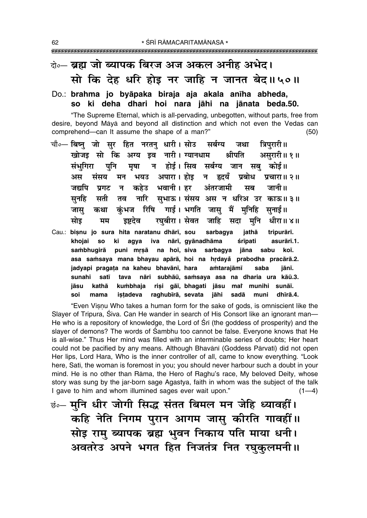### वे॰– ब्रह्म जो ब्यापक बिरज अज अकल अनीह अभेद। सो कि देह धरि होड़ नर जाहि न जानत बेद॥५०॥

Do.: brahma jo byāpaka biraja aja akala anīha abheda, so ki deha dhari hoi nara jāhi na jānata beda.50.

"The Supreme Eternal, which is all-pervading, unbegotten, without parts, free from desire, beyond Māyā and beyond all distinction and which not even the Vedas can comprehend-can It assume the shape of a man?"  $(50)$ 

- चौ० बिष्नु जो सुर हित नरतनु धारी।सोउ सर्बग्य त्रिपुरारी॥ जथा खोजइ सो कि अग्य इव नारी। ग्यानधाम श्रीपति असरारी॥ १॥ मृषा न होई।सिव सर्बग्य जान सब कोई॥ संभगिरा पनि भयउ अपारा। होड न हृदयँ प्रबोध संसय मन प्रचारा॥ २॥ अस जद्यपि प्रगट कहेउ भवानी। हर अंतरजामी जानी ॥ न सब सूनहि नारि सुभाऊ। संसय अस न धरिअ उर काऊ॥३॥ सती तव कंभज रिषि गाई। भगति जास मैं मनिहि सनाई॥ जास कथा सोड रघुबीरा। सेवत जाहि सदा मुनि धीरा॥४॥ इष्टदेव मम
- Cau.: bișnu jo sura hita naratanu dhārī, sou sarbagya jathā tripurārī. khojai so ki agya iva nārī, gyānadhāma śrīpati asurārī.1. sambhugirā puni mrsā na hoī, siva sarbagya jāna sabu koī. asa samsaya mana bhayau apārā, hoi na hrdayǎ prabodha pracārā.2. jadyapi pragata na kaheu bhavānī, hara amtarajāmī saba jānī. sunahi satī tava nāri subhāū, samsaya asa na dharia ura kāū.3. kathā jāsu kumbhaja risi gāī, bhagati jāsu mar munihi sunāī. istadeva raghubīrā, sevata jāhi sadā muni dhīrā.4. soi mama

"Even Visnu Who takes a human form for the sake of gods, is omniscient like the Slayer of Tripura, Siva. Can He wander in search of His Consort like an ignorant man— He who is a repository of knowledge, the Lord of Sri (the goddess of prosperity) and the slayer of demons? The words of Sambhu too cannot be false. Everyone knows that He is all-wise." Thus Her mind was filled with an interminable series of doubts; Her heart could not be pacified by any means. Although Bhavānī (Goddess Pārvatī) did not open Her lips, Lord Hara, Who is the inner controller of all, came to know everything. "Look here, Sati, the woman is foremost in you; you should never harbour such a doubt in your mind. He is no other than Rāma, the Hero of Raghu's race, My beloved Deity, whose story was sung by the jar-born sage Agastya, faith in whom was the subject of the talk I gave to him and whom illumined sages ever wait upon."  $(1-4)$ 

छं. मुनि धीर जोगी सिद्ध संतत बिमल मन जेहि ध्यावहीं। कहि नेति निगम पुरान आगम जासु कीरति गावहीं॥ सोइ रामु ब्यापक ब्रह्म भुवन निकाय पति माया धनी। अवतरेउ अपने भगत हित निजतंत्र नित रघुकुलमनी॥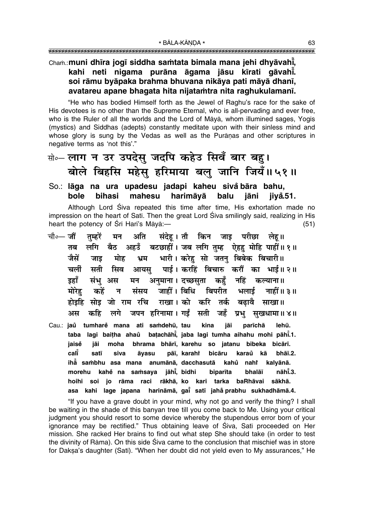### Cham.: muni dhīra jogī siddha samtata bimala mana jehi dhyāvahī, kahi neti nigama purāna āgama jāsu kīrati gāvahī. soi rāmu byāpaka brahma bhuvana nikāya pati māyā dhanī, avatareu apane bhagata hita nijatamtra nita raghukulamanī.

"He who has bodied Himself forth as the Jewel of Raghu's race for the sake of His devotees is no other than the Supreme Eternal, who is all-pervading and ever free, who is the Ruler of all the worlds and the Lord of Maya, whom illumined sages, Yogis (mystics) and Siddhas (adepts) constantly meditate upon with their sinless mind and whose glory is sung by the Vedas as well as the Puranas and other scriptures in negative terms as 'not this'."

### सोल- लाग न उर उपदेस जदपि कहेउ सिवँ बार बहु। बोले बिहसि महेसु हरिमाया बलु जानि जियँ॥५१॥

#### So.: lāga na ura upadesu jadapi kaheu sivåbāra bahu, bole bihasi mahesu harimāvā balu jāni jivå.51.

Although Lord Siva repeated this time after time. His exhortation made no impression on the heart of Sati. Then the great Lord Siva smilingly said, realizing in His heart the potency of Śrī Hari's Māvā:- $(51)$ 

- चौ०— जौं अति संदेह। तौ किन जाड परीछा लेह॥ तम्हरें मन तब लगि बैठ अहउँ बटछाहीं। जब लगि तुम्ह ऐहहु मोहि पाहीं॥१॥ भ्रम भारी। करेहु सो जतनु बिबेक बिचारी॥ जैमें मोह जाड सती सिव आयसु पाई।करहिं बिचारु करौं का भाई॥२॥ चलीं मन अनुमाना। दच्छसुता कहँ नहिं ड़हाँ संभ अस कल्याना ॥ मोरेह संसय जाहीं । बिधि बिपरीत कहें न $\overline{a}$ भलाई नाहीं ॥ ३ ॥ होइहि सोइ जो राम रचि राखा। को करि तर्क बढावै साखा॥ कहि लगे जपन हरिनामा। गईं सती जहँ प्रभु सुखधामा॥४॥ अस
- Cau.: jaů tumharě mana ati samdehū, tau kina jāi parīchā lehū. taba lagi baitha ahaŭ batachāhi, jaba lagi tumha aihahu mohi pāhi.1. iaisě jāi moha bhrama bhārī, karehu so jatanu bibeka bicārī. calŤ pāī, karaht bicāru karaů satī siva āyasu kā bhāī.2. ihă sambhu asa mana anumānā, dacchasutā kahů nahř kalvānā. morehu kahe na samsaya jāhi, bidhi biparīta bhalāī nāhī.3. soi jo rāma raci rākhā, ko kari tarka baRhāvai hoihi sākhā. harināmā, gai satī jahā prabhu sukhadhāmā.4. asa kahi lage japana

"If you have a grave doubt in your mind, why not go and verify the thing? I shall be waiting in the shade of this banyan tree till you come back to Me. Using your critical judgment you should resort to some device whereby the stupendous error born of your ignorance may be rectified." Thus obtaining leave of Siva, Satī proceeded on Her mission. She racked Her brains to find out what step She should take (in order to test the divinity of Rāma). On this side Siva came to the conclusion that mischief was in store for Daksa's daughter (Satī). "When her doubt did not yield even to My assurances," He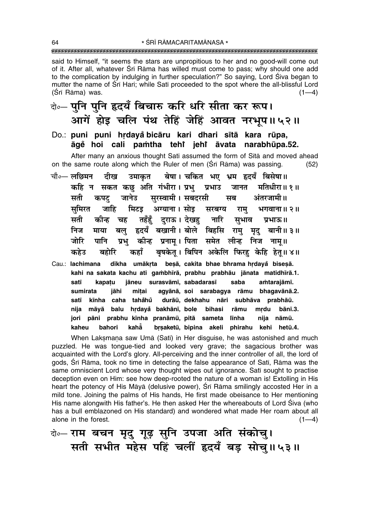\* ŚRĪ RĀMACARITAMĀNASA \* 

said to Himself, "it seems the stars are unpropitious to her and no good-will come out of it. After all, whatever Srī Rāma has willed must come to pass; why should one add to the complication by indulging in further speculation?" So saying, Lord Siva began to mutter the name of Sri Hari; while Sati proceeded to the spot where the all-blissful Lord (Śrī Rāma) was.  $(1-4)$ 

बे-पुनि पुनि हृदयँ बिचारु करि धरि सीता कर रूप। आगें होइ चलि पंथ तेहिं जेहिं आवत नरभूप॥५२॥ Do.: puni puni hrdayå bicāru kari dhari sītā kara rūpa,

āgě hoi cali pamtha tehř jehř āvata narabhūpa.52.

After many an anxious thought Satī assumed the form of Sītā and moved ahead on the same route along which the Ruler of men (Sri Rama) was passing.  $(52)$ 

- चौ०— लछिमन दीख बेषा। चकित भए भ्रम हृदयँ बिसेषा॥ उमाकत कहि न सकत कछ अति गंभीरा। प्रभु प्रभाउ जानत मतिधीरा॥१॥ जानेउ सरस्वामी। सबदरसी सती अंतरजामी ॥ कपट मब सुमिरत जाहि मिटइ अग्याना । सोइ सरबग्य रामु भगवाना ॥ २ ॥ तहँहँ दराऊ । देखह नारि सती कोन्ह सुभाव चह प्रभाऊ॥ बल हृदयँ बखानी। बोले बिहसि राम मद बानी॥३॥ निज माया प्रभु कीन्ह प्रनाम् । पिता समेत लीन्ह निज नाम् ॥ जोरि पानि कहेउ कहाँ बुषकेत् । बिपिन अकेलि फिरह केहि हेत् ॥ ४॥ बहोरि
- dīkha umākrta besā, cakita bhae bhrama hrdayå bisesā. Cau.: lachimana kahi na sakata kachu ati gambhīrā, prabhu prabhāu jānata matidhīrā.1. jāneu surasvāmī, sabadarasī satī kapatu saba amtarajāmī. sumirata iāhi mitai agyānā, soi sarabagya rāmu bhagavānā.2. kīnha caha tahåhů durāū, dekhahu nāri subhāva prabhāū. satī nija māyā balu hrdayå bakhānī, bole bihasi rāmu mrdu bānī.3. pāni prabhu kīnha pranāmū, pitā sameta iori līnha nija nāmū. brsaketū, bipina akeli phirahu kehi hetū.4. kaheu bahori kahă

When Laksmana saw Umā (Satī) in Her disquise, he was astonished and much puzzled. He was tongue-tied and looked very grave; the sagacious brother was acquainted with the Lord's glory. All-perceiving and the inner controller of all, the lord of gods, Srī Rāma, took no time in detecting the false appearance of Satī. Rāma was the same omniscient Lord whose very thought wipes out ignorance. Satī sought to practise deception even on Him: see how deep-rooted the nature of a woman is! Extolling in His heart the potency of His Māyā (delusive power), Srī Rāma smilingly accosted Her in a mild tone. Joining the palms of His hands, He first made obeisance to Her mentioning His name alongwith His father's. He then asked Her the whereabouts of Lord Śiva (who has a bull emblazoned on His standard) and wondered what made Her roam about all alone in the forest.  $(1-4)$ 

बे⊶ राम बचन मृदु गूढ़ सुनि उपजा अति संकोचु। सती सभीत महेस पहिं चलीं हृदयँ बड़ सोचु॥५३॥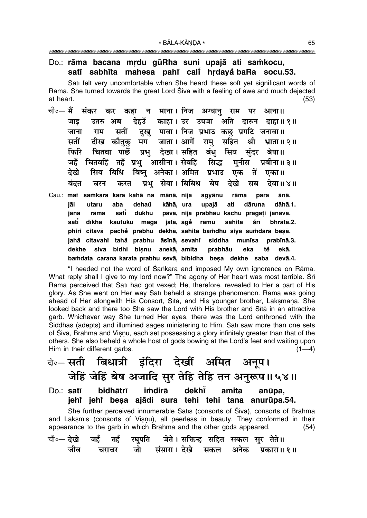#### Do.: rāma bacana mrdu gūRha suni upajā ati samkocu, satī sabhīta mahesa pahr cali hrdaya baRa socu.53.

Satī felt very uncomfortable when She heard these soft yet significant words of Rāma. She turned towards the great Lord Śiva with a feeling of awe and much dejected at heart.  $(53)$ 

- चौ∘— मैं संकर कर कहा न माना।।निज अग्यान् राम पर आना ॥ उतरु अब जाड़ देहउँ काहा। उर उपजा अति दारुन दाहा ॥ १ ॥ दुखु पावा। निज प्रभाउ कछ प्रगटि जनावा॥ जाना राम सतीं सहित तीख कौतुक मग जाता। आगें राम सतीं श्री भ्राता ॥ २ ॥ प्रभ देखा। सहित बंध सिय फिरि सुंदर बेषा॥ चितवा पाछें प्रभु आसीना। सेवहिं जहँ चितवहिं तहँ सिद्ध मनीस प्रबीना॥ ३॥ बिष्नु अनेका। अमित प्रभाउ सिव बिधि तें देखे एक एका॥ प्रभ सेवा। बिबिध बेष बंदत देखे मब देवा॥ ४॥ चरन करत
- Cau.: mai samkara kara kahā na mānā, nija agyānu ānā. rāma para utaru aba dehaů kāhā, ura upajā iāi ati dāruna dāhā.1. rāma satĭ dukhu pāvā, nija prabhāu kachu pragati janāvā. jānā sati dīkha kautuku maga jātā, āgě sahita rāmu śrī bhrātā.2. phiri citavā pāche prabhu dekhā, sahita bamdhu siya sumdara besā. jahå citavahi tahå prabhu āsīnā, sevahi siddha munīsa prabīnā.3. dekhe siva bidhi bisnu anekā, amita prabhāu eka tě ekā. bamdata carana karata prabhu sevā, bibidha besa dekhe saba devā.4.

"I heeded not the word of Sankara and imposed My own ignorance on Rama. What reply shall I give to my lord now?" The agony of Her heart was most terrible. Sri Rāma perceived that Satī had got vexed; He, therefore, revealed to Her a part of His glory. As She went on Her way Sati beheld a strange phenomenon. Rāma was going ahead of Her alongwith His Consort, Sita, and His younger brother, Laksmana. She looked back and there too She saw the Lord with His brother and Sita in an attractive garb. Whichever way She turned Her eyes, there was the Lord enthroned with the Siddhas (adepts) and illumined sages ministering to Him. Satī saw more than one sets of Siva, Brahmā and Visnu, each set possessing a glory infinitely greater than that of the others. She also beheld a whole host of gods bowing at the Lord's feet and waiting upon Him in their different garbs.  $(1-4)$ 

#### बिधात्री इंदिरा देखीं अमित <sub>दो०—</sub> सती अनुप। जेहिं जेहिं बेष अजादि सुर तेहि तेहि तन अनुरूप॥५४॥

 $Do: sati$ bidhātrī imdirā dekhi amita anūpa. jehi jehi besa ajādi sura tehi tehi tana anurūpa.54.

She further perceived innumerable Satis (consorts of Siva), consorts of Brahma and Laksmis (consorts of Visnu), all peerless in beauty. They conformed in their appearance to the garb in which Brahma and the other gods appeared.  $(54)$ 

|  | चौ∘— देखे   जहँ   तहँ   रघुपति    जेते । सक्तिन्ह  सहित  सकल  सुर  तेते॥ |  |  |
|--|--------------------------------------------------------------------------|--|--|
|  | जीव चराचर जो संसारा। देखे सकल अनेक प्रकारा॥ १॥                           |  |  |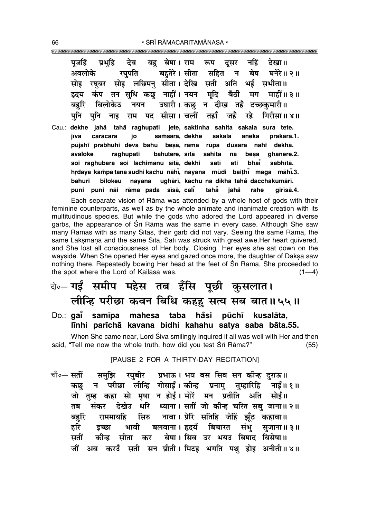पजहिं प्रभहि देव बहु बेषा। राम रूप नहिं देखा।। दसर बहतेरे। सीता सहित अवलोके रघपति बेष घनेरे॥ २॥ न सोइ रघुबर सोइ लछिमन् सीता।देखि सती अति भईं सभीता॥ कंप तन सधि कछ नाहीं। नयन मदि बैठीं हृदय मग माहीं ॥ ३ ॥ बहरि उघारी। कछ न दीख तहँ दच्छकमारी॥ बिलोकेउ नयन पद सीसा। चलीं तहाँ पनि पनि राम जहँ रहे गिरीसा॥ ४॥ नाड Cau.: dekhe jahå tahå raghupati jete, saktinha sahita sakala sura tete. jīva carācara io samsārā, dekhe sakala aneka prakārā.1. pūjaht prabhuhi deva bahu besā rāma rūpa dūsara naht dekhā. avaloke raghupati bahutere, sītā sahita na besa ghanere.2. soi raghubara soi lachimanu sītā, dekhi ati bhat sabhītā. satī hrdaya kampa tana sudhi kachu nāhi, nayana mūdi baithi maga māhi.3. bahuri bilokeu nayana ughārī, kachu na dīkha tahå dacchakumārī. puni puni nāi rāma pada sīsā, calī tahẳ jahå rahe girīsā.4.

Each separate vision of Rāma was attended by a whole host of gods with their feminine counterparts, as well as by the whole animate and inanimate creation with its multitudinous species. But while the gods who adored the Lord appeared in diverse garbs, the appearance of Sri Rama was the same in every case. Although She saw many Rāmas with as many Sītās, their garb did not vary. Seeing the same Rāma, the same Laksmana and the same Sita, Sati was struck with great awe. Her heart quivered, and She lost all consciousness of Her body. Closing Her eyes she sat down on the wayside. When She opened Her eyes and gazed once more, the daughter of Daksa saw nothing there. Repeatedly bowing Her head at the feet of Sri Rama. She proceeded to the spot where the Lord of Kailasa was.  $(1-4)$ 

### बे॰- गईं समीप महेस तब हँसि पूछी कुसलात। लीन्हि परीछा कवन बिधि कहह सत्य सब बात॥५५॥

Do.: gai samīpa mahesa taba hāsi pūchī kusalāta, līnhi parīchā kavana bidhi kahahu satva saba bāta.55.

When She came near, Lord Siva smilingly inquired if all was well with Her and then said, "Tell me now the whole truth, how did you test Srī Rāma?"  $(55)$ 

#### [PAUSE 2 FOR A THIRTY-DAY RECITATION]

चौ०— सतीं प्रभाऊ। भय बस सिव सन कीन्ह दराऊ॥ समझि रघबीर परीछा लीन्हि गोसाईं।ककीन्ह प्रनाम् तुम्हारिहि नाईं॥ १॥ कछ न जो तुम्ह कहा सो मृषा न होई। मोरें मन प्रतीति अति सोई॥ देखेउ धरि ध्याना। सतीं जो कीन्ह चरित सब जाना॥ २॥ तब संकर नावा। प्रेरि सतिहि जेहिं झँठ कहावा॥ राममायहि सिरु बहरि बलवाना । हृदयँ बिचारत संभु हरि भावी सूजाना ॥ ३॥ इच्छा कीन्ह बेषा। सिव उर भयउ बिषाद बिसेषा॥ कर सतीं सीता जौं अब करउँ सती सन प्रीती। मिटइ भगति पथु होइ अनीती॥४॥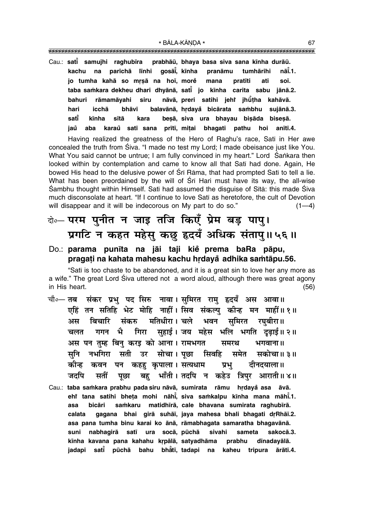""""""""""""""""""""""""""""""""""""""""""""""""""""""""""""""""""""""""""""""""""" \* BÅLA-KŰNœA \* 67

Cau.: sati samuihi raghubīra  **samujhi raghub∂ra prabhåµu, bhaya basa siva sana k∂nha duråµu. kachu na par∂chå l∂nhi goså∂° , k∂nha pranåmu tumhårihi nå∂° .1.** jo tumha kahā so mrsā na hoī, more mana pratīti ati soī. **taba sa≈kara dekheu dhari dhyånå, sat∂° jo k∂nha carita sabu jånå.2. bahuri råmamåyahi siru nåvå, preri satihi jehiÚ jhµu° ¢ha kahåvå. hari icchå bhåv∂ balavånå, hædaya° bicårata sa≈bhu sujånå.3. sat∂°** kīnha sītā kara besā, siva ura bhayau bisāda bisesā. **jau aba karau ° sat∂ sana pr∂t∂, mi¢ai bhagati pathu hoi an∂t∂.4. °**

Having realized the greatness of the Hero of Raghu's race, Satī in Her awe concealed the truth from Siva. "I made no test my Lord; I made obeisance just like You. What You said cannot be untrue; I am fully convinced in my heart." Lord Śankara then looked within by contemplation and came to know all that Sat∂ had done. Again, He bowed His head to the delusive power of Śrī Rāma, that had prompted Satī to tell a lie. What has been preordained by the will of Srī Hari must have its way, the all-wise Śambhu thought within Himself. Satī had assumed the disguise of Sītā: this made Siva much disconsolate at heart. "If I continue to love Satī as heretofore, the cult of Devotion will disappear and it will be indecorous on My part to do so."  $(1-4)$ 

## दो∘– **परम पुनीत न जाइ तजि किएँ प्रेम बड़ पापु।** प्रगटि न कहत महेसु कछु हृदयँ अधिक संतापु॥५६॥

#### Do.: **parama pun∂ta na jåi taji kie prema baRa påpu, ° pragati na kahata mahesu kachu hrdayå adhika samtāpu.56.**

ìSat∂ is too chaste to be abandoned, and it is a great sin to love her any more as a wife." The great Lord Siva uttered not a word aloud, although there was great agony in His heart. (56)

- **चौ०— तब संकर प्रभु पद सिरु नावा। सुमिरत रा**मु हृदयँ अस आवा॥  $\overline{u}$ हिं तन सतिहि भेट मोहि नाहीं। सिव संकल्पु कीन्ह मन माहीं॥१॥ <u>अस बिचारि संकरु मतिधीरा।</u> चले भवन समिरत रघबीरा॥ <u>चलत गगन भै गिरा सुहाई।जय महेस भलि भगति दृढ़ाई॥२॥</u> <u>अस पन तम्ह बिन करड को आना। रामभगत समरथ भगवाना॥</u> सुनि नभगिरा सती उर सोचा।पूछा सिवहि समेत सकोचा॥३॥ र्कान्ह कवन पन कहह कपाला।**सत्यधाम प्रभ दीनदयाला**॥ जदपि सतीं पछा बह भाँती। तदपि न कहेउ त्रिपर आराती॥ ४॥
- Cau.: **taba sa≈kara prabhu pada siru nåvå, sumirata råmu hædaya° asa åvå.** ehi̇̀ tana satihi bheṭa mohi nāhi̇̃, siva saṁkalpu kīnha mana māhi̇̃.1. **asa bicåri sa≈karu matidh∂rå, cale bhavana sumirata raghub∂rå.** calata gagana bhai girā suhāī, jaya mahesa bhali bhagati drRhāī.2. **asa pana tumha binu karai ko ånå, råmabhagata samaratha bhagavånå. suni nabhagirå sat∂ ura socå, pµuchå sivahi sameta sakocå.3.** kīnha kavana pana kahahu kṛpālā, satyadhāma prabhu dīnadayālā. **jadapi sat∂° pµuchå bahu bhå° t∂, tadapi na kaheu tripura åråt∂.4.**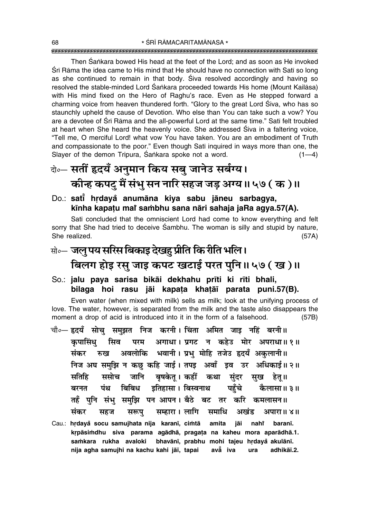Then Sankara bowed His head at the feet of the Lord; and as soon as He invoked Śrī Rāma the idea came to His mind that He should have no connection with Satī so long as she continued to remain in that body. Siva resolved accordingly and having so resolved the stable-minded Lord Śankara proceeded towards His home (Mount Kailasa) with His mind fixed on the Hero of Raghu's race. Even as He stepped forward a charming voice from heaven thundered forth. "Glory to the great Lord Śiva, who has so staunchly upheld the cause of Devotion. Who else than You can take such a vow? You are a devotee of Sri Rama and the all-powerful Lord at the same time." Sati felt troubled at heart when She heard the heavenly voice. She addressed Siva in a faltering voice, "Tell me, O merciful Lord! what yow You have taken. You are an embodiment of Truth and compassionate to the poor." Even though Sati inquired in ways more than one, the Slayer of the demon Tripura, Sankara spoke not a word.  $(1-4)$ 

# केन्ट सतीं हृदयँ अनुमान किय सबू जानेउ सर्बग्य। कीन्ह कपटु मैं संभु सन नारि सहज जड़ अग्य॥५७ ( क )॥

### Do.: sati hrdayå anumāna kiya sabu jāneu sarbagya, kīnha kapatu mai sambhu sana nāri sahaja jaRa agya.57(A).

Sati concluded that the omniscient Lord had come to know everything and felt sorry that She had tried to deceive Sambhu. The woman is silly and stupid by nature, She realized.  $(57A)$ 

# सो०- जलु पय सरिस बिकाइ देखह प्रीति कि रीति भलि। बिलग होइ रस् जाइ कपट खटाई परत पुनि॥५७ (ख)॥

### So.: jalu paya sarisa bikāi dekhahu prīti ki rīti bhali, bilaga hoi rasu jāi kapata khatāj parata puni.57(B).

Even water (when mixed with milk) sells as milk; look at the unifying process of love. The water, however, is separated from the milk and the taste also disappears the moment a drop of acid is introduced into it in the form of a falsehood.  $(57B)$ 

- चौ∘— हृदयँ सोच समझत निज करनी। चिंता अमित जाइ नहिं बरनी॥ परम अगाधा। प्रगट न कहेउ मोर अपराधा॥१॥ कुपासिंध सिव अवलोकि भवानी। प्रभु मोहि तजेउ हृदयँ अकुलानी॥ संकर रुख निज अघ समुझि न कछ कहि जाई। तपड़ अवाँ इव उर अधिकाई॥२॥ सतिहि ससोच जानि बषकेत्।कक्षीं कथा संदर सख हेत॥ बिबिध इतिहासा। बिस्वनाथ बरनत पंथ पहुँचे कैलासा॥ ३॥ तहँ पुनि संभु समुझि पन आपन। बैठे बट तर करि कमलासन॥ सम्हारा। लागि समाधि संकर सरूप अखंड अपारा॥४॥ सहज
- Cau.: hrdayă socu samujhata nija karanī, cimtā amita jāi nahi baranī. krpāsimdhu siva parama agādhā, pragata na kaheu mora aparādhā.1. samkara rukha avaloki bhavānī, prabhu mohi tajeu hrdayå akulānī. nija agha samujhi na kachu kahi jāī, tapai avẵ iva adhikāī.2. ura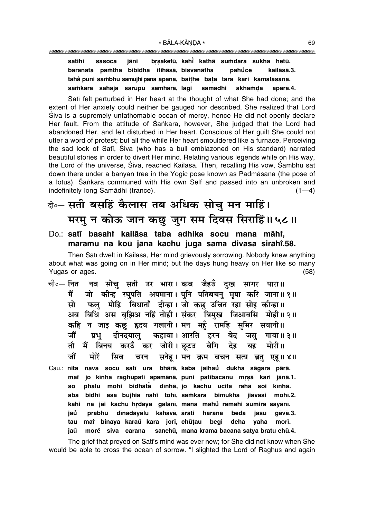brsaketū, kahi kathā sumdara sukha hetū. satihi sasoca jāni baranata pamtha bibidha itihāsā, bisvanātha pahůce kailāsā.3. tahå puni sambhu samuihi pana āpana. baithe bata tara kari kamalāsana. akhamda samkara sahaja sarūpu samhārā, lāgi samādhi apārā.4.

Satī felt perturbed in Her heart at the thought of what She had done; and the extent of Her anxiety could neither be gauged nor described. She realized that Lord Śiva is a supremely unfathomable ocean of mercy, hence He did not openly declare Her fault. From the attitude of Sankara, however. She judged that the Lord had abandoned Her, and felt disturbed in Her heart. Conscious of Her guilt She could not utter a word of protest; but all the while Her heart smouldered like a furnace. Perceiving the sad look of Sati, Siva (who has a bull emblazoned on His standard) narrated beautiful stories in order to divert Her mind. Relating various legends while on His way, the Lord of the universe, Siva, reached Kailāsa. Then, recalling His vow, Sambhu sat down there under a banyan tree in the Yogic pose known as Padmāsana (the pose of a lotus). Sankara communed with His own Self and passed into an unbroken and indefinitely long Samādhi (trance).  $(1-4)$ 

### वे॰ सती बसहिं कैलास तब अधिक सोच मन माहिं। मरमु न कोऊ जान कछु जुग सम दिवस सिराहिं॥५८॥

### Do.: satī basahi kailāsa taba adhika socu mana māhi, maramu na koū jāna kachu juga sama divasa sirāhi.58.

Then Satī dwelt in Kailāsa, Her mind grievously sorrowing. Nobody knew anything about what was going on in Her mind; but the days hung heavy on Her like so many Yugas or ages.  $(58)$ 

नव सोच सती उर भारा। कब जैहउँ दख सागर पारा॥ चौ०— नित जो कीन्ह रघुपति अपमाना। पुनि पतिबचनु मृषा करि जाना॥१॥ में फल मोहि बिधाताँ दीन्हा। जो कछ उचित रहा सोइ कीन्हा॥ मो अब बिधि अस बूझिअ नहिं तोही। संकर बिमुख जिआवसि मोही॥२॥ कहि न जाइ कछ हृदय गलानी। मन महँ रामहि सुमिर सयानी॥ जौं प्रभ दीनदयाल कहावा । आरति हरन बेद जस गावा॥ ३॥ मैं बिनय करउँ कर जोरी।छटउ बेगि यह तौ देह मोरी॥ मोरें जौं सिव सनेह। मन क्रम बचन सत्य ब्रत् एह॥४॥ चरन Cau.: nita nava socu satī ura bhārā, kaba jaihau dukha sāgara pārā. jo kīnha raghupati apamānā, puni patibacanu mrṣā kari jānā.1. mat phalu mohi bidhāta dīnhā, jo kachu ucita rahā soi kīnhā.  $SO<sub>2</sub>$ bidhi asa būjhia nahi tohī, samkara bimukha jiāvasi aba mohī.2. na jāi kachu hrdaya galānī, mana mahů rāmahi sumira sayānī. kahi jaů prabhu dīnadayālu kahāvā, ārati harana beda jasu gāvā.3. mar binaya karaŭ kara jorī, chūțau begi tau deha yaha morī. morė siva carana sanehū, mana krama bacana satya bratu ehū.4. iaů

The grief that preyed on Sati's mind was ever new; for She did not know when She would be able to cross the ocean of sorrow. "I slighted the Lord of Raghus and again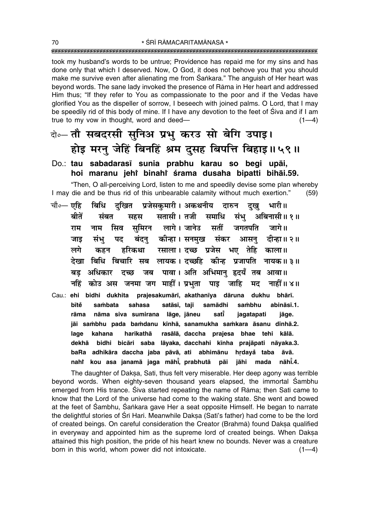took my husband's words to be untrue; Providence has repaid me for my sins and has done only that which I deserved. Now, O God, it does not behove you that you should make me survive even after alienating me from Sankara." The anguish of Her heart was beyond words. The sane lady invoked the presence of Rama in Her heart and addressed Him thus; "If they refer to You as compassionate to the poor and if the Vedas have glorified You as the dispeller of sorrow, I beseech with joined palms. O Lord, that I may be speedily rid of this body of mine. If I have any devotion to the feet of Siva and if I am true to my vow in thought, word and deed- $(1-4)$ 

### के-तौ सबदरसी सुनिअ प्रभु करउ सो बेगि उपाइ। होड़ मरन् जेहिं बिनहिं श्रम दुसह बिपत्ति बिहाइ॥५९॥

#### Do.: tau sabadarasī sunia prabhu karau so begi upāi, hoi maranu jehř binahř śrama dusaha bipatti bihāi.59.

"Then, O all-perceiving Lord, listen to me and speedily devise some plan whereby I may die and be thus rid of this unbearable calamity without much exertion."  $(59)$ 

- प्रजेसकुमारी। अकथनीय चौ०— एहि बिधि दखित दारुन दख भारी ॥ बीतें सतासी। तजी समाधि संबत संभ अबिनासी॥ १॥ सहस नाम सिव सुमिरन लागे । जानेउ सतीं जगतपति जागे।। राम बंदन् कीन्हा।सनमुख संकर आसन् दीन्हा॥२॥ जाड संभ पद लगे कहन हरिकथा रसाला। दच्छ प्रजेस भए तेहि काला॥ देखा बिधि बिचारि सब लायक। दच्छहि कीन्ह प्रजापति नायक॥३॥ जब पावा। अति अभिमान् हृदयँ तब आवा॥ बड अधिकार दच्छ नहिं कोउ अस जनमा जग माहीं। प्रभता पाइ जाहि मद नाहीं ॥ ४ ॥
- Cau.: ehi bidhi dukhita prajesakumārī, akathanīya dāruna dukhu bhārī. bītě sambata sahasa satāsī, tajī samādhi sambhu abināsī.1. rāma nāma siva sumirana lāge, jāneu satĭ jagatapati jāge. jāi sambhu pada bamdanu kīnhā, sanamukha samkara āsanu dīnhā.2. lage kahana harikathā rasālā, daccha prajesa bhae tehi kālā. bidhi bicāri saba lāyaka, dacchahi kīnha prajāpati nāyaka.3. dekhā baRa adhikāra daccha jaba pāvā, ati abhimānu hrdaya taba āvā. nahi kou asa janamā jaga māhi, prabhutā pāi jāhi mada nāhi.4.

The daughter of Daksa, Sati, thus felt very miserable. Her deep agony was terrible beyond words. When eighty-seven thousand years elapsed, the immortal Sambhu emerged from His trance. Siva started repeating the name of Rāma; then Satī came to know that the Lord of the universe had come to the waking state. She went and bowed at the feet of Sambhu, Sankara gave Her a seat opposite Himself. He began to narrate the delightful stories of Srī Hari. Meanwhile Daksa (Satī's father) had come to be the lord of created beings. On careful consideration the Creator (Brahma) found Daksa qualified in everyway and appointed him as the supreme lord of created beings. When Daksa attained this high position, the pride of his heart knew no bounds. Never was a creature born in this world, whom power did not intoxicate.  $(1-4)$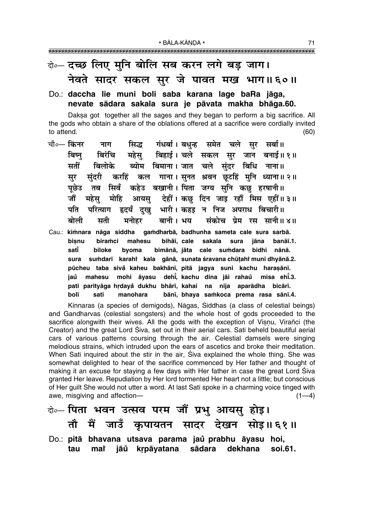## के-दच्छ लिए मुनि बोलि सब करन लगे बड़ जाग। नेवते सादर सकल सुर जे पावत मख भाग॥६०॥

#### Do.: daccha lie muni boli saba karana lage baRa jāga, nevate sādara sakala sura je pāvata makha bhāga.60.

Daksa got together all the sages and they began to perform a big sacrifice. All the gods who obtain a share of the oblations offered at a sacrifice were cordially invited to attend  $(60)$ 

- गंधर्बा। बधुन्ह समेत चले सुर सर्बा॥ चौ०— किंनर नाग सिद्ध बिहाई। चले सकल सुर जान बनाई॥१॥ बिरंचि बिष्न महेस ब्योम बिमाना। जात चले सुंदर बिधि नाना॥ बिलोके सतीं करहिं कल गाना। सनत श्रवन छटहिं मनि ध्याना॥२॥ संदरी सर तब सिवँ कहेउ बखानी। पिता जग्य सनि कछ हरषानी॥ पछेउ मोहि आयस देहीं। कछ दिन जाइ रहौं मिस एहीं॥३॥ जौं महेस् हृदयँ दुखु भारी। कहड़ न निज अपराध बिचारी॥ परित्याग पति बोली मनोहर बानी। भय संकोच प्रेम रस सानी॥४॥ सती
- Cau.: kimnara nāga siddha gamdharbā, badhunha sameta cale sura sarbā. bisnu bihāī, cale sakala sura jāna biramci mahesu banāī.1. satŤ biloke bimānā, jāta cale sumdara bidhi nānā. bvoma sumdarī karaht kala gānā, sunata śravana chūtaht muni dhyānā.2. sura pūcheu taba sivă kaheu bakhānī, pitā jagya suni kachu harașānī. mohi āyasu dehī, kachu dina jāi rahaŭ iaů mahesu misa ehi.3. pati parityāga hrdayå dukhu bhārī, kahai na nija aparādha bicārī. bolī satī manohara bānī, bhaya samkoca prema rasa sānī.4.

Kinnaras (a species of demigods), Nāgas, Siddhas (a class of celestial beings) and Gandharvas (celestial songsters) and the whole host of gods proceeded to the sacrifice alongwith their wives. All the gods with the exception of Visnu, Virañci (the Creator) and the great Lord Siva, set out in their aerial cars. Satī beheld beautiful aerial cars of various patterns coursing through the air. Celestial damsels were singing melodious strains, which intruded upon the ears of ascetics and broke their meditation. When Sati inquired about the stir in the air, Siva explained the whole thing. She was somewhat delighted to hear of the sacrifice commenced by Her father and thought of making it an excuse for staying a few days with Her father in case the great Lord Siva granted Her leave. Repudiation by Her lord tormented Her heart not a little; but conscious of Her guilt She would not utter a word. At last Satī spoke in a charming voice tinged with awe, misgiving and affection- $(1-4)$ 

बेन्ट पिता भवन उत्सव परम जौं प्रभु आयसु होइ। तौ मैं जाउँ कृपायतन सादर देखन सोइ॥६१॥ Do.: pitā bhavana utsava parama jaŭ prabhu āyasu hoi, mai jāu krpāvatana sādara dekhana tau soi.61.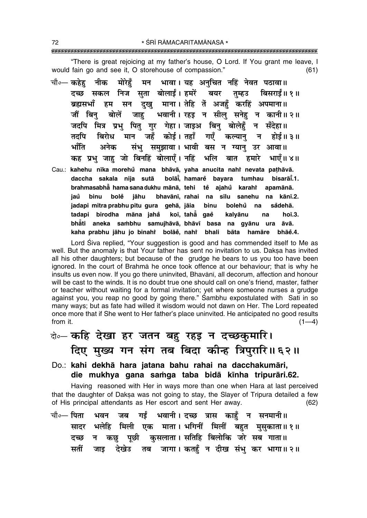"There is great rejoicing at my father's house, O Lord. If You grant me leave, I would fain go and see it. O storehouse of compassion."  $(61)$ 

चौ∘— कहेह \_ नीक मोरेहँ मन भावा। यह अनुचित नहिं नेवत पठावा॥ दच्छ सकल निज सुता बोलाईं। हमरें बयर तुम्हउ बिसराईं॥ १॥ ब्रह्मसभाँ हम सन दुखु माना।तेहि तें अजहँ करहिं अपमाना॥ बोलें जाहु भवानी। रहइ न सीलु सनेहु न कानी॥२॥ जौं बिन जदपि मित्र प्रभु पितु गुर गेहा। जाइअ बिनु बोलेहूँ न सँदेहा॥ बिरोध मान जहँ कोई।तहाँ गएँ कल्यानु तदपि न होई॥ ३॥ भाँति संभु समुझावा। भावी बस न ग्यानु उर आवा॥ अनेक कह प्रभु जाह जो बिनहिं बोलाएँ। नहिं भलि बात हमारे भाएँ ॥ ४ ॥ Cau.: kahehu nīka morehů mana bhāvā, yaha anucita nahi nevata pathāvā. daccha sakala nija sutā bolāi̇̃, hamareઁ bayara tumhau bisarāī.1. brahmasabha hama sana dukhu mānā, tehi tě ajahů karahř apamānā. jaů binu bolė jāhu bhavānī, rahai na sīlu sanehu na kānī.2. jadapi mitra prabhu pitu gura gehā, jāja binu bolehů sådehā. na tadapi birodha māna jahå koī, tahā gaĕ kalvānu na hoī.3. bhåti aneka sambhu samujhāvā, bhāvī basa na gyānu ura āvā.

kaha prabhu jāhu jo binahi bolāe, nahi bhali bāta hamāre bhāe.4.

Lord Siva replied, "Your suggestion is good and has commended itself to Me as well. But the anomaly is that Your father has sent no invitation to us. Daksa has invited all his other daughters; but because of the grudge he bears to us you too have been ignored. In the court of Brahma he once took offence at our behaviour; that is why he insults us even now. If you go there uninvited, Bhavānī, all decorum, affection and honour will be cast to the winds. It is no doubt true one should call on one's friend, master, father or teacher without waiting for a formal invitation; yet where someone nurses a grudge against you, you reap no good by going there." Sambhu expostulated with Sati in so many ways; but as fate had willed it wisdom would not dawn on Her. The Lord repeated once more that if She went to Her father's place uninvited. He anticipated no good results from it.  $(1-4)$ 

## बे-कहि देखा हर जतन बहु रहड़ न दच्छकुमारि। दिए मुख्य गन संग तब बिदा कीन्ह त्रिपुरारि॥६२॥

#### Do.: kahi dekhā hara jatana bahu rahai na dacchakumāri, die mukhya gana samga taba bidā kīnha tripurāri.62.

Having reasoned with Her in ways more than one when Hara at last perceived that the daughter of Daksa was not going to stay, the Slayer of Tripura detailed a few of His principal attendants as Her escort and sent Her away.  $(62)$ 

चौ∘— पिता गर्ड भवानी। दच्छ त्रास काहँ न सनमानी॥ भवन जब सादर भलेहि मिली एक माता। भगिनीं मिलीं बहुत मुसुकाता॥ १॥ न कछ पछी कसलाता। सतिहि बिलोकि जरे सब गाता॥ दच्छ देखेउ तब जागा।कतहँ न दीख संभु कर भागा॥२॥ जाड सतीं

72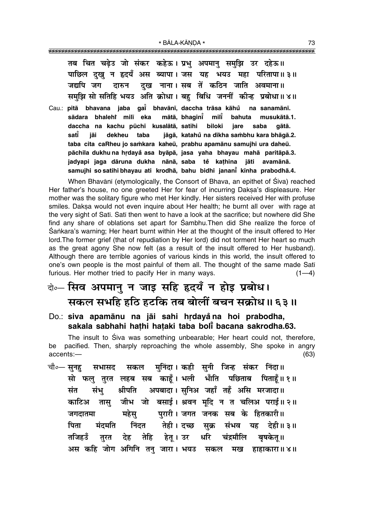| तब चित चढ़ेउ जो संकर कहेऊ। प्रभु अपमानु समुझि उर दहेऊ॥         |  |  |
|----------------------------------------------------------------|--|--|
| पाछिल दुखु न हृदयँ अस ब्यापा। जस यह भयउ महा परितापा॥३॥         |  |  |
| जद्यपि जग दारुन दुख नाना।सब तें कठिन जाति अवमाना॥              |  |  |
| समुझि सो सतिहि भयउ अति क्रोधा। बहु बिधि जननीं कीन्ह प्रबोधा॥४॥ |  |  |

Cau.: pitā bhavana jaba gai bhavānī, daccha trāsa kāhu na sanamānī. sādara bhalehi milī eka mātā, bhagini mili bahuta musukātā.1. daccha na kachu pūchī kusalātā, satihi biloki iare saba gātā. satī dekheu taba jāgā, katahů na dīkha sambhu kara bhāgā.2. iāi taba cita caRheu jo samkara kaheū, prabhu apamānu samuihi ura daheū. pāchila dukhu na hrdayå asa byāpā, jasa yaha bhayau mahā paritāpā.3. jadyapi jaga dāruna dukha nānā, saba te kathina jāti avamānā. samujhi so satihi bhayau ati krodhā, bahu bidhi janani kinha prabodhā.4.

When Bhavānī (etymologically, the Consort of Bhava, an epithet of Siva) reached Her father's house, no one greeted Her for fear of incurring Daksa's displeasure. Her mother was the solitary figure who met Her kindly. Her sisters received Her with profuse smiles. Daksa would not even inquire about Her health; he burnt all over with rage at the very sight of Sati. Sati then went to have a look at the sacrifice; but nowhere did She find any share of oblations set apart for Sambhu. Then did She realize the force of Sankara's warning: Her heart burnt within Her at the thought of the insult offered to Her lord. The former grief (that of repudiation by Her lord) did not torment Her heart so much as the great agony She now felt (as a result of the insult offered to Her husband). Although there are terrible agonies of various kinds in this world, the insult offered to one's own people is the most painful of them all. The thought of the same made Sati furious. Her mother tried to pacify Her in many ways.  $(1-4)$ 

## वे॰ सिव अपमान् न जाइ सहि हृदयँ न होइ प्रबोध। सकल सभहि हठि हटकि तब बोलीं बचन सक्रोध॥ ६३॥

Do.: siva apamānu na jāi sahi hrdayă na hoi prabodha, sakala sabhahi hathi hataki taba boli bacana sakrodha.63.

The insult to Siva was something unbearable; Her heart could not, therefore, pacified. Then, sharply reproaching the whole assembly, She spoke in angry be  $accents:$  $(63)$ 

सकल मुनिंदा। कही सुनी जिन्ह संकर निंदा॥ चौ०— सनह सभासद सो फल तरत लहब सब काहँ। भली भाँति पछिताब पिताहँ॥१॥ श्रीपति अपबादा। सुनिअ जहाँ तहँ असि मरजादा॥ संत संभ तास जीभ जो बसाई। श्रवन मदि न त चलिअ पराई॥२॥ काटिअ महेसु पुरारी। जगत जनक सब के हितकारी॥ जगदातमा निंदत तेही। दच्छ सुक्र पिता मंदमति संभव यह देही॥३॥ तजिहउँ देह तेहि हेत् । उर धरि चंद्रमौलि तरत बषकेत॥ अस कहि जोग अगिनि तनु जारा। भयउ सकल मख हाहाकारा॥४॥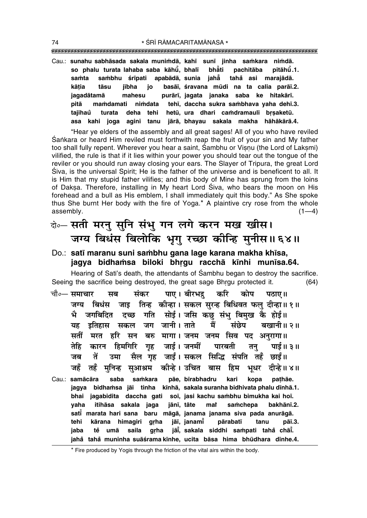\* ŚRĪ RĀMACARITAMĀNASA \* 

Cau.: sunahu sabhāsada sakala munimdā, kahī sunī jinha samkara nimdā. so phalu turata lahaba saba kāhū, bhalī bhẳti pitāhū.1. pachitāba sambhu śrīpati apabādā, sunia jahā samta tahå asi marajādā. jo kātia tāsu **i**ībha basāi, śravana mūdi na ta calia parāi.2. purārī, jagata janaka saba ke hitakārī. jagadātamā mahesu pitā mamdamati nimdata tehī, daccha sukra sambhava yaha dehī.3. turata deha tehi hetū, ura dhari camdramauli brsaketū. taiihaů asa kahi joga agini tanu jārā bhayau sakala makha hāhākārā.4.

"Hear ye elders of the assembly and all great sages! All of you who have reviled Śankara or heard Him reviled must forthwith reap the fruit of your sin and My father too shall fully repent. Wherever you hear a saint, Sambhu or Visnu (the Lord of Laksmi) vilified, the rule is that if it lies within your power you should tear out the tongue of the reviler or you should run away closing your ears. The Slaver of Tripura, the great Lord Siva, is the universal Spirit; He is the father of the universe and is beneficent to all. It is Him that my stupid father vilifies; and this body of Mine has sprung from the loins of Daksa. Therefore, installing in My heart Lord Siva, who bears the moon on His forehead and a bull as His emblem, I shall immediately quit this body." As She spoke thus She burnt Her body with the fire of Yoga.\* A plaintive cry rose from the whole assembly.  $(1-4)$ 

## के-सती मरन् सुनि संभु गन लगे करन मख खीस। जग्य बिधंस बिलोकि भूगु रच्छा कीन्हि मुनीस॥६४॥

#### Do.: satī maranu suni sambhu gana lage karana makha khīsa, jagya bidhamsa biloki bhrgu racchā kīnhi munīsa.64.

Hearing of Sati's death, the attendants of Sambhu began to destroy the sacrifice. Seeing the sacrifice being destroyed, the great sage Bhrgu protected it.  $(64)$ 

- चौ०-समाचार पाए। बीरभद्र करि कोप संकर मब पठाए।। तिन्ह कीन्हा। सकल सुरन्ह बिधिवत फल दीन्हा॥१॥ बिधंस जाड जग्य गति सोई। जसि कछ संभु बिमुख कै होई॥ प्र जगबिदित दच्छ इतिहास सकल जग जानी। ताते मैं संछेप बखानी॥ २॥ यह सतीं हरि बरु मागा। जनम जनम सिव पद अनरागा॥ मरत सन जाई। जनमीं तेहि हिमगिरि गृह पारबती कारन तन् पाई ॥ ३ ॥ ਜੇਂ गह जाईं। सकल सिद्धि जब मैल संपति तहँ छाई ॥ उमा जहँ सुआश्रम कीन्हे । उचित तहँ मुनिन्ह बास हिम भूधर दीन्हे ॥ ४ ॥
- pāe, bīrabhadru Cau.: samācāra saba samkara kari kopa pathãe. jagya bidhamsa jāi tinha kīnhā, sakala suranha bidhivata phalu dīnhā.1. bhai jagabidita daccha gati soi, jasi kachu sambhu bimukha kai hoi. itihāsa sakala jaga yaha jānī, tāte samchepa bakhānī.2. mat sati marata hari sana baru māgā, janama janama siva pada anurāgā. jāī, janamī tehi kārana himagiri grha pārabatī tanu pāī.3. jaba tě umā saila grha jāi, sakala siddhi sampati tahå chāi. jahå tahå muninha suāśrama kīnhe, ucita bāsa hima bhūdhara dīnhe.4.

\* Fire produced by Yogis through the friction of the vital airs within the body.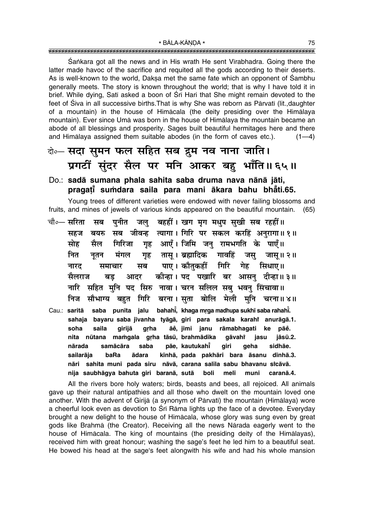Sankara got all the news and in His wrath He sent Virabhadra. Going there the latter made havoc of the sacrifice and requited all the gods according to their deserts. As is well-known to the world, Daksa met the same fate which an opponent of Sambhu generally meets. The story is known throughout the world; that is why I have told it in brief. While dying, Satī asked a boon of Srī Hari that She might remain devoted to the feet of Śiva in all successive births. That is why She was reborn as Pārvatī (lit., daughter of a mountain) in the house of Himācala (the deity presiding over the Himālaya mountain). Ever since Umā was born in the house of Himālaya the mountain became an abode of all blessings and prosperity. Sages built beautiful hermitages here and there and Himālaya assigned them suitable abodes (in the form of caves etc.).  $(1-4)$ 

## केन सदा सुमन फल सहित सब द्रुम नव नाना जाति। प्रगटीं सुंदर सैल पर मनि आकर बहु भाँति॥६५॥

### Do.: sadā sumana phala sahita saba druma nava nānā jāti, pragati sumdara saila para mani ākara bahu bhāti.65.

Young trees of different varieties were endowed with never failing blossoms and fruits, and mines of jewels of various kinds appeared on the beautiful mountain.  $(65)$ 

- पनीत चौ०— सरिता सब जल बहहीं। खग मग मधप सखी सब रहहीं॥ सब जीवन्ह त्यागा। गिरि पर सकल करहिं अनुरागा॥१॥ सहज बयरु गृह आएँ। जिमि जनु रामभगति के पाएँ॥ सोह सैल गिरिजा गृह तासू।ब्रह्मादिक गावहिं जस् जासू॥२॥ नित मंगल नतन पाए । कौतकहीं गिरि नारद सब गेह सिधाए॥ समाचार कीन्हा। पद पखारि बर आसन् दीन्हा॥३॥ सैलराज बड आदर सहित मुनि पद सिरु नावा। चरन सलिल सबु भवनु सिंचावा॥ नारि सौभाग्य बहुत बरना। सुता बोलि मेली मुनि चरना॥४॥ गिरि निज saba punīta jalu bahahī, khaga mrga madhupa sukhī saba rahahī. Cau.: saritā sahaja bayaru saba jīvanha tyāgā, giri para sakala karahi anurāgā.1. āĕ, jimi janu soha saila girijā grha rāmabhagati ke pāě. nita nūtana mamgala grha tāsū, brahmādika qāvahi jāsū.2. jasu
	- saba pāe, kautukahī nārada samācāra giri geha sidhāe. kīnhā, pada pakhāri bara āsanu dīnhā.3. sailarāja baRa ādara sahita muni pada siru nāvā, carana salila sabu bhavanu sicāvā. nāri nija saubhāgya bahuta giri baranā, sutā melī caranā.4. boli muni

All the rivers bore holy waters; birds, beasts and bees, all rejoiced. All animals gave up their natural antipathies and all those who dwelt on the mountain loved one another. With the advent of Girijā (a synonym of Pārvatī) the mountain (Himālaya) wore a cheerful look even as devotion to Srī Rāma lights up the face of a devotee. Everyday brought a new delight to the house of Himacala, whose glory was sung even by great gods like Brahmā (the Creator). Receiving all the news Nārada eagerly went to the house of Himācala. The king of mountains (the presiding deity of the Himālayas), received him with great honour; washing the sage's feet he led him to a beautiful seat. He bowed his head at the sage's feet alongwith his wife and had his whole mansion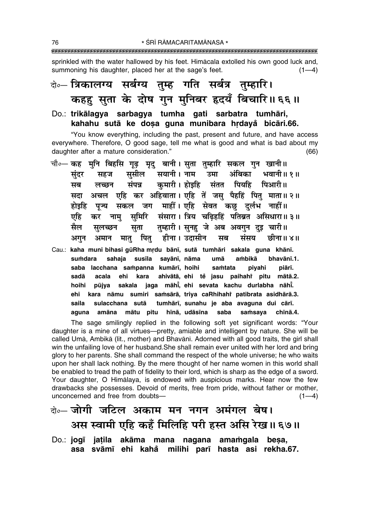sprinkled with the water hallowed by his feet. Himacala extolled his own good luck and, summoning his daughter, placed her at the sage's feet.  $(1-4)$ 

# वे० त्रिकालग्य सर्बग्य तुम्ह गति सर्बत्र तुम्हारि। कहह सुता के दोष गुन मुनिबर हृदयँ बिचारि॥६६॥

#### Do.: trikālagya sarbagya tumha gati sarbatra tumhāri, kahahu sutā ke dosa guna munibara hrdava bicāri.66.

"You know everything, including the past, present and future, and have access everywhere. Therefore, O good sage, tell me what is good and what is bad about my daughter after a mature consideration."  $(66)$ 

|     |          |     | चौ∘— कह  मुनि बिहसि  गूढ़  मृदु  बानी । सुता  तुम्हारि  सकल  गुन  खानी॥ |  |  |  |
|-----|----------|-----|-------------------------------------------------------------------------|--|--|--|
|     | संदर सहज |     | सुसील सयानी । नाम उमा अंबिका भवानी ॥ १ ॥                                |  |  |  |
| सब  |          |     | लच्छन संपन्न कुमारी।होइहि संतत पियहि पिआरी॥                             |  |  |  |
|     |          |     | सदा अचल एहि कर अहिवाता। एहि तें जसु पैहहिं पितु माता॥ २॥                |  |  |  |
|     |          |     | होइहि पूज्य सकल जग माहीं।एहि सेवत कछु दुर्लभ नाहीं॥                     |  |  |  |
|     |          |     | एहि कर नामु सुमिरि संसारा।।त्रिय चढ़िहहिं पतिब्रत असिधारा॥३॥            |  |  |  |
|     |          |     | सैल सुलच्छन सुता तुम्हारी।सुनहु जे अब अवगुन दुइ चारी॥                   |  |  |  |
| अगन |          |     | अमान मातु पितु हीना।उदासीन सब संसय छीना॥४॥                              |  |  |  |
|     |          | --- |                                                                         |  |  |  |

Cau.: kaha muni bihasi güRha mrdu bānī, sutā tumhāri sakala guna khānī. sahaja susīla sayānī, nāma ambikā bhavānī.1. sumdara umā saba lacchana sampanna kumārī, hoihi samtata piyahi piārī. ahivātā, ehi tě jasu paihahř pitu mātā.2. sadā acala ehi kara pūjya sakala jaga māhi, ehi sevata kachu durlabha nāhi. hoihi ehi kara nāmu sumiri samsārā, triya caRhihahi patibrata asidhārā.3. tumhārī, sunahu je aba avaguna dui cārī. sulacchana sutā saila hīnā, udāsīna chīnā.4. amāna mātu pitu saba saṁsaya aguna

The sage smilingly replied in the following soft yet significant words: "Your daughter is a mine of all virtues-pretty, amiable and intelligent by nature. She will be called Umā, Ambikā (lit., mother) and Bhavānī. Adorned with all good traits, the girl shall win the unfailing love of her husband. She shall remain ever united with her lord and bring glory to her parents. She shall command the respect of the whole universe; he who waits upon her shall lack nothing. By the mere thought of her name women in this world shall be enabled to tread the path of fidelity to their lord, which is sharp as the edge of a sword. Your daughter, O Himalaya, is endowed with auspicious marks. Hear now the few drawbacks she possesses. Devoid of merits, free from pride, without father or mother, unconcerned and free from doubts- $(1-4)$ 

### के-जोगी जटिल अकाम मन नगन अमंगल बेष। अस स्वामी एहि कहँ मिलिहि परी हस्त असि रेख॥ ६७॥ Do.: jogī jatila akāma mana nagana amamgala besa,

asa svāmī ehi kahå milihi parī hasta asi rekha.67.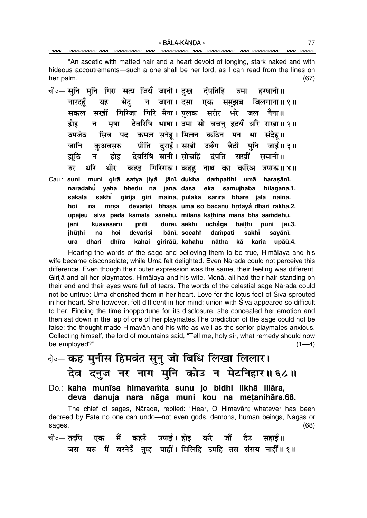"An ascetic with matted hair and a heart devoid of longing, stark naked and with hideous accoutrements—such a one shall be her lord, as I can read from the lines on her palm."  $(67)$ 

- चौ∘— सनि मनि गिरा सत्य जियँ जानी। दख दंपतिहि उमा हरषानी।। नारदहँ भेद जाना । दसा बिलगाना॥ १॥ यह न एक समुझब सखीं गिरिजा गिरि मैना। पुलक सरीर भरे सकल जल ौना ॥ देवरिषि भाषा। उमा सो बचन हृदयँ धरि राखा॥ २॥ होड़ मषा न कमल सनेह। मिलन कठिन मन उपजेउ सिव पद भा संदेह॥ प्रीति दराई। सखी उछँग जानि कुअवसरु बैठी पनि जार्ड ॥ ३ ॥ देवरिषि बानी। सोचहिं दंपति सयानी ॥ झठि होड सखीं न धरि धीर कहइ गिरिराऊ। कहहु नाथ का करिअ उपाऊ॥४॥ उर
- muni girā satva jiva jānī, dukha dampatihi umā Cau.: suni harasānī. nāradahū yaha bhedu na jānā, dasā eka samujhaba bilagānā.1. sakhi girijā giri mainā, pulaka sarīra bhare jala nainā. sakala hoi devarisi bhāsā, umā so bacanu hrdaya dhari rākhā.2. na mrsā upajeu siva pada kamala sanehū, milana kathina mana bhā samdehū. iāni kuavasaru prīti durāī. sakhī uchåga baithī puni iāī.3. jhūthi na hoi devarisi bānī, socaht dampati sakhiّ sayānī. kahai girirāū, kahahu nātha ura dhari dhīra kā karia upāū.4.

Hearing the words of the sage and believing them to be true, Himalaya and his wife became disconsolate; while Uma felt delighted. Even Narada could not perceive this difference. Even though their outer expression was the same, their feeling was different, Girijā and all her playmates, Himālaya and his wife, Menā, all had their hair standing on their end and their eyes were full of tears. The words of the celestial sage Nārada could not be untrue: Umā cherished them in her heart. Love for the lotus feet of Siva sprouted in her heart. She however, felt diffident in her mind; union with Siva appeared so difficult to her. Finding the time inopportune for its disclosure, she concealed her emotion and then sat down in the lap of one of her playmates. The prediction of the sage could not be false: the thought made Himavān and his wife as well as the senior playmates anxious. Collecting himself, the lord of mountains said, "Tell me, holy sir, what remedy should now be employed?"  $(1-4)$ 

# के- कह मुनीस हिमवंत सूनु जो बिधि लिखा लिलार। देव दनुज नर नाग मुनि कोउ न मेटनिहार॥६८॥

Do.: kaha munīsa himavamta sunu jo bidhi likhā lilāra, deva danuja nara nāga muni kou na metanihāra.68.

The chief of sages, Nārada, replied: "Hear, O Himavān; whatever has been decreed by Fate no one can undo—not even gods, demons, human beings, Nāgas or sages.  $(68)$ 

|  |  |  |  |  | चौ०— तदपि एक मैं कहउँ उपाई। होइ करै जौं दैउ सहाई॥           |
|--|--|--|--|--|-------------------------------------------------------------|
|  |  |  |  |  | जस बरु मैं बरनेउँ तुम्ह पाहीं। मिलिहि उमहि तस संसय नाहीं॥१॥ |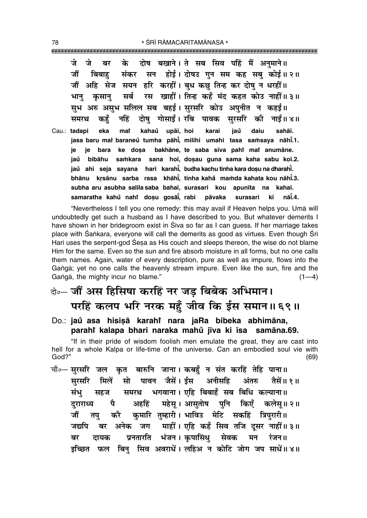जे जे के दोष बखाने। ते सब सिव पहिं मैं अनमाने॥ बर संकर सन होई। दोषउ गुन सम कह सबु कोई॥२॥ जौं बिबाह जौं अहि सेज सयन हरि करहीं। बध कछ तिन्ह कर दोष न धरहीं॥ रस खाहीं। तिन्ह कहँ मंद कहत कोउ नाहीं॥३॥ मर्ब कसान भान सुभ अरु असुभ सलिल सब बहुई। सुरसरि कोउ अपनीत न कहुई॥ दोषु गोसाईं। रबि पावक समरथ कहँ नहिं सरसरि की नाईं॥ ४॥ Cau.: tadapi kahaů upāī, hoi eka mar karai iaů daiu sahāī. jasa baru mai baraneů tumha pāhi, milihi umahi tasa samsaya nāhi.1. ke dosa bakhāne, te saba siva pahi mai anumāne. ie ie bara iaů bibāhu samkara sana hoi, dosau guna sama kaha sabu koi.2. jaŭ ahi seja sayana hari karahi, budha kachu tinha kara dosu na dharahi. bhānu krsānu sarba rasa khāhi, tinha kahå mamda kahata kou nāhi.3. subha aru asubha salila saba bahai, surasari kou apunīta na kahaī. samaratha kahů nahť dosu gosāi, rabi  $n\bar{a}$  $\tilde{I}$ .4. pāvaka kī surasari

"Nevertheless I tell you one remedy: this may avail if Heaven helps you. Umā will undoubtedly get such a husband as I have described to you. But whatever demerits I have shown in her bridegroom exist in Siva so far as I can quess. If her marriage takes place with Sankara, everyone will call the demerits as good as virtues. Even though Sri Hari uses the serpent-god Sesa as His couch and sleeps thereon, the wise do not blame Him for the same. Even so the sun and fire absorb moisture in all forms, but no one calls them names. Again, water of every description, pure as well as impure, flows into the Ganga; yet no one calls the heavenly stream impure. Even like the sun, fire and the Ganga, the mighty incur no blame."  $(1-4)$ 

# बेन जौं अस हिसिषा करहिं नर जड़ बिबेक अभिमान। परहिं कलप भरि नरक महँ जीव कि ईस समान॥६९॥

Do.: jaŭ asa hisisā karahi nara jaRa bibeka abhimāna, parahi kalapa bhari naraka mahu jīva ki īsa samāna.69.

"If in their pride of wisdom foolish men emulate the great, they are cast into hell for a whole Kalpa or life-time of the universe. Can an embodied soul vie with God?"  $(69)$ 

चौ०— सुरसरि जल कृत बारुनि जाना। कबहँ न संत करहिं तेहि पाना॥ पावन जैसें।ईस अनीसहि अंतरु तैसें॥ १॥ सरसरि मिलें सो भगवाना। एहि बिबाहँ सब बिधि कल्याना॥ संभ सहज समरथ महेस् । आसुतोष पुनि किएँ दराराध्य पै अहहिं कलेस॥ २॥ कुमारि तुम्हारी। भाविउ मेटि सकहिं त्रिपुरारी॥ जौं करै तप् माहीं। एहि कहँ सिव तजि दूसर नाहीं॥ ३॥ जद्यपि अनेक जग बर भंजन। कपासिंध सेवक मन रंजन॥ प्रनतारति बर दायक इच्छित फल बिन् सिव अवराधें। लहिअ न कोटि जोग जप साधें॥४॥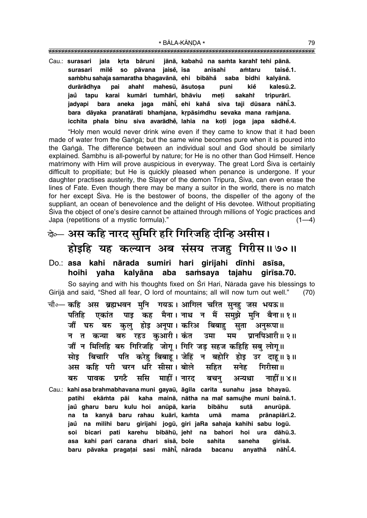Cau.: surasari jala jānā, kabahů na samta karahi tehi pānā. krta bāruni surasari milė so pāvana jaisė, īsa anīsahi amtaru taise.1. sambhu sahaja samaratha bhagavānā, ehi bibāhå saba bidhi kalyānā. puni durārādhya pai ahaht mahesū, āsutosa kiě kalesū.2. tapu karai kumāri tumhārī, bhāviu jaů meti sakaht tripurārī. iadvapi bara aneka jaga māhi, ehi kahå siva taji dūsara nāhī.3. bara dāvaka pranatārati bhamiana, krpāsimdhu sevaka mana ramiana, icchita phala binu siva avarādhe. Iahia na koti ioga japa sādhe.4.

"Holy men would never drink wine even if they came to know that it had been made of water from the Ganga; but the same wine becomes pure when it is poured into the Ganga. The difference between an individual soul and God should be similarly explained. Sambhu is all-powerful by nature; for He is no other than God Himself. Hence matrimony with Him will prove auspicious in everyway. The great Lord Siva is certainly difficult to propitiate; but He is quickly pleased when penance is undergone. If your daughter practises austerity, the Slayer of the demon Tripura, Siva, can even erase the lines of Fate. Even though there may be many a suitor in the world, there is no match for her except Siva. He is the bestower of boons, the dispeller of the agony of the suppliant, an ocean of benevolence and the delight of His devotee. Without propitiating Siva the object of one's desire cannot be attained through millions of Yogic practices and Japa (repetitions of a mystic formula)."  $(1-4)$ 

### के- अस कहि नारद सुमिरि हरि गिरिजहि दीन्हि असीस। होइहि यह कल्यान अब संसय तजह गिरीस॥७०॥

Do.: asa kahi nārada sumiri hari girijahi dīnhi asīsa, hoihi yaha kalyāna aba samsaya tajahu airīsa.70.

So saying and with his thoughts fixed on Srī Hari, Nārada gave his blessings to Girijā and said, "Shed all fear, O lord of mountains; all will now turn out well."  $(70)$ 

- चौ∘— कहि अस ब्रह्मभवन मुनि गयऊ। आगिल चरित सुनह जस भयऊ॥ पाइ कह मैना। नाथ न मैं समुझे मुनि बैना॥१॥ एकांत पतिहि जौं घरु बरु कल होइ अनुपा।करिअ बिबाहु सुता अनुरूपा॥ न त कन्या बरु रहउ कुआरी।कंत प्रानपिआरी॥ २॥ उमा मम जौं न मिलिहि बरु गिरिजहि जोग् । गिरि जड़ सहज कहिहि सबु लोग्॥ पति करेह बिबाह। जेहिं न बहोरि बिचारि सोड होड उर दाह॥३॥ कहि परी चरन धरि सीसा। बोले अस सहित सनेह गिरीसा॥ माहीं । नारद नाहीं ॥ ४॥ प्रगटै संसि बरु पावक बचन् अन्यथा
- Cau.: kahi asa brahmabhavana muni gayaū, āgila carita sunahu jasa bhayaū. ekāṁta pāi kaha mainā, nātha na mai samujhe muni bainā.1. patihi jaů gharu baru kulu hoi anūpā, karia bibāhu sutā anurūpā. ta kanyā baru rahau kuārī, kamta na umā mama prānapiārī.2. jaŭ na milihi baru girijahi jogū, giri jaRa sahaja kahihi sabu logū. bicari pati karehu bibāhū, jehř na bahori hoi soi ura dāhū.3. asa kahi parī carana dhari sīsā, bole sahita girīsā. saneha baru pāvaka pragatai sasi māhī, nārada nāhī.4. bacanu anyathā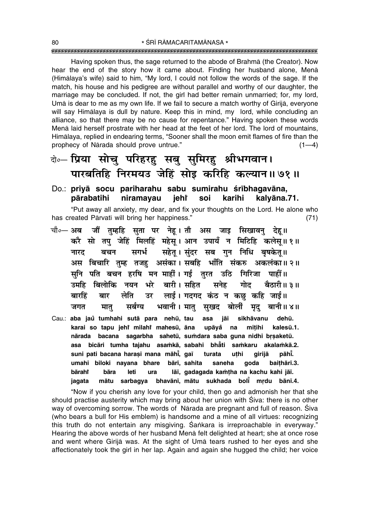Having spoken thus, the sage returned to the abode of Brahma (the Creator). Now hear the end of the story how it came about. Finding her husband alone, Mena (Himalaya's wife) said to him, "My lord, I could not follow the words of the sage. If the match, his house and his pedigree are without parallel and worthy of our daughter, the marriage may be concluded. If not, the girl had better remain unmarried; for, my lord, Umā is dear to me as my own life. If we fail to secure a match worthy of Girijā, everyone will say Himalaya is dull by nature. Keep this in mind, my lord, while concluding an alliance, so that there may be no cause for repentance." Having spoken these words Menā laid herself prostrate with her head at the feet of her lord. The lord of mountains, Himalaya, replied in endearing terms, "Sooner shall the moon emit flames of fire than the prophecy of Nārada should prove untrue."  $(1-4)$ 

- बे॰ प्रिया सोचु परिहरहु सबु सुमिरहु श्रीभगवान। पारबतिहि निरमयउ जेहिं सोइ करिहि कल्यान॥७१॥
- Do.: priyā socu pariharahu sabu sumirahu śrībhagavāna, niramayau pārabatihi jehř karihi kalvāna.71. soi

"Put away all anxiety, my dear, and fix your thoughts on the Lord. He alone who has created Pārvatī will bring her happiness."  $(71)$ 

- चौ० अब जौं तुम्हहि सुता पर नेह। तौ अस जाइ सिखावनु देह॥ करै सो तपु जेहिं मिलहिं महेसू। आन उपायँ न मिटिहि कलेसू॥१॥ सगर्भ सहेत् । सुंदर सब गुन निधि बृषकेत् ॥ नारद बचन अस बिचारि तुम्ह तजह असंका।सबहि भाँति संकरु अकलंका॥२॥ सुनि पति बचन हरषि मन माहीं। गई तुरत उठि गिरिजा पाहीं॥ उमहि बिलोकि नयन भरे बारी।सहित सनेह गोट बैठारी॥ ३॥ लेति उर लाई। गदगद कंठ न कछ कहि जाई॥ बारहिं बार भवानी। मातु सुखद बोलीं मृदु बानी॥४॥ जगत मात् सर्बग्य Cau.: aba jaŭ tumhahi sutā para nehū, tau asa iāi sikhāvanu dehū. karai so tapu jehi milahi mahesū, āna upāyå na mitihi kalesū.1. nārada bacana sagarbha sahetū, sumdara saba guna nidhi brsaketū.
- asa bicāri tumha tajahu asamkā, sabahi bhāti samkaru akalamkā.2. suni pati bacana harasi mana māhi, gaī turata uthi pāhī. girijā umahi biloki navana bhare bārī, sahita saneha goda baithārī.3. **hāraht bāra** leti lāī, gadagada kamtha na kachu kahi jāī. ura jagata mātu sarbagya bhavānī, mātu sukhada bolī mrdu bānī.4.

"Now if you cherish any love for your child, then go and admonish her that she should practise austerity which may bring about her union with Siva: there is no other way of overcoming sorrow. The words of Narada are pregnant and full of reason. Siva (who bears a bull for His emblem) is handsome and a mine of all virtues: recognizing this truth do not entertain any misgiving. Sankara is irreproachable in everyway." Hearing the above words of her husband Mena felt delighted at heart; she at once rose and went where Girija was. At the sight of Uma tears rushed to her eyes and she affectionately took the girl in her lap. Again and again she hugged the child; her voice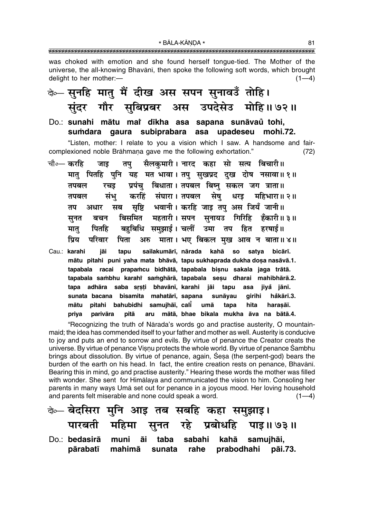\* BĀLA-KĀNDA \* 

was choked with emotion and she found herself tongue-tied. The Mother of the universe, the all-knowing Bhavānī, then spoke the following soft words, which brought delight to her mother:- $(1-4)$ 

के— सुनहि मातु मैं दीख अस सपन सुनावउँ तोहि। गौर सुबिप्रबर अस उपदेसेउ मोहि॥७२॥ संदर

Do.: sunahi mātu mai dīkha asa sapana sunāvaŭ tohi, sumdara gaura subiprabara asa upadeseu mohi.72.

"Listen, mother: I relate to you a vision which I saw. A handsome and faircomplexioned noble Brāhmana gave me the following exhortation."  $(72)$ 

- तप सैलकमारी। नारद कहा सो सत्य बिचारी॥ चौ०— करहि जाड पितहि पुनि यह मत भावा। तपु सुखप्रद दुख दोष नसावा॥१॥ मात प्रपंच बिधाता । तपबल बिष्नु सकल जग त्राता ॥ रचंड तपबल संभ करहिं संघारा। तपबल सेष धरड महिभारा॥ २॥ तपबल सृष्टि भवानी। करहि जाइ तपु अस जियँ जानी॥ अधार तप सब बिसमित महतारी। सपन सनायउ गिरिहि हँकारी॥३॥ सनत बचन बहुबिधि समुझाई। चलीं उमा तप मात् पितहि हित हरषाई।। परिवार अरु माता। भए बिकल मुख आव न बाता॥४॥ प्रिय पिता
- Cau.: karahi sailakumārī, nārada kahā so jāi tapu satva bicārī. mātu pitahi puni yaha mata bhāvā, tapu sukhaprada dukha doṣa nasāvā.1. tapabala racai prapamcu bidhātā, tapabala bisnu sakala jaga trātā. tapabala sambhu karahi samghārā, tapabala sesu dharai mahibhārā.2. adhāra saba srsti bhavānī, karahi jāi tapu jiyå jānī. tapa asa bisamita mahatārī, sapana sunata bacana sunāvau qirihi håkārī.3. mātu pitahi bahubidhi samujhāī, calī umā tapa hita harasāī. pitā aru mātā, bhae bikala mukha āva na bātā.4. priya parivāra

"Recognizing the truth of Nārada's words go and practise austerity, O mountainmaid; the idea has commended itself to your father and mother as well. Austerity is conducive to joy and puts an end to sorrow and evils. By virtue of penance the Creator creats the universe. By virtue of penance Visnu protects the whole world. By virtue of penance Sambhu brings about dissolution. By virtue of penance, again, Sesa (the serpent-god) bears the burden of the earth on his head. In fact, the entire creation rests on penance, Bhavānī. Bearing this in mind, go and practise austerity." Hearing these words the mother was filled with wonder. She sent for Himalaya and communicated the vision to him. Consoling her parents in many ways Umā set out for penance in a joyous mood. Her loving household and parents felt miserable and none could speak a word.  $(1-4)$ 

|  | के— बेदसिरा मुनि आइ तब सर्बाह कहा समुझाइ। |  |                                                                                                    |  |
|--|-------------------------------------------|--|----------------------------------------------------------------------------------------------------|--|
|  |                                           |  | पारबती महिमा सुनत रहे प्रबोधहि पाइ॥७३॥                                                             |  |
|  |                                           |  | Do.: bedasirā muni āi taba sabahi kahā samujhāi,<br>pārabatī mahimā sunata rahe prabodhahi pāi.73. |  |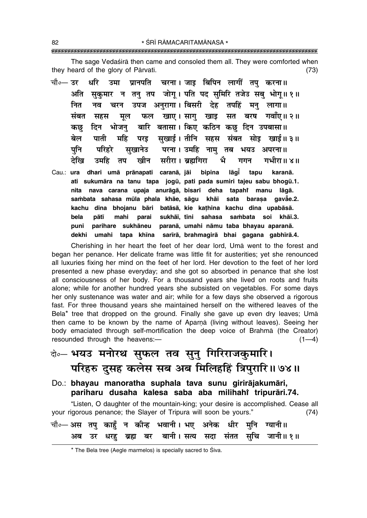The sage Vedaśira then came and consoled them all. They were comforted when they heard of the glory of Pārvatī.  $(73)$ 

- ग्रानपति चरना। जाइ बिपिन लागीं तपु करना॥ चौ०— उर धरि उमा सुकुमार न तन् तप जोग्। पति पद सुमिरि तजेउ सबु भोग्॥१॥ अति चरन उपज अनुरागा। बिसरी देह तपहिं मन् लागा॥ नित नव संबत खाए | सागु खाइ सत बरष गवाँए॥२॥ सहस मुल फल बारि बतासा। किए कठिन कछ दिन उपबासा॥ टिन भोजन कछ सखाई। तीनि सहस संबत सोड़ खाई॥३॥ बेल परड पाती महि परना। उमहि नाम तब भयउ अपरना॥ पनि परिहरे सखानेउ सरीरा। ब्रह्मगिरा देखि उमहि भ्रै खीन गभीरा॥ ४॥ तप गगन lāgi Cau.: ura dhari umā prānapati caranā, jāi bipina tapu karanā. ati sukumāra na tanu tapa jogū, pati pada sumiri tajeu sabu bhogū.1. nita nava carana upaja anurāgā, bisarī deha tapaht manu lāgā. sambata sahasa mūla phala khāe, sāgu khāi sata baraṣa gavāঁe.2.
	- kachu dina bhojanu bāri batāsā, kie kathina kachu dina upabāsā. bela pātī mahi parai sukhāī, tīni sahasa sambata soi khāī.3. parihare sukhāneu paranā, umahi nāmu taba bhayau aparanā. puni dekhi umahi tapa khīna sarīrā, brahmagirā bhai gagana gabhīrā.4.

Cherishing in her heart the feet of her dear lord, Uma went to the forest and began her penance. Her delicate frame was little fit for austerities; yet she renounced all luxuries fixing her mind on the feet of her lord. Her devotion to the feet of her lord presented a new phase everyday; and she got so absorbed in penance that she lost all consciousness of her body. For a thousand years she lived on roots and fruits alone; while for another hundred years she subsisted on vegetables. For some days her only sustenance was water and air; while for a few days she observed a rigorous fast. For three thousand years she maintained herself on the withered leaves of the Bela\* tree that dropped on the ground. Finally she gave up even dry leaves; Uma then came to be known by the name of Aparna (living without leaves). Seeing her body emaciated through self-mortification the deep voice of Brahma (the Creator) resounded through the heavens:- $(1-4)$ 

### बेञ्- भयउ मनोरथ सुफल तव सुनु गिरिराजकुमारि। परिहरु दुसह कलेस सब अब मिलिहहिं त्रिपुरारि॥ ७४॥

Do.: bhayau manoratha suphala tava sunu girirājakumāri, pariharu dusaha kalesa saba aba milihahi tripurāri.74.

"Listen, O daughter of the mountain-king; your desire is accomplished. Cease all your rigorous penance; the Slayer of Tripura will soon be yours."  $(74)$ चौ०— अस) तपु काहँ न कोन्ह भवानी । भए अनेक धीर मूनि ग्यानी॥ सचि जानी॥ १॥ अब उर बर बानी। सत्य सदा संतत धरह ब्रह्म

\* The Bela tree (Aegle marmelos) is specially sacred to Siva.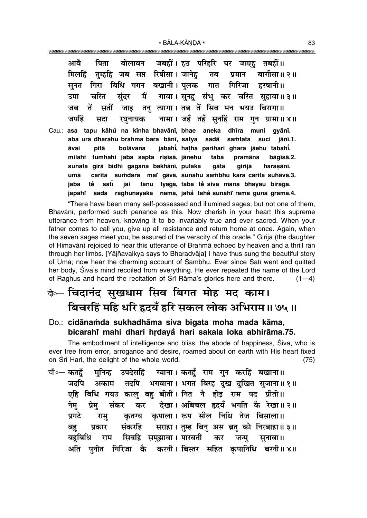\* BĀLA-KĀNDA \* 

आवै पिता बोलावन जबहीं। हठ परिहरि घर जाएह तबहीं॥ तम्हहि जब सप्त रिषीसा। जानेह मिलहिं तब बागीसा॥ २॥ प्रमान बखानी। पलक गिरा बिधि गगन गात गिरिजा सनत हरषानी ॥ मैं गावा। सनह संभ कर चरित सहावा॥३॥ उमा चरित संदर तन् त्यागा। तब तें सिव मन भयउ बिरागा।। तें सतीं जब जाड नामा। जहँ तहँ सुनहिं राम गुन ग्रामा॥४॥ रघनायक जपहिं सदा tapu kāhů na kīnha bhavānī, bhae aneka dhīra muni qyānī. Cau.: asa aba ura dharahu brahma bara bānī, satya sadā samtata suci jānī.1. jabahi, hatha parihari ghara jāehu tabahi. āvai pitā bolāvana milahi tumhahi jaba sapta risīsā, jānehu taba pramāna bāqīsā.2. sunata girā bidhi gagana bakhānī, pulaka harasānī. gāta girijā umā carita sumdara mai gāvā, sunahu sambhu kara carita suhāvā.3. sati iaba tě iāi tanu tyāgā, taba tě siva mana bhayau birāgā. raghunāyaka nāmā, jahå tahå sunahi rāma guna grāmā.4. japahi sadā

"There have been many self-possessed and illumined sages; but not one of them, Bhavānī, performed such penance as this. Now cherish in your heart this supreme utterance from heaven, knowing it to be invariably true and ever sacred. When your father comes to call you, give up all resistance and return home at once. Again, when the seven sages meet you, be assured of the veracity of this oracle." Girijā (the daughter of Himavān) rejoiced to hear this utterance of Brahmā echoed by heaven and a thrill ran through her limbs. [Yājñavalkya says to Bharadvāja] I have thus sung the beautiful story of Uma; now hear the charming account of Sambhu. Ever since Sati went and quitted her body, Siva's mind recoiled from everything. He ever repeated the name of the Lord of Raghus and heard the recitation of Sri Rama's glories here and there.  $(1-4)$ 

# के- चिदानंद सुखधाम सिव बिगत मोह मद काम। बिचरहिं महि धरि हृदयँ हरि सकल लोक अभिराम॥ ७५॥

#### Do.: cidānamda sukhadhāma siva bigata moha mada kāma, bicarahi mahi dhari hrdaya hari sakala loka abhirāma.75.

The embodiment of intelligence and bliss, the abode of happiness, Siva, who is ever free from error, arrogance and desire, roamed about on earth with His heart fixed on Srī Hari, the delight of the whole world.  $(75)$ 

ग्याना। कतहुँ राम गुन करहिं बखाना॥ चौ∘— कतहँ मुनिन्ह उपदेसहिं तदपि भगवाना। भगत बिरह दुख दुखित सुजाना॥१॥ जटपि अकाम एहि बिधि गयउ कालु बहु बीती। नित नै होइ राम पद प्रीती॥ देखा। अबिचल हृदयँ भगति कै रेखा॥२॥ नेम् संकर प्रेम् कर कतग्य कपाला। रूप सील निधि तेज बिसाला॥ प्रगटे राम् सराहा। तुम्ह बिनु अस ब्रतु को निरबाहा॥ ३॥ बह प्रकार संकरहि सिवहि समुझावा । पारबती कर बहबिधि राम जन्म सनावा ॥ अति पनीत गिरिजा कै करनी।।बिस्तर सहित कपानिधि बरनी॥४॥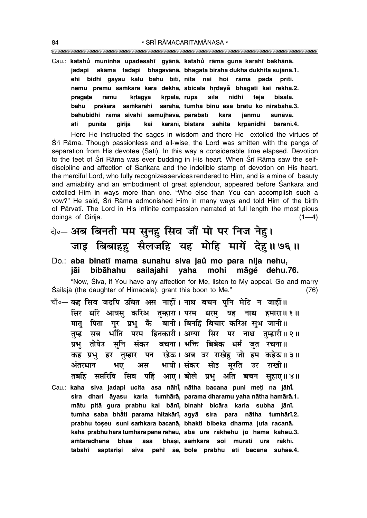\* ŚRĪ RĀMACARITAMĀNASA \* 

Cau.: katahů muninha upadesahř gyānā, katahů rāma guna karahř bakhānā. akāma tadapi bhagavānā, bhagata biraha dukha dukhita sujānā.1. jadapi ehi bidhi gayau kālu bahu bītī, nita nai hoi rāma pada prītī. nemu premu samkara kara dekhā, abicala hrdayă bhagati kai rekhā.2. pragate rāmu krtagva krpālā, rūpa sīla nidhi teia bisālā. bahu prakāra samkarahi sarāhā, tumha binu asa bratu ko nirabāhā.3. bahubidhi rāma sivahi samujhāvā, pārabatī kara janmu sunāvā. karanī, bistara sahita krpānidhi baranī.4. punīta kai ati qirijā

Here He instructed the sages in wisdom and there He extolled the virtues of Śrī Rāma. Though passionless and all-wise, the Lord was smitten with the pangs of separation from His devotee (Satī). In this way a considerable time elapsed. Devotion to the feet of Sri Rama was ever budding in His heart. When Sri Rama saw the selfdiscipline and affection of Sankara and the indelible stamp of devotion on His heart, the merciful Lord, who fully recognizes services rendered to Him, and is a mine of beauty and amiability and an embodiment of great splendour, appeared before Sankara and extolled Him in ways more than one. "Who else than You can accomplish such a vow?" He said, Srī Rāma admonished Him in many ways and told Him of the birth of Pārvatī. The Lord in His infinite compassion narrated at full length the most pious doings of Girija.  $(1-4)$ 

### बे- अब बिनती मम सुनह सिव जौं मो पर निज नेह। जाइ बिबाहह सैलजहि यह मोहि मागें देहु॥ ७६॥

#### Do.: aba binatī mama sunahu siva jaŭ mo para nija nehu, bibāhahu sailajahi yaha mohi māqe dehu.76. iāi

"Now. Siva, if You have any affection for Me, listen to My appeal. Go and marry Śailajā (the daughter of Himācala): grant this boon to Me."  $(76)$ 

- चौ∘— कह सिव जदपि उचित अस नाहीं। नाथ बचन पनि मेटि न जाहीं॥ सिर धरि आयसु करिअ तुम्हारा। परम धरमु यह नाथ हमारा॥१॥ मात पिता गर प्रभ कै बानी। बिनहिं बिचार करिअ सभ जानी॥ सब भाँति परम हितकारी।अग्या सिर पर नाथ तुम्हारी॥२॥ तम्ह प्रभु तोषेउ सनि संकर बचना। भक्ति बिबेक धर्म जुत रचना॥ कह प्रभु हर तुम्हार पन रहेऊ। अब उर राखेह जो हम कहेऊ॥३॥ अस भाषी। संकर सोड़ मुरति उर राखी॥ अंतरधान भए तबहिं सप्तरिषि सिव पहिं आए। बोले प्रभु अति बचन सहाए॥४॥
- Cau.: kaha siva jadapi ucita asa nāhi, nātha bacana puni meti na jāhi. sira dhari āyasu karia tumhārā, parama dharamu yaha nātha hamārā.1. mātu pitā gura prabhu kai bānī, binahi bicāra karia subha jānī. tumha saba bhati parama hitakārī, agyā sira para nātha tumhārī.2. prabhu toseu suni samkara bacanā, bhakti bibeka dharma juta racanā. kaha prabhu hara tumhāra pana raheū, aba ura rākhehu jo hama kaheū.3. amtaradhāna bhae asa bhāṣī, samkara soi mūrati ura rākhī. tabahî saptarisi siva pahî āe, bole prabhu ati bacana suhāe.4.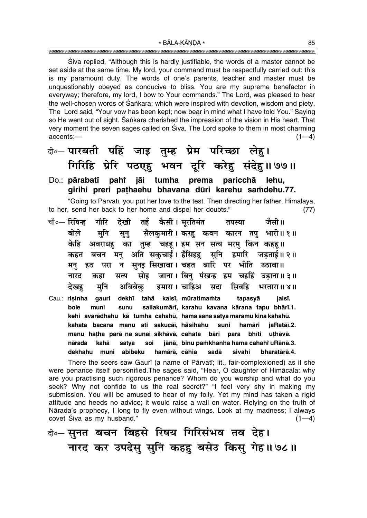Siva replied, "Although this is hardly justifiable, the words of a master cannot be set aside at the same time. My lord, your command must be respectfully carried out: this is my paramount duty. The words of one's parents, teacher and master must be unquestionably obeyed as conducive to bliss. You are my supreme benefactor in everyway; therefore, my lord, I bow to Your commands." The Lord, was pleased to hear the well-chosen words of Śankara; which were inspired with devotion, wisdom and piety. The Lord said, "Your vow has been kept; now bear in mind what I have told You." Saying so He went out of sight. Sankara cherished the impression of the vision in His heart. That very moment the seven sages called on Siva. The Lord spoke to them in most charming accents:- $(1-4)$ 

### के— पारबती पहिं जाइ तुम्ह प्रेम परिच्छा लेहु। गिरिहि प्रेरि पठएहु भवन दूरि करेहु संदेहु॥ ७७॥

#### Do.: pārabatī pahř jāi tumha prema paricchā lehu. girihi preri pathaehu bhavana dūri karehu samdehu.77.

"Going to Pārvatī, you put her love to the test. Then directing her father, Himālaya, to her, send her back to her home and dispel her doubts."  $(77)$ 

- चौ∘— रिषिन्ह गौरि देखी तहँ कैसी।मुरतिमंत जैसी॥ तपस्या बोले मनि सैलकुमारी। करह कवन कारन तपु भारी॥१॥ सन् केहि अवराधह का तुम्ह चहह। हम सन सत्य मरमू किन कहह।। बचन मनु अति सकुचाई। हँसिहहु सुनि हमारि जड़ताई॥२॥ कहत मनु हठ परा न सुनइ सिखावा। चहत बारि पर भीति उठावा॥ सोड़ जाना। बिन पंखन्ह हम चहहिं उडाना॥३॥ नारद कहा सत्य देखह मनि अबिबेक हमारा। चाहिअ सदा सिवहि भरतारा ॥ ४॥
- Cau.: risinha gauri dekhī tahå kaisī, mūratimamta tapasyā iaisī. sailakumārī, karahu kavana kārana tapu bhārī.1. bole muni sunu kehi avarādhahu kā tumha cahahū, hama sana satya maramu kina kahahū. kahata bacana manu ati sakucāī, håsihahu suni hamāri jaRatāī.2. manu hatha parā na sunai sikhāvā, cahata bāri para bhīti uthāvā. nārada kahā satya soi jānā, binu pamkhanha hama cahahi uRānā.3. abibeku hamārā, cāhia dekhahu muni sadā sivahi bharatārā.4.

There the seers saw Gauri (a name of Pārvatī; lit., fair-complexioned) as if she were penance itself personified. The sages said, "Hear, O daughter of Himacala: why are you practising such rigorous penance? Whom do you worship and what do you seek? Why not confide to us the real secret?" "I feel very shy in making my submission. You will be amused to hear of my folly. Yet my mind has taken a rigid attitude and heeds no advice; it would raise a wall on water. Relying on the truth of Nārada's prophecy, I long to fly even without wings. Look at my madness; I always covet Siva as my husband."  $(1-4)$ 

बेञ्-सूनत बचन बिहसे रिषय गिरिसंभव तव देह। नारद कर उपदेसू सूनि कहहू बसेउ किसु गेह।। ७८॥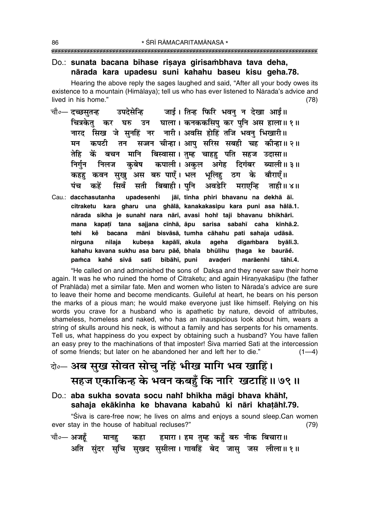#### Do.: sunata bacana bihase risaya girisambhava tava deha, nārada kara upadesu suni kahahu baseu kisu geha.78.

Hearing the above reply the sages laughed and said, "After all your body owes its existence to a mountain (Himalaya): tell us who has ever listened to Narada's advice and lived in his home."  $(78)$ 

- उपदेसेन्हि जाई। तिन्ह फिरि भवन् न देखा आई॥ चौ∘— दच्छसतन्ह चित्रकेत् कर घरु उन घाला। कनककसिप् करंपनि असं हाला॥१॥ नारद सिख जे सनहिं नर नारी। अवसि होहिं तजि भवन भिखारी॥ मन कपटी तन सज्जन चीन्हा। आप सरिस सबही चह कीन्हा॥ २॥ तेहि कें बचन मानि बिस्वासा।तुम्ह चाहहु पति सहज उदासा॥ कबेष कपाली।अकल अगेह दिगंबर ब्याली॥३॥ निर्गन निलज कहह कवन सुखु अस बरु पाएँ। भल भूलिह ठग के बौराएँ॥ सती बिबाही। पनि अवडेरि सिवँ मराएन्हि ताही ॥ ४ ॥ पंच कहें
- upadesenhi jāī, tinha phiri bhavanu na dekhā āī. Cau.: dacchasutanha citraketu kara gharu una ghālā, kanakakasipu kara puni asa hālā.1. nārada sikha je sunahi nara nārī, avasi hohi taji bhavanu bhikhārī. mana kapatī tana sajjana cīnhā, āpu sarisa sabahī caha kīnhā.2. tehi kě bacana māni bisvāsā, tumha cāhahu pati sahaja udāsā. kapālī, akula nirguna nilaia kubesa ageha digambara byālī.3. kahahu kavana sukhu asa baru pāĕ, bhala bhūlihu thaga ke baurāĕ. pamca kahe sivå bibāhī, puni marāenhi satī avaderi tāhī.4.

"He called on and admonished the sons of Daksa and they never saw their home again. It was he who ruined the home of Citraketu; and again Hiranyakasipu (the father of Prahlāda) met a similar fate. Men and women who listen to Nārada's advice are sure to leave their home and become mendicants. Guileful at heart, he bears on his person the marks of a pious man; he would make everyone just like himself. Relying on his words you crave for a husband who is apathetic by nature, devoid of attributes, shameless, homeless and naked, who has an inauspicious look about him, wears a string of skulls around his neck, is without a family and has serpents for his ornaments. Tell us, what happiness do you expect by obtaining such a husband? You have fallen an easy prey to the machinations of that imposter! Siva married Sati at the intercession of some friends; but later on he abandoned her and left her to die."  $(1-4)$ 

## केन्ट अब सुख सोवत सोचु नहिं भीख मागि भव खाहिं। सहज एकाकिन्ह के भवन कबहुँ कि नारि खटाहिं॥ ७९॥

Do.: aba sukha sovata socu nahi bhikha māgi bhava khāhi, sahaja ekākinha ke bhavana kabahů ki nāri khatāhi.79.

"Siva is care-free now; he lives on alms and enjoys a sound sleep.Can women ever stay in the house of habitual recluses?"  $(79)$ 

कहा हमारा । हम तुम्ह कहुँ बरु नीक बिचारा ॥ चौ०— अजहँ मानह अति संदर सचि सुखद सुसीला। गावहिं बेद जासु जस लीला॥१॥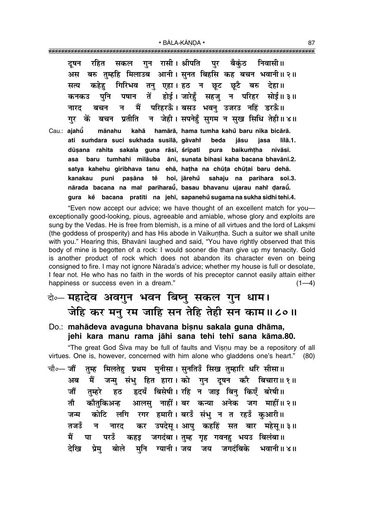\* BĀLA-KĀNDA \* 

गुन रासी। श्रीपति बैकंठ निवासी।। रहित सकल पर दुषन बरु तुम्हहि मिलाउब आनी। सुनत बिहसि कह बचन भवानी॥२॥ अस तन एहा। हठ न छट छटै बरु देहा॥ गिरिभव सत्य कहेह होई। जारेहँ सहज न परिहर सोई॥३॥ तें पनि पषान कनकउ परिहरऊँ । बसउ भवन् उजरउ नहिं डरऊँ॥ मैं बचन न नारद न जेही। सपनेहुँ सुगम न सुख सिधि तेही॥४॥ प्रतीति गर कें बचन hamārā, hama tumha kahů baru nīka bicārā. Cau.: ajahu mānahu kahā ati sumdara suci sukhada susīlā, gāvahī beda iāsu iasa  $I\bar{I}l\bar{a}.1.$ dūsana rahita sakala guna rāsī, śrīpati pura baikumtha nivāsī. baru tumhahi milāuba ānī, sunata bihasi kaha bacana bhavānī.2. asa satya kahehu giribhava tanu ehā, hatha na chūța chūțai baru dehā. hoī, jārehů kanakau puni pasāna t**ě** sahaju na parihara soī.3. nārada bacana na mai pariharaū, basau bhavanu ujarau nahi daraū. gura ke bacana pratīti na jehī, sapanehu sugama na sukha sidhi tehī.4.

"Even now accept our advice; we have thought of an excellent match for youexceptionally good-looking, pious, agreeable and amiable, whose glory and exploits are sung by the Vedas. He is free from blemish, is a mine of all virtues and the lord of Laksmi (the goddess of prosperity) and has His abode in Vaikuntha. Such a suitor we shall unite with you." Hearing this, Bhavānī laughed and said, "You have rightly observed that this body of mine is begotten of a rock: I would sooner die than give up my tenacity. Gold is another product of rock which does not abandon its character even on being consigned to fire. I may not ignore Nārada's advice; whether my house is full or desolate, I fear not. He who has no faith in the words of his preceptor cannot easily attain either happiness or success even in a dream."  $(1-4)$ 

## के— महादेव अवगुन भवन बिष्नु सकल गुन धाम। जेहि कर मन् रम जाहि सन तेहि तेही सन काम॥८०॥

#### Do.: mahādeva avaguna bhavana bisnu sakala guna dhāma, jehi kara manu rama jāhi sana tehi tehī sana kāma.80.

"The great God Śiva may be full of faults and Visnu may be a repository of all virtues. One is, however, concerned with him alone who gladdens one's heart."  $(80)$ 

मिलतेहु प्रथम मुनीसा । सुनतिउँ सिख तुम्हारि धरि सीसा ॥ चौ०— जौं तम्ह जन्मु संभु हित हारा। को गुन दूषन करै बिचारा॥१॥ मैं अब हृदयँ बिसेषी। रहि न जाड़ बिन किएँ बरेषी॥ जौं तम्हरे हठ कौतकिअन्ह आलस नाहीं। बर कन्या अनेक जग माहीं॥२॥ तौ लगि रगर हमारी।बरउँ संभु न त रहउँ कुआरी॥ कोटि जन्म कर उपदेस् । आपु कहहिं सत बार महेसू ॥ ३ ॥ तजउँ न $\overline{a}$ नारद कहड़ जगदंबा। तुम्ह गृह गवनहु भयउ बिलंबा॥ परउँ मैं पा मुनि ग्यानी। जय जय जगदंबिके देखि प्रेम् बोले भवानी॥ ४॥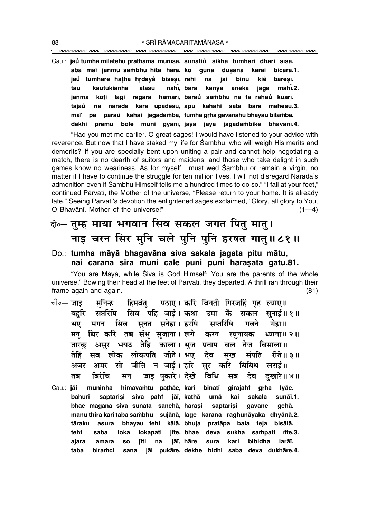""""""""""""""""""""""""""""""""""""""""""""""""""""""""""""""""""""""""""""""""""" 88 **\*** SRĪ RĀMACARITAMĀNASA \*

Cau.: **jau tumha milatehu prathama mun∂så, ° sunatiu° sikha tumhåri dhari s∂så.** aba mar̃ janmu saṁbhu hita hārā, ko guna dūṣana karai bicārā.1. **jaŭ tumhare hatha hrdavå bisesī, rahi na jāi binu kie baresī. tau kautukianha ålasu nåh∂° , bara kanyå aneka jaga måh∂°** māhī.2. **janma ko¢i lagi ragara hamår∂, barau° sa≈bhu na ta rahau° kuår∂. tajau° na nårada kara upadesµu, åpu kahahiÚ sata båra mahesµu.3. mai pā paraŭ kahai jagadaṁbā, tumha gṛha gavanahu bhayau bilaṁbā. dekhi premu bole muni gyån∂, jaya jaya jagada≈bike bhavån∂.4.**

ìHad you met me earlier, O great sages! I would have listened to your advice with reverence. But now that I have staked my life for Sambhu, who will weigh His merits and demerits? If you are specially bent upon uniting a pair and cannot help negotiating a match, there is no dearth of suitors and maidens; and those who take delight in such games know no weariness. As for myself I must wed Sambhu or remain a virgin, no matter if I have to continue the struggle for ten million lives. I will not disregard Nārada's admonition even if Sambhu Himself tells me a hundred times to do so." "I fall at your feet," continued Pārvatī, the Mother of the universe, "Please return to your home. It is already late." Seeing Pārvatī's devotion the enlightened sages exclaimed, "Glory, all glory to You, O Bhavānī, Mother of the universe!" (1—4)

### दो**०– तुम्ह माया भगवान सिव सकल जगत पितु मातु। नाइ चरन सिर मुनि चले पुनि पुनि हरषत गातु॥८१॥**

#### Do.: **tumha måyå bhagavåna siva sakala jagata pitu måtu, nåi carana sira muni cale puni puni hara¶ata gåtu.81.**

"You are Māyā, while Siva is God Himself; You are the parents of the whole universe." Bowing their head at the feet of Pārvatī, they departed. A thrill ran through their frame again and again. (81)

- <sub>.</sub> चौ०— जाइ मनिन्ह हिमवंत पठाए । करि बिनती गिरजहिं गृह ल्याए ॥ बहरि सप्तरिषि सिव पहिं जाई। कथा उमा कै सकल सुनाई॥ १॥ भए मगन सिव सनत सनेहा। हरषि सप्तरिषि गवने गेहा॥ मनु थिर करि तब संभु सुजाना।लगे करन रघुनायक ध्याना॥२॥ तारकू असुर भयउ तेहि काला। भुज प्रताप बल तेज बिसाला॥ तेहिं सब लोक लोकपति जीते। भए देव सुख संपति रीते॥ ३॥ <u>अजर अमर सो जीति न जाई। हारे सूर करि बिबिध लराई॥</u> तब बिरंचि सन जाइ**पकारे। देखे बिधि सब देव दखारे॥४**॥
- Cau.: **jāi muninha himavamtu pathāe, kari binatī girajahi** grha lyāe. **bahuri saptari¶i siva pahiÚ jå∂, kathå umå kai sakala sunå∂.1. bhae magana siva sunata sanehå, hara¶i saptari¶i gavane gehå. manu thira kari taba sa≈bhu sujånå, lage karana raghunåyaka dhyånå.2. tåraku asura bhayau tehi kålå, bhuja pratåpa bala teja bisålå. tehiÚ** saba loka lokapati jīte, bhae deva sukha sampati rīte.3. **ajara amara so j∂ti na jå∂, håre sura kari bibidha larå∂. taba bira≈ci sana jåi pukåre, dekhe bidhi saba deva dukhåre.4.**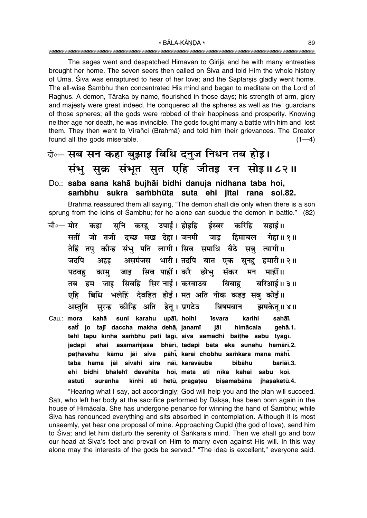The sages went and despatched Himavan to Girija and he with many entreaties brought her home. The seven seers then called on Siva and told Him the whole history of Uma. Siva was enraptured to hear of her love; and the Saptarsis gladly went home. The all-wise Sambhu then concentrated His mind and began to meditate on the Lord of Raghus. A demon, Tāraka by name, flourished in those days; his strength of arm, glory and majesty were great indeed. He conquered all the spheres as well as the quardians of those spheres; all the gods were robbed of their happiness and prosperity. Knowing neither age nor death, he was invincible. The gods fought many a battle with him and lost them. They then went to Virañci (Brahma) and told him their grievances. The Creator found all the gods miserable.  $(1-4)$ 

### वे०- सब सन कहा बुझाइ बिधि दनुज निधन तब होइ। संभु सुक्र संभूत सुत एहि जीतइ रन सोइ॥८२॥

#### Do.: saba sana kahā bujhāi bidhi danuja nidhana taba hoi, sambhu sukra sambhūta suta ehi jītai rana soi.82.

Brahmā reassured them all saying, "The demon shall die only when there is a son sprung from the loins of Sambhu; for he alone can subdue the demon in battle." (82)

- करह उपाई। होइहि चौ०— मोर र्डस्वर करिहि सनि सहाई ॥ कहा सतीं जो तजी दच्छ मख देहा।जनमी जाड हिमाचल गेहा॥ १॥ तेहिं तप कीन्ह संभु पति लागी। सिव समाधि बैठे सबु त्यागी।। असमंजस भारी। तदपि बात एक सुनह हमारी॥ २॥ जदपि अहड सिव पाहीं। करै छोभ संकर जाड मन माहीं ॥ काम पठवह जाड सिवहि सिर नाई। करवाउब बिबाह बरिआई॥ ३॥ हम तब देवहित होई। मत अति नीक कहड सब कोई॥ बिधि एहि भलेहिं कोन्हि अति हेत् । प्रगटेउ अस्तुति बिषमबान सरन्ह झषकेत्॥ ४॥ upāī, hoihi suni karahu Cau · mora kahā **Isvara** karihi sahāī.
- sati jo tajī daccha makha dehā, janamī jāi himācala gehā.1. tehi tapu kīnha sambhu pati lāgī, siva samādhi baithe sabu tyāgī. asamamjasa bhārī, tadapi bāta eka sunahu hamārī.2. jadapi ahai kāmu jāi siva pāhi, karai chobhu samkara mana māhi. pathavahu taba hama jāi sivahi sira nāī, karavāuba bibāhu bariāī.3. ehi bidhi bhalehi devahita hoī, mata ati nīka kahai sabu koī. astuti suranha kīnhi ati hetū, pragațeu bisamabāna jhasaketū.4.

"Hearing what I say, act accordingly; God will help you and the plan will succeed. Sati, who left her body at the sacrifice performed by Daksa, has been born again in the house of Himacala. She has undergone penance for winning the hand of Sambhu; while Siva has renounced everything and sits absorbed in contemplation. Although it is most unseemly, yet hear one proposal of mine. Approaching Cupid (the god of love), send him to Siva; and let him disturb the serenity of Sankara's mind. Then we shall go and bow our head at Siva's feet and prevail on Him to marry even against His will. In this way alone may the interests of the gods be served." "The idea is excellent," everyone said.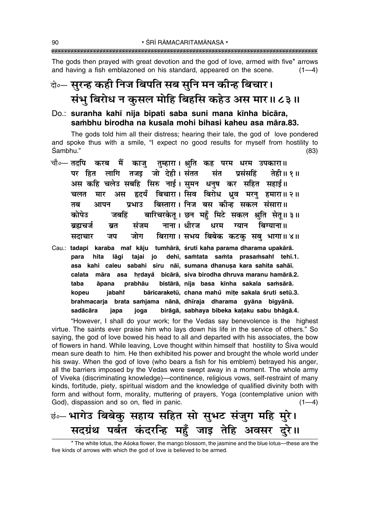The gods then prayed with great devotion and the god of love, armed with five\* arrows and having a fish emblazoned on his standard, appeared on the scene.  $(1-4)$ 

# केन्- सुरन्ह कही निज बिपति सब सुनि मन कीन्ह बिचार। संभू बिरोध न कुसल मोहि बिहसि कहेउ अस मार॥८३॥

#### Do.: suranha kahī nija bipati saba suni mana kīnha bicāra. sambhu birodha na kusala mohi bihasi kaheu asa māra.83.

The gods told him all their distress; hearing their tale, the god of love pondered and spoke thus with a smile, "I expect no good results for myself from hostility to Śambhu."  $(83)$ 

- चौ∘— तदपि करब मैं काज तम्हारा। श्रति कह परम धरम उपकारा॥ पर हित लागि तजड़ जो देही।संतत संत प्रसंसहिं तेही ॥ १ ॥ अस कहि चलेउ सबहि सिरु नाई। समन धनष कर सहित सहाई॥ अस हृदयँ बिचारा। सिव बिरोध ध्रुव मरन् हमारा॥२॥ मार चलत बिस्तारा। निज बस कीन्ह सकल संसारा॥ प्रभाउ तब आपन बारिचरकेतू । छन महुँ मिटे सकल श्रुति सेतू ॥ ३ ॥ कोपेउ जबहिं नाना । धीरज बिग्याना ॥ मंजम धरम ग्यान ब्रह्मचर्ज ब्रत जोग बिरागा। सभय बिबेक कटकू सबु भागा॥४॥ सदाचार जप Cau.: tadapi karaba mai kāju tumhārā, śruti kaha parama dharama upakārā. dehī, samtata samta prasamsahi tehī.1. hita lāgi tajai jo para
- asa kahi caleu sabahi siru nāī, sumana dhanusa kara sahita sahāī. calata māra asa hrdayå bicārā, siva birodha dhruva maranu hamārā.2. prabhāu bistārā, nija basa kīnha sakala samsārā. taba āpana bāricaraketū, chana mahů mite sakala śruti setū.3. kopeu jabahi brahmacarja brata samjama nānā, dhīraja dharama gyāna bigyānā. birāgā, sabhaya bibeka kataku sabu bhāgā.4. sadācāra joga japa

"However, I shall do your work; for the Vedas say benevolence is the highest virtue. The saints ever praise him who lays down his life in the service of others." So saying, the god of love bowed his head to all and departed with his associates, the bow of flowers in hand. While leaving, Love thought within himself that hostility to Siva would mean sure death to him. He then exhibited his power and brought the whole world under his sway. When the god of love (who bears a fish for his emblem) betrayed his anger, all the barriers imposed by the Vedas were swept away in a moment. The whole army of Viveka (discriminating knowledge)—continence, religious vows, self-restraint of many kinds, fortitude, piety, spiritual wisdom and the knowledge of qualified divinity both with form and without form, morality, muttering of prayers, Yoga (contemplative union with God), dispassion and so on, fled in panic.  $(1-4)$ 

छं… भागेउ बिबेकु सहाय सहित सो सुभट संजुग महि मुरे। सदग्रंथ पर्बत कंदरन्हि महुँ जाइ तेहि अवसर दुरे।।

<sup>\*</sup> The white lotus, the Asoka flower, the mango blossom, the jasmine and the blue lotus—these are the five kinds of arrows with which the god of love is believed to be armed.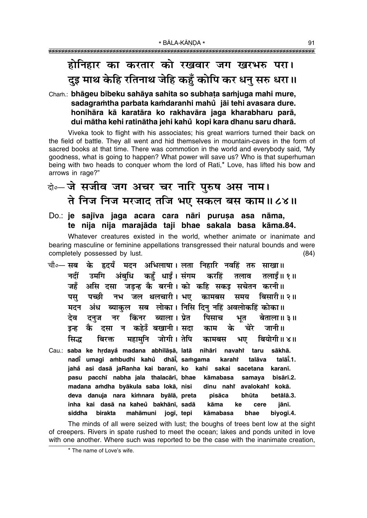# होनिहार का करतार को रखवार जग खरभरु **परा**। <u>द</u>ड़ माथ केहि रतिनाथ जेहि कहुँ कोपि कर धनु सरु धरा॥

#### Cha≈.: **bhågeu bibeku sahåya sahita so subha¢a sa≈juga mahi mure, sadagra≈tha parbata ka≈daranhi mahu° jåi tehi avasara dure. honihåra kå karatåra ko rakhavåra jaga kharabharu parå, dui måtha kehi ratinåtha jehi kahu kopi kara dhanu saru dharå. °**

Viveka took to flight with his associates; his great warriors turned their back on the field of battle. They all went and hid themselves in mountain-caves in the form of sacred books at that time. There was commotion in the world and everybody said, "My goodness, what is going to happen? What power will save us? Who is that superhuman being with two heads to conquer whom the lord of Rati,\* Love, has lifted his bow and arrows in rage?"

# दो**०– जे सजीव जग अचर चर नारि पुरुष अस नाम।** ते निज निज मरजाद तजि भए सकल बस काम॥८४॥

Do.: **je sajīva jaga acara cara nāri purușa asa nāma, te nija nija marajåda taji bhae sakala basa kåma.84.**

Whatever creatures existed in the world, whether animate or inanimate and bearing masculine or feminine appellations transgressed their natural bounds and were completely possessed by lust. (84)

- <sup>-</sup>चौ०— सब के हृदयँ मदन अभिलाषा । लता निहारि नवहिं तरु साखा ॥ नदीं उमगि अंबुधि कहँ धाईं।**संगम करहिं तलाव तलाईं॥१॥** जहँ असि दसा जड़्ह कै बरनी। को कहि सकइ सचेतन करनी॥ पस पच्छी नभ जल थलचारी।<sup>910</sup> कामबस समय बिसारी॥२॥ मदन अंध ब्याकुल सब लोका। निसि दिनु नहिं अवलोकहिं कोका॥ देव दनज नर किंनर ब्याला।**प्रेत पिसाच भत बेताला॥३**॥ डन्ह कै दसा न कहेउँ बखानी।**सदा काम के चेरे जानी**॥ <u>सिद्ध बिरक्त महामुनि जोगी।तेपि कामबस भए बियोगी॥४॥</u>
- Cau.: saba ke hrdayå madana abhilāsā, latā nihāri  **taru såkhå. nad∂° umagi a≈budhi kahu° dhå∂° , sa≈gama karahiÚ talåva talå∂° .1. jaha° asi daså jaRanha kai baran∂, ko kahi sakai sacetana karan∂. pasu pacch∂ nabha jala thalacår∂, bhae kåmabasa samaya bisår∂.2. madana amdha byākula saba lokā, nisi avalokahiÚ kokå. deva danuja nara ki≈nara byålå, preta pisåca bhµuta betålå.3. inha kai daså na kaheu° bakhån∂, sadå kåma ke cere jån∂. siddha birakta mahåmuni jog∂, tepi kåmabasa bhae biyog∂.4.**

The minds of all were seized with lust; the boughs of trees bent low at the sight of creepers. Rivers in spate rushed to meet the ocean; lakes and ponds united in love with one another. Where such was reported to be the case with the inanimate creation,

<sup>\*</sup> The name of Love's wife.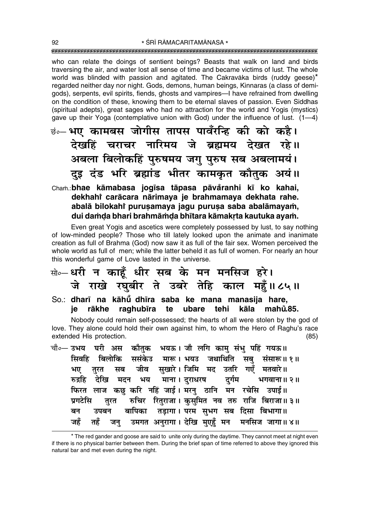who can relate the doings of sentient beings? Beasts that walk on land and birds traversing the air, and water lost all sense of time and became victims of lust. The whole world was blinded with passion and agitated. The Cakravaka birds (ruddy geese)\* regarded neither day nor night. Gods, demons, human beings, Kinnaras (a class of demigods), serpents, evil spirits, fiends, ghosts and vampires-I have refrained from dwelling on the condition of these, knowing them to be eternal slaves of passion. Even Siddhas (spiritual adepts), great sages who had no attraction for the world and Yogis (mystics) gave up their Yoga (contemplative union with God) under the influence of lust.  $(1-4)$ 

**छं** भए कामबस जोगीस तापस पावँरन्हि की को कहै। देखहिं चराचर नारिमय जे ब्रह्ममय देखत रहे।। अबला बिलोकहिं पुरुषमय जगु पुरुष सब अबलामयं। दुइ दंड भरि ब्रह्मांड भीतर कामकृत कौतुक अयं॥

### Cham.: bhae kāmabasa jogīsa tāpasa pāvåranhi kī ko kahai, dekhahi carācara nārimaya je brahmamaya dekhata rahe. abalā bilokahi purusamaya jagu purusa saba abalāmayam, dui damda bhari brahmāmda bhītara kāmakrta kautuka ayam.

Even great Yogis and ascetics were completely possessed by lust, to say nothing of low-minded people? Those who till lately looked upon the animate and inanimate creation as full of Brahma (God) now saw it as full of the fair sex. Women perceived the whole world as full of men; while the latter beheld it as full of women. For nearly an hour this wonderful game of Love lasted in the universe.

- सो० थरी न काहूँ धीर सब के मन मनसिज हरे। जे राखे रघुबीर ते उबरे तेहि काल महुँ॥८५॥
- So.: dharī na kāhū dhīra saba ke mana manasija hare, raghubīra te ubare tehi ie rākhe kāla mahů.85.

Nobody could remain self-possessed; the hearts of all were stolen by the god of love. They alone could hold their own against him, to whom the Hero of Raghu's race extended His protection.  $(85)$ 

चौ∘— उभय घरी अस कौतुक भयऊ । जौ लगि काम् संभु पहिं गयऊ॥ सिवहि बिलोकि ससंकेउ मारू। भयउ जथाथिति सबु संसारू॥१॥ जीव सुखारे। जिमि मद उतरि गएँ मतवारे॥ सब भए तरत रुद्रहि देखि मदन भय माना।दुराधरष दुर्गम भगवाना॥२॥ फिरत लाज कछ करि नहिं जाई। मरन् ठानि मन रचेसि उपाई॥ रुचिर रितुराजा। कुसुमित नव तरु राजि बिराजा॥३॥ प्रगटेसि तुरत तड़ागा। परम सुभग सब दिसा बिभागा॥ बापिका बन उपबन जहँ उमगत अनुरागा। देखि मुएहँ मन मनसिज जागा॥४॥ तहँ जन

<sup>\*</sup> The red gander and goose are said to unite only during the daytime. They cannot meet at night even if there is no physical barrier between them. During the brief span of time referred to above they ignored this natural bar and met even during the night.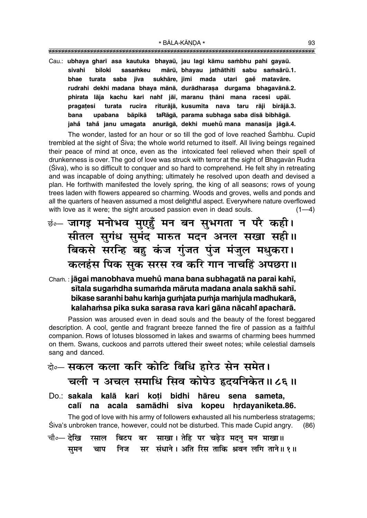\* BĀLA-KĀNDA \* 

Cau.: ubhaya gharī asa kautuka bhayaū, jau lagi kāmu sambhu pahi gayaū. sivahi biloki sasamkeu mārū, bhayau jathāthiti sabu samsārū.1. bhae turata saba jīva sukhāre, iimi mada utari gae matavāre. rudrahi dekhi madana bhaya mānā, durādharaṣa durgama bhagavānā.2. phirata lāja kachu kari nahi jāī, maranu thāni mana racesi upāī. pragatesi turata rucira riturājā, kusumita nava taru rāji birājā.3. bana upabana bāpikā taRāgā, parama subhaga saba disā bibhāgā. jahå tahå janu umagata anurāgā, dekhi muehu mana manasija jāgā.4.

The wonder, lasted for an hour or so till the god of love reached Sambhu. Cupid trembled at the sight of Siva; the whole world returned to itself. All living beings regained their peace of mind at once, even as the intoxicated feel relieved when their spell of drunkenness is over. The god of love was struck with terror at the sight of Bhagavan Rudra (Siva), who is so difficult to conquer and so hard to comprehend. He felt shy in retreating and was incapable of doing anything; ultimately he resolved upon death and devised a plan. He forthwith manifested the lovely spring, the king of all seasons; rows of young trees laden with flowers appeared so charming. Woods and groves, wells and ponds and all the quarters of heaven assumed a most delightful aspect. Everywhere nature overflowed with love as it were; the sight aroused passion even in dead souls.  $(1-4)$ 

- <u>छं०</u>– जागइ मनोभव मुएहुँ मन बन सुभगता न परै कही। सीतल सुगंध सुमंद मारुत मदन अनल सखा सही।। बिकसे सरन्हि बहु कंज गुंजत पुंज मंजुल मधुकरा। कलहंस पिक सुक सरस रव करि गान नाचहिं अपछरा॥
- Cham.: jāgai manobhava muehů mana bana subhagatā na parai kahī, sītala sugamdha sumamda māruta madana anala sakhā sahī. bikase saranhi bahu kamja gumjata pumja mamjula madhukarā, kalahamsa pika suka sarasa rava kari gāna nācahi apacharā.

Passion was aroused even in dead souls and the beauty of the forest beggared description. A cool, gentle and fragrant breeze fanned the fire of passion as a faithful companion. Rows of lotuses blossomed in lakes and swarms of charming bees hummed on them. Swans, cuckoos and parrots uttered their sweet notes; while celestial damsels sang and danced.

### वे॰ सकल कला करि कोटि बिधि हारेउ सेन समेत। चली न अचल समाधि सिव कोपेउ हृदयनिकेत॥८६॥

Do.: sakala kalā kari koti bidhi hāreu sena sameta. calī na acala samādhi siva kopeu hrdayaniketa.86.

The god of love with his army of followers exhausted all his numberless stratagems; Śiva's unbroken trance, however, could not be disturbed. This made Cupid angry.  $(86)$ 

बिटप बर साखा। तेहि पर चढेउ मदन् मन माखा॥ चौ०— देखि रसाल निज सर संधाने। अति रिस ताकि श्रवन लगि ताने॥ १॥ चाप समन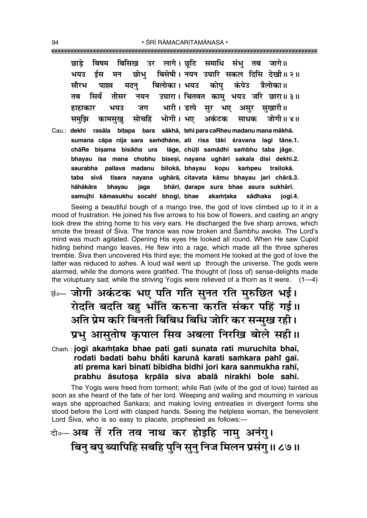बिसिख लागे । छटि समाधि संभ तब जागे॥ छाडे बिषम उर छोभ बिसेषी। नयन उघारि सकल दिसि देखी॥२॥ र्डस भयउ मन बिलोका। भयउ कोप कंपेउ त्रैलोका॥ मौरभ पल्लव मदन् सिवँ उघारा। चितवत काम भयउ जरि छारा॥३॥ तीसर नयन तब भारी । डरपे भयउ जग सर भए हाहाकार असुर सखारी॥ भोगी। भए सोचहिं अकंटक जोगी॥ ४॥ समुझि साधक कामसुख्

Cau.: dekhi rasāla bitapa bara sākhā, tehi para caRheu madanu mana mākhā. sumana cāpa nija sara samdhāne, ati risa tāki śravana lagi tāne.1. lāge, chūti samādhi sambhu taba jāge. chāRe bisama bisikha ura bhayau īsa mana chobhu bisesī, nayana ughāri sakala disi dekhī.2. saurabha pallava madanu bilokā, bhayau kopu kampeu trailokā. taba sivå tīsara navana ughārā, citavata kāmu bhayau jari chārā.3. hāhākāra bhārī, darape sura bhae asura sukhārī. bhayau jaga samujhi kāmasukhu socahi bhogī, bhae akamtaka sādhaka jogī.4.

Seeing a beautiful bough of a mango tree, the god of love climbed up to it in a mood of frustration. He joined his five arrows to his bow of flowers, and casting an angry look drew the string home to his very ears. He discharged the five sharp arrows, which smote the breast of Siva. The trance was now broken and Sambhu awoke. The Lord's mind was much agitated. Opening His eyes He looked all round. When He saw Cupid hiding behind mango leaves, He flew into a rage, which made all the three spheres tremble. Siva then uncovered His third eye; the moment He looked at the god of love the latter was reduced to ashes. A loud wail went up through the universe. The gods were alarmed, while the domons were gratified. The thought of (loss of) sense-delights made the voluptuary sad; while the striving Yogis were relieved of a thorn as it were.  $(1-4)$ 

- छं… जोगी अकंटक भए पति गति सुनत रति मुरुछित भई। रोदति बदति बहु भाँति करुना करति संकर पहिं गई।। अति प्रेम करि बिनती बिबिध बिधि जोरि कर सन्मुख रही। प्रभु आसुतोष कृपाल सिव अबला निरखि बोले सही।।
- Cham.: jogī akamtaka bhae pati gati sunata rati muruchita bhaī, rodati badati bahu bhāti karunā karati samkara pahr qaī. ati prema kari binatī bibidha bidhi jori kara sanmukha rahī, prabhu āsutosa krpāla siva abalā nirakhi bole sahī.

The Yogis were freed from torment; while Rati (wife of the god of love) fainted as soon as she heard of the fate of her lord. Weeping and wailing and mourning in various ways she approached Sankara; and making loving entreaties in divergent forms she stood before the Lord with clasped hands. Seeing the helpless woman, the benevolent Lord Siva, who is so easy to placate, prophesied as follows:-

# बे॰- अब तें रति तव नाथ कर होइहि नामु अनंगु। बिनु बपु ब्यापिहि सबहि पुनि सुनु निज मिलन प्रसंगु ॥ ८७॥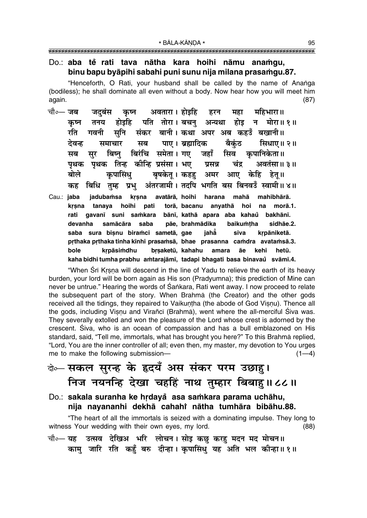### Do.: aba tě rati tava nātha kara hoihi nāmu anamgu, binu bapu byāpihi sabahi puni sunu nija milana prasamgu.87.

"Henceforth, O Rati, your husband shall be called by the name of Ananga (bodiless); he shall dominate all even without a body. Now hear how you will meet him again.  $(87)$ 

चौ०— **जब** अवतारा । होइहि जदबंस हरन महिभारा॥ कज महा पति तोरा । बचन कज तनय होडहि अन्यथा होड न मोरा॥१॥ बानी। कथा अपर अब कहउँ बखानी॥ रति गवनी सनि संकर पाए। ब्रह्मादिक बैकंठ सिधाए॥ २॥ देवन्ह समाचार मब सर बिष्न बिरंचि समेता। गए जहाँ सिव कपानिकेता॥ मब पथक तिन्ह कीन्हि प्रसंसा। भए पुथक प्रसन्न चंद अवतंसा॥ ३॥ बोले कपासिंध बृषकेत् । कहह अमर आए केहि हेत॥ अंतरजामी। तदपि भगति बस बिनवउँ स्वामी॥४॥ बिधि तुम्ह प्रभ् कह avatārā, hoihi Cau.: iaba jadubamsa krsna harana mahā mahibhārā. torā, bacanu anyathā krsna tanaya hoihi pati hoi na morā.1. gavanī suni samkara bānī, kathā apara aba kahaŭ bakhānī. rati sidhāe.2. devanha samācāra saba pāe, brahmādika baikumtha saba sura bisnu biramci sametā, gae jahā siva krpāniketā. prthaka prthaka tinha kīnhi prasamsā, bhae prasanna camdra avatamsā.3. bole krpāsimdhu brsaketū, kahahu amara āe kehi hetū.

"When Srī Krsna will descend in the line of Yadu to relieve the earth of its heavy burden, your lord will be born again as His son (Pradyumna); this prediction of Mine can never be untrue." Hearing the words of Sankara, Rati went away. I now proceed to relate the subsequent part of the story. When Brahma (the Creator) and the other gods received all the tidings, they repaired to Vaikuntha (the abode of God Visnu). Thence all the gods, including Visnu and Virañci (Brahmā), went where the all-merciful Siva was. They severally extolled and won the pleasure of the Lord whose crest is adorned by the crescent. Siva, who is an ocean of compassion and has a bull emblazoned on His standard, said, "Tell me, immortals, what has brought you here?" To this Brahmā replied, "Lord, You are the inner controller of all; even then, my master, my devotion to You urges me to make the following submission- $(1-4)$ 

kaha bidhi tumha prabhu amtarajāmī, tadapi bhagati basa binavaŭ svāmī.4.

# वे— सकल सुरन्ह के हृदयँ अस संकर परम उछाह। निज नयनन्हि देखा चहहिं नाथ तुम्हार बिबाहु॥८८॥

#### Do.: sakala suranha ke hrdayå asa samkara parama uchāhu, nija nayananhi dekhā cahahi nātha tumhāra bibāhu.88.

"The heart of all the immortals is seized with a dominating impulse. They long to witness Your wedding with their own eyes, my lord.  $(88)$ 

उत्सव देखिअ भरि लोचन। सोइ कछु करहु मदन मद मोचन॥ चौ०— यह काम् जारि रति कहँ बरु दीन्हा। कृपासिंधु यह अति भल कीन्हा॥१॥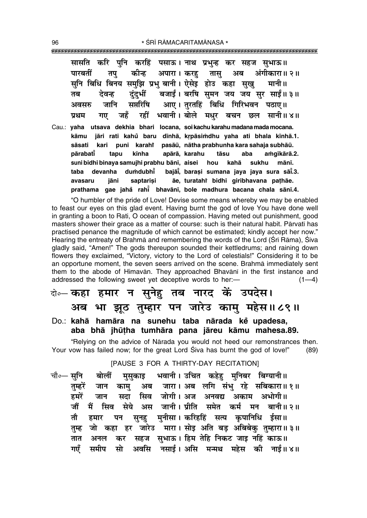| सासति करि पुनि करहिं पसाऊ। नाथ प्रभुन्ह कर<br>सहज सुभाऊ॥                    |
|-----------------------------------------------------------------------------|
| पारबर्ती<br>कीन्ह अपारा। करहु तासु अब अंगीकारा॥२॥<br>तप्                    |
| सुनि बिधि बिनय समुझि प्रभु बानी। ऐसेइ  होउ  कहा  सुखु<br>मानी ॥             |
| दुंदुभीं बजाईं। बरषि सुमन जय जय सुर साईं॥३॥<br>देवन्ह<br>तब                 |
| अवसरु जानि सप्तरिषि आए।तुरतहिं बिधि गिरिभवन पठाए॥                           |
| गए जहँ रहीं भवानी। बोले मधुर बचन छल सानी॥४॥<br>प्रथम                        |
| Cau.: yaha utsava dekhia bhari locana, soi kachu karahu madana mada mocana. |
| jāri rati kahů baru dīnhā, krpāsimdhu yaha ati bhala kīnhā.1.<br>kāmu       |
| kari puni karahi pasāū, nātha prabhunha kara sahaja subhāū.<br>sāsati       |
| kīnha apārā, karahu tāsu<br>pārabatī<br>aba<br>amgīkārā.2.<br>tapu          |
| suni bidhi binaya samujhi prabhu bānī, aisei hou kahā sukhu<br>mānī.        |
| bajāi, barași sumana jaya jaya sura sāi.3.<br>duṁdubhiّ<br>taba devanha     |
| saptariși āe, turatahi bidhi giribhavana pațhāe.<br>jāni<br>avasaru         |
| gae jahă rahi bhavānī, bole madhura bacana chala sānī.4.<br>prathama        |

"O humbler of the pride of Love! Devise some means whereby we may be enabled to feast our eyes on this glad event. Having burnt the god of love You have done well in granting a boon to Rati, O ocean of compassion. Having meted out punishment, good masters shower their grace as a matter of course: such is their natural habit. Pārvatī has practised penance the magnitude of which cannot be estimated; kindly accept her now." Hearing the entreaty of Brahma and remembering the words of the Lord (Sri Rama), Siva gladly said, "Amen!" The gods thereupon sounded their kettledrums; and raining down flowers they exclaimed, "Victory, victory to the Lord of celestials!" Considering it to be an opportune moment, the seven seers arrived on the scene. Brahma immediately sent them to the abode of Himavan. They approached Bhavani in the first instance and addressed the following sweet yet deceptive words to her:- $(1-4)$ 

### बे॰ कहा हमार न सुनेहु तब नारद कें उपदेस। अब भा झूठ तुम्हार पन जारेउ कामु महेस॥८९॥

#### Do.: kahā hamāra na sunehu taba nārada kẻ upadesa, aba bhā jhūtha tumhāra pana jāreu kāmu mahesa.89.

"Relying on the advice of Nārada you would not heed our remonstrances then. Your vow has failed now; for the great Lord Siva has burnt the god of love!"  $(89)$ 

#### [PAUSE 3 FOR A THIRTY-DAY RECITATION]

भवानी। उचित कहेहु मुनिबर बिग्यानी॥ चौ०— सनि बोलीं मसकाड अब जारा। अब लगि संभु रहे सबिकारा॥१॥ तुम्हरें जान काम् सिव जोगी। अज अनवद्य अकाम अभोगी॥ जान हमरें संदा जौं मैं सिव सेये अस जानी।ग्रीति समेत कर्म मन बानी॥२॥ पन सुनहु मुनीसा।करिहहिं सत्य क्रपानिधि ईसा॥ तौ हमार तुम्ह जो कहा हर जारेउ मारा। सोइ अति बड़ अबिबेकु तुम्हारा॥३॥ कर सहज सुभाऊ। हिम तेहि निकट जाइ नहिं काऊ॥ तात अनल समीप सो अवसि नसाई।असि मन्मथ महेस की नाई॥४॥ गाएँ